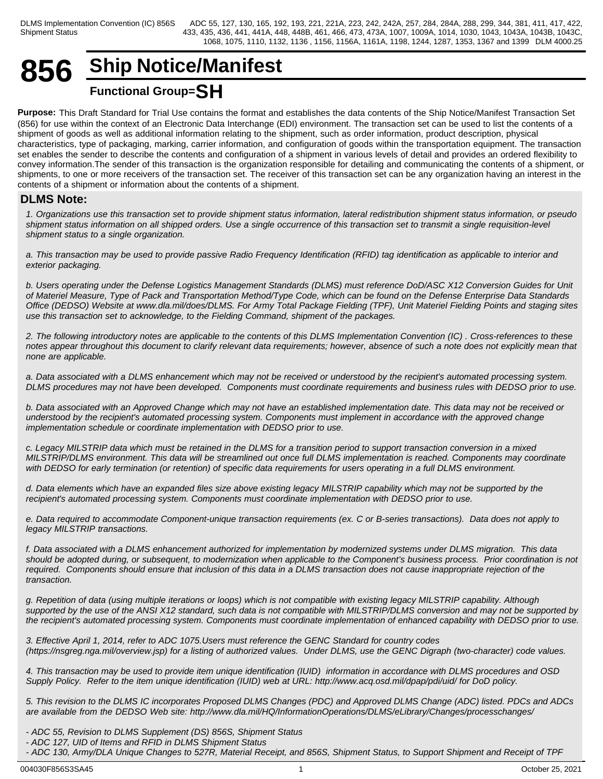## **856 Ship Notice/Manifest Functional Group=SH**

**Purpose:** This Draft Standard for Trial Use contains the format and establishes the data contents of the Ship Notice/Manifest Transaction Set (856) for use within the context of an Electronic Data Interchange (EDI) environment. The transaction set can be used to list the contents of a shipment of goods as well as additional information relating to the shipment, such as order information, product description, physical characteristics, type of packaging, marking, carrier information, and configuration of goods within the transportation equipment. The transaction set enables the sender to describe the contents and configuration of a shipment in various levels of detail and provides an ordered flexibility to convey information.The sender of this transaction is the organization responsible for detailing and communicating the contents of a shipment, or shipments, to one or more receivers of the transaction set. The receiver of this transaction set can be any organization having an interest in the contents of a shipment or information about the contents of a shipment.

## **DLMS Note:**

*1. Organizations use this transaction set to provide shipment status information, lateral redistribution shipment status information, or pseudo shipment status information on all shipped orders. Use a single occurrence of this transaction set to transmit a single requisition-level shipment status to a single organization.*

*a. This transaction may be used to provide passive Radio Frequency Identification (RFID) tag identification as applicable to interior and exterior packaging.*

*b. Users operating under the Defense Logistics Management Standards (DLMS) must reference DoD/ASC X12 Conversion Guides for Unit of Materiel Measure, Type of Pack and Transportation Method/Type Code, which can be found on the Defense Enterprise Data Standards Office (DEDSO) Website at www.dla.mil/does/DLMS. For Army Total Package Fielding (TPF), Unit Materiel Fielding Points and staging sites use this transaction set to acknowledge, to the Fielding Command, shipment of the packages.*

*2. The following introductory notes are applicable to the contents of this DLMS Implementation Convention (IC) . Cross-references to these notes appear throughout this document to clarify relevant data requirements; however, absence of such a note does not explicitly mean that none are applicable.*

*a. Data associated with a DLMS enhancement which may not be received or understood by the recipient's automated processing system. DLMS procedures may not have been developed. Components must coordinate requirements and business rules with DEDSO prior to use.*

*b. Data associated with an Approved Change which may not have an established implementation date. This data may not be received or understood by the recipient's automated processing system. Components must implement in accordance with the approved change implementation schedule or coordinate implementation with DEDSO prior to use.*

*c. Legacy MILSTRIP data which must be retained in the DLMS for a transition period to support transaction conversion in a mixed MILSTRIP/DLMS environment. This data will be streamlined out once full DLMS implementation is reached. Components may coordinate with DEDSO for early termination (or retention) of specific data requirements for users operating in a full DLMS environment.*

*d. Data elements which have an expanded files size above existing legacy MILSTRIP capability which may not be supported by the recipient's automated processing system. Components must coordinate implementation with DEDSO prior to use.*

*e. Data required to accommodate Component-unique transaction requirements (ex. C or B-series transactions). Data does not apply to legacy MILSTRIP transactions.*

*f. Data associated with a DLMS enhancement authorized for implementation by modernized systems under DLMS migration. This data should be adopted during, or subsequent, to modernization when applicable to the Component's business process. Prior coordination is not required. Components should ensure that inclusion of this data in a DLMS transaction does not cause inappropriate rejection of the transaction.*

*g. Repetition of data (using multiple iterations or loops) which is not compatible with existing legacy MILSTRIP capability. Although supported by the use of the ANSI X12 standard, such data is not compatible with MILSTRIP/DLMS conversion and may not be supported by the recipient's automated processing system. Components must coordinate implementation of enhanced capability with DEDSO prior to use.*

*3. Effective April 1, 2014, refer to ADC 1075.Users must reference the GENC Standard for country codes (https://nsgreg.nga.mil/overview.jsp) for a listing of authorized values. Under DLMS, use the GENC Digraph (two-character) code values.*

*4. This transaction may be used to provide item unique identification (IUID) information in accordance with DLMS procedures and OSD Supply Policy. Refer to the item unique identification (IUID) web at URL: http://www.acq.osd.mil/dpap/pdi/uid/ for DoD policy.*

*5. This revision to the DLMS IC incorporates Proposed DLMS Changes (PDC) and Approved DLMS Change (ADC) listed. PDCs and ADCs are available from the DEDSO Web site: http://www.dla.mil/HQ/InformationOperations/DLMS/eLibrary/Changes/processchanges/*

- *ADC 55, Revision to DLMS Supplement (DS) 856S, Shipment Status*
- *ADC 127, UID of Items and RFID in DLMS Shipment Status*

*- ADC 130, Army/DLA Unique Changes to 527R, Material Receipt, and 856S, Shipment Status, to Support Shipment and Receipt of TPF*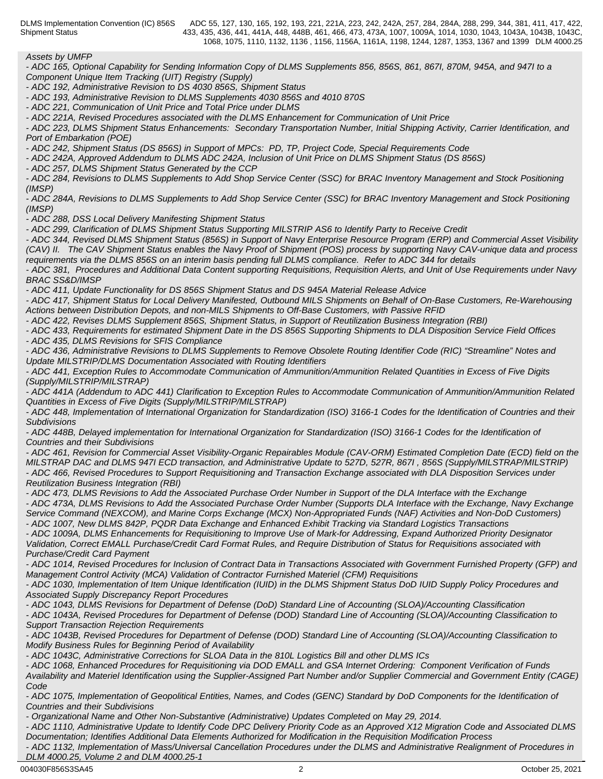*Assets by UMFP*

*- ADC 165, Optional Capability for Sending Information Copy of DLMS Supplements 856, 856S, 861, 867I, 870M, 945A, and 947I to a Component Unique Item Tracking (UIT) Registry (Supply)*

*- ADC 192, Administrative Revision to DS 4030 856S, Shipment Status*

*- ADC 193, Administrative Revision to DLMS Supplements 4030 856S and 4010 870S*

*- ADC 221, Communication of Unit Price and Total Price under DLMS*

*- ADC 221A, Revised Procedures associated with the DLMS Enhancement for Communication of Unit Price*

*- ADC 223, DLMS Shipment Status Enhancements: Secondary Transportation Number, Initial Shipping Activity, Carrier Identification, and Port of Embarkation (POE)*

*- ADC 242, Shipment Status (DS 856S) in Support of MPCs: PD, TP, Project Code, Special Requirements Code*

*- ADC 242A, Approved Addendum to DLMS ADC 242A, Inclusion of Unit Price on DLMS Shipment Status (DS 856S)*

*- ADC 257, DLMS Shipment Status Generated by the CCP*

*- ADC 284, Revisions to DLMS Supplements to Add Shop Service Center (SSC) for BRAC Inventory Management and Stock Positioning (IMSP)*

*- ADC 284A, Revisions to DLMS Supplements to Add Shop Service Center (SSC) for BRAC Inventory Management and Stock Positioning (IMSP)*

*- ADC 288, DSS Local Delivery Manifesting Shipment Status*

*- ADC 299, Clarification of DLMS Shipment Status Supporting MILSTRIP AS6 to Identify Party to Receive Credit*

*- ADC 344, Revised DLMS Shipment Status (856S) in Support of Navy Enterprise Resource Program (ERP) and Commercial Asset Visibility (CAV) II. The CAV Shipment Status enables the Navy Proof of Shipment (POS) process by supporting Navy CAV-unique data and process requirements via the DLMS 856S on an interim basis pending full DLMS compliance. Refer to ADC 344 for details*

*- ADC 381, Procedures and Additional Data Content supporting Requisitions, Requisition Alerts, and Unit of Use Requirements under Navy BRAC SS&D/IMSP*

*- ADC 411, Update Functionality for DS 856S Shipment Status and DS 945A Material Release Advice*

*- ADC 417, Shipment Status for Local Delivery Manifested, Outbound MILS Shipments on Behalf of On-Base Customers, Re-Warehousing Actions between Distribution Depots, and non-MILS Shipments to Off-Base Customers, with Passive RFID*

*- ADC 422, Revises DLMS Supplement 856S, Shipment Status, in Support of Reutilization Business Integration (RBI)*

*- ADC 433, Requirements for estimated Shipment Date in the DS 856S Supporting Shipments to DLA Disposition Service Field Offices*

*- ADC 435, DLMS Revisions for SFIS Compliance* 

*- ADC 436, Administrative Revisions to DLMS Supplements to Remove Obsolete Routing Identifier Code (RIC) "Streamline" Notes and Update MILSTRIP/DLMS Documentation Associated with Routing Identifiers*

*- ADC 441, Exception Rules to Accommodate Communication of Ammunition/Ammunition Related Quantities in Excess of Five Digits (Supply/MILSTRIP/MILSTRAP)*

*- ADC 441A (Addendum to ADC 441) Clarification to Exception Rules to Accommodate Communication of Ammunition/Ammunition Related Quantities in Excess of Five Digits (Supply/MILSTRIP/MILSTRAP)*

*- ADC 448, Implementation of International Organization for Standardization (ISO) 3166-1 Codes for the Identification of Countries and their Subdivisions*

*- ADC 448B, Delayed implementation for International Organization for Standardization (ISO) 3166-1 Codes for the Identification of Countries and their Subdivisions*

*- ADC 461, Revision for Commercial Asset Visibility-Organic Repairables Module (CAV-ORM) Estimated Completion Date (ECD) field on the MILSTRAP DAC and DLMS 947I ECD transaction, and Administrative Update to 527D, 527R, 867I , 856S (Supply/MILSTRAP/MILSTRIP) - ADC 466, Revised Procedures to Support Requisitioning and Transaction Exchange associated with DLA Disposition Services under Reutilization Business Integration (RBI)*

*- ADC 473, DLMS Revisions to Add the Associated Purchase Order Number in Support of the DLA Interface with the Exchange - ADC 473A, DLMS Revisions to Add the Associated Purchase Order Number (Supports DLA Interface with the Exchange, Navy Exchange Service Command (NEXCOM), and Marine Corps Exchange (MCX) Non-Appropriated Funds (NAF) Activities and Non-DoD Customers)*

*- ADC 1007, New DLMS 842P, PQDR Data Exchange and Enhanced Exhibit Tracking via Standard Logistics Transactions - ADC 1009A, DLMS Enhancements for Requisitioning to Improve Use of Mark-for Addressing, Expand Authorized Priority Designator Validation, Correct EMALL Purchase/Credit Card Format Rules, and Require Distribution of Status for Requisitions associated with Purchase/Credit Card Payment*

*- ADC 1014, Revised Procedures for Inclusion of Contract Data in Transactions Associated with Government Furnished Property (GFP) and Management Control Activity (MCA) Validation of Contractor Furnished Materiel (CFM) Requisitions*

*- ADC 1030, Implementation of Item Unique Identification (IUID) in the DLMS Shipment Status DoD IUID Supply Policy Procedures and Associated Supply Discrepancy Report Procedures*

*- ADC 1043, DLMS Revisions for Department of Defense (DoD) Standard Line of Accounting (SLOA)/Accounting Classification*

*- ADC 1043A, Revised Procedures for Department of Defense (DOD) Standard Line of Accounting (SLOA)/Accounting Classification to Support Transaction Rejection Requirements*

*- ADC 1043B, Revised Procedures for Department of Defense (DOD) Standard Line of Accounting (SLOA)/Accounting Classification to Modify Business Rules for Beginning Period of Availability*

*- ADC 1043C, Administrative Corrections for SLOA Data in the 810L Logistics Bill and other DLMS ICs*

*- ADC 1068, Enhanced Procedures for Requisitioning via DOD EMALL and GSA Internet Ordering: Component Verification of Funds Availability and Materiel Identification using the Supplier-Assigned Part Number and/or Supplier Commercial and Government Entity (CAGE) Code* **Code Code Code Code Code Code Code Code Code Code Code** 

*- ADC 1075, Implementation of Geopolitical Entities, Names, and Codes (GENC) Standard by DoD Components for the Identification of Countries and their Subdivisions*

*- Organizational Name and Other Non-Substantive (Administrative) Updates Completed on May 29, 2014.*

*- ADC 1110, Administrative Update to Identify Code DPC Delivery Priority Code as an Approved X12 Migration Code and Associated DLMS Documentation; Identifies Additional Data Elements Authorized for Modification in the Requisition Modification Process*

*- ADC 1132, Implementation of Mass/Universal Cancellation Procedures under the DLMS and Administrative Realignment of Procedures in DLM 4000.25, Volume 2 and DLM 4000.25-1*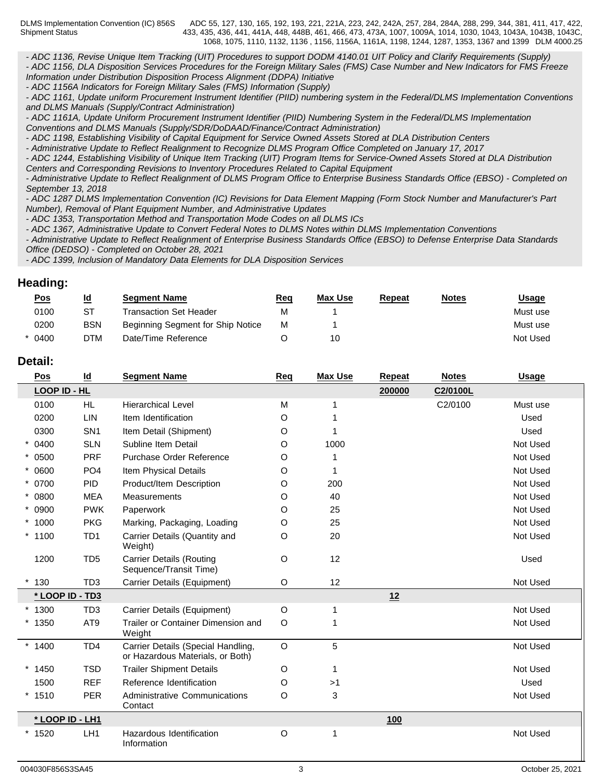*- ADC 1136, Revise Unique Item Tracking (UIT) Procedures to support DODM 4140.01 UIT Policy and Clarify Requirements (Supply) - ADC 1156, DLA Disposition Services Procedures for the Foreign Military Sales (FMS) Case Number and New Indicators for FMS Freeze Information under Distribution Disposition Process Alignment (DDPA) Initiative*

*- ADC 1156A Indicators for Foreign Military Sales (FMS) Information (Supply)*

*- ADC 1161, Update uniform Procurement Instrument Identifier (PIID) numbering system in the Federal/DLMS Implementation Conventions and DLMS Manuals (Supply/Contract Administration)*

*- ADC 1161A, Update Uniform Procurement Instrument Identifier (PIID) Numbering System in the Federal/DLMS Implementation Conventions and DLMS Manuals (Supply/SDR/DoDAAD/Finance/Contract Administration)*

*- ADC 1198, Establishing Visibility of Capital Equipment for Service Owned Assets Stored at DLA Distribution Centers*

*- Administrative Update to Reflect Realignment to Recognize DLMS Program Office Completed on January 17, 2017*

*- ADC 1244, Establishing Visibility of Unique Item Tracking (UIT) Program Items for Service-Owned Assets Stored at DLA Distribution Centers and Corresponding Revisions to Inventory Procedures Related to Capital Equipment*

*- Administrative Update to Reflect Realignment of DLMS Program Office to Enterprise Business Standards Office (EBSO) - Completed on September 13, 2018*

*- ADC 1287 DLMS Implementation Convention (IC) Revisions for Data Element Mapping (Form Stock Number and Manufacturer's Part Number), Removal of Plant Equipment Number, and Administrative Updates*

*- ADC 1353, Transportation Method and Transportation Mode Codes on all DLMS ICs*

*- ADC 1367, Administrative Update to Convert Federal Notes to DLMS Notes within DLMS Implementation Conventions*

*- Administrative Update to Reflect Realignment of Enterprise Business Standards Office (EBSO) to Defense Enterprise Data Standards Office (DEDSO) - Completed on October 28, 2021*

*- ADC 1399, Inclusion of Mandatory Data Elements for DLA Disposition Services*

## **Heading:**

| <u>Pos</u> | <u>ld</u>  | <b>Seament Name</b>               | <u>Req</u> | <b>Max Use</b> | <b>Repeat</b> | <b>Notes</b> | <u>Usage</u> |
|------------|------------|-----------------------------------|------------|----------------|---------------|--------------|--------------|
| 0100       | ST         | Transaction Set Header            | м          |                |               |              | Must use     |
| 0200       | <b>BSN</b> | Beginning Segment for Ship Notice | М          |                |               |              | Must use     |
| $*$ 0400   | DTM        | Date/Time Reference               |            | 10             |               |              | Not Used     |

## **Detail:**

| Pos             | $\underline{\mathsf{Id}}$ | <b>Segment Name</b>                                                    | Req         | <b>Max Use</b> | <b>Repeat</b> | <b>Notes</b> | <b>Usage</b> |
|-----------------|---------------------------|------------------------------------------------------------------------|-------------|----------------|---------------|--------------|--------------|
| LOOP ID - HL    |                           |                                                                        |             |                | 200000        | C2/0100L     |              |
| 0100            | HL.                       | <b>Hierarchical Level</b>                                              | M           |                |               | C2/0100      | Must use     |
| 0200            | <b>LIN</b>                | Item Identification                                                    | O           |                |               |              | Used         |
| 0300            | SN <sub>1</sub>           | Item Detail (Shipment)                                                 | O           |                |               |              | Used         |
| $* 0400$        | <b>SLN</b>                | Subline Item Detail                                                    | O           | 1000           |               |              | Not Used     |
| $* 0500$        | <b>PRF</b>                | Purchase Order Reference                                               | O           |                |               |              | Not Used     |
| $* 0600$        | PO <sub>4</sub>           | Item Physical Details                                                  | O           |                |               |              | Not Used     |
| * 0700          | <b>PID</b>                | Product/Item Description                                               | O           | 200            |               |              | Not Used     |
| $* 0800$        | <b>MEA</b>                | <b>Measurements</b>                                                    | O           | 40             |               |              | Not Used     |
| $* 0900$        | <b>PWK</b>                | Paperwork                                                              | O           | 25             |               |              | Not Used     |
| $*1000$         | <b>PKG</b>                | Marking, Packaging, Loading                                            | O           | 25             |               |              | Not Used     |
| $*1100$         | TD <sub>1</sub>           | Carrier Details (Quantity and<br>Weight)                               | O           | 20             |               |              | Not Used     |
| 1200            | TD <sub>5</sub>           | <b>Carrier Details (Routing</b><br>Sequence/Transit Time)              | $\mathsf O$ | 12             |               |              | Used         |
| 130             | TD <sub>3</sub>           | Carrier Details (Equipment)                                            | O           | 12             |               |              | Not Used     |
| * LOOP ID - TD3 |                           |                                                                        |             |                | 12            |              |              |
| $*1300$         | TD <sub>3</sub>           | Carrier Details (Equipment)                                            | $\circ$     |                |               |              | Not Used     |
| $*1350$         | AT9                       | Trailer or Container Dimension and<br>Weight                           | O           |                |               |              | Not Used     |
| $*1400$         | TD <sub>4</sub>           | Carrier Details (Special Handling,<br>or Hazardous Materials, or Both) | $\circ$     | 5              |               |              | Not Used     |
| $*1450$         | <b>TSD</b>                | <b>Trailer Shipment Details</b>                                        | O           |                |               |              | Not Used     |
| 1500            | <b>REF</b>                | Reference Identification                                               | $\circ$     | >1             |               |              | Used         |
| $*1510$         | <b>PER</b>                | <b>Administrative Communications</b><br>Contact                        | O           | 3              |               |              | Not Used     |
| * LOOP ID - LH1 |                           |                                                                        |             |                | 100           |              |              |
| $*1520$         | LH <sub>1</sub>           | Hazardous Identification<br>Information                                | $\circ$     |                |               |              | Not Used     |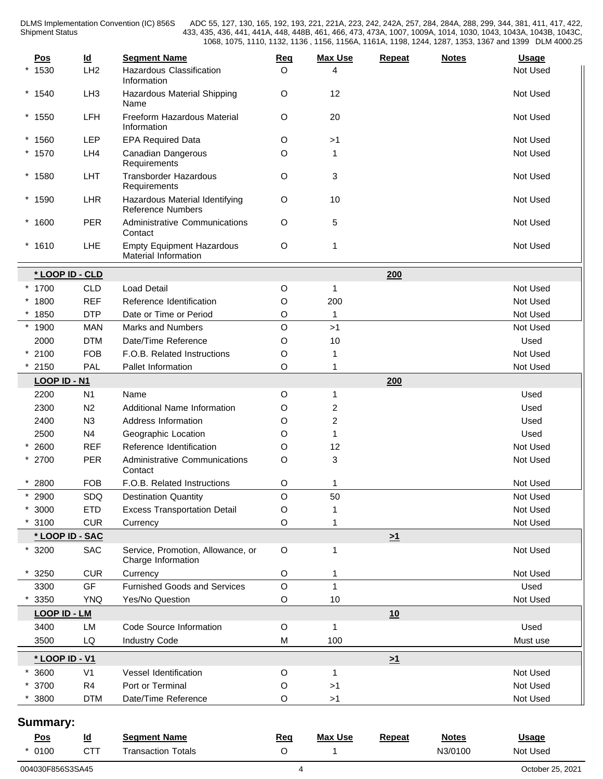| $\underline{\mathsf{Pos}}$ | $\underline{\mathsf{Id}}$ | <b>Segment Name</b>                                        | Req         | <b>Max Use</b> | <b>Repeat</b> | <b>Notes</b> | <b>Usage</b> |
|----------------------------|---------------------------|------------------------------------------------------------|-------------|----------------|---------------|--------------|--------------|
| $*1530$                    | LH <sub>2</sub>           | <b>Hazardous Classification</b><br>Information             | O           | Δ              |               |              | Not Used     |
| $*1540$                    | LH <sub>3</sub>           | Hazardous Material Shipping<br>Name                        | $\circ$     | 12             |               |              | Not Used     |
| $*1550$                    | LFH                       | Freeform Hazardous Material<br>Information                 | $\circ$     | 20             |               |              | Not Used     |
| $*1560$                    | LEP                       | <b>EPA Required Data</b>                                   | O           | >1             |               |              | Not Used     |
| $*1570$                    | LH4                       | Canadian Dangerous<br>Requirements                         | O           | $\mathbf 1$    |               |              | Not Used     |
| $*1580$                    | LHT                       | <b>Transborder Hazardous</b><br>Requirements               | $\circ$     | 3              |               |              | Not Used     |
| $*1590$                    | LHR                       | Hazardous Material Identifying<br><b>Reference Numbers</b> | $\circ$     | 10             |               |              | Not Used     |
| $*1600$                    | <b>PER</b>                | <b>Administrative Communications</b><br>Contact            | $\circ$     | 5              |               |              | Not Used     |
| $*1610$                    | LHE                       | <b>Empty Equipment Hazardous</b><br>Material Information   | $\circ$     | 1              |               |              | Not Used     |
|                            | * LOOP ID - CLD           |                                                            |             |                | 200           |              |              |
| $*1700$                    | <b>CLD</b>                | <b>Load Detail</b>                                         | O           | $\overline{1}$ |               |              | Not Used     |
| $*1800$                    | <b>REF</b>                | Reference Identification                                   | O           | 200            |               |              | Not Used     |
| $*1850$                    | <b>DTP</b>                | Date or Time or Period                                     | O           | $\mathbf{1}$   |               |              | Not Used     |
| $*1900$                    | <b>MAN</b>                | <b>Marks and Numbers</b>                                   | $\mathsf O$ | >1             |               |              | Not Used     |
| 2000                       | <b>DTM</b>                | Date/Time Reference                                        | O           | 10             |               |              | Used         |
| $*2100$                    | <b>FOB</b>                | F.O.B. Related Instructions                                | $\circ$     | 1              |               |              | Not Used     |
| 2150                       | <b>PAL</b>                | Pallet Information                                         | O           | 1              |               |              | Not Used     |
|                            | LOOP ID - N1              |                                                            |             |                | 200           |              |              |
| 2200                       | N <sub>1</sub>            | Name                                                       | O           | $\overline{1}$ |               |              | Used         |
| 2300                       | N <sub>2</sub>            | <b>Additional Name Information</b>                         | O           | 2              |               |              | Used         |
| 2400                       | N3                        | Address Information                                        | O           | $\overline{c}$ |               |              | Used         |
| 2500                       | N <sub>4</sub>            | Geographic Location                                        | $\circ$     | 1              |               |              | Used         |
| 2600                       | <b>REF</b>                | Reference Identification                                   | O           | 12             |               |              | Not Used     |
| $* 2700$                   | <b>PER</b>                | Administrative Communications<br>Contact                   | O           | $\mathbf{3}$   |               |              | Not Used     |
| $*2800$                    | <b>FOB</b>                | F.O.B. Related Instructions                                | O           | 1              |               |              | Not Used     |
| 2900                       | SDQ                       | <b>Destination Quantity</b>                                | O           | 50             |               |              | Not Used     |
| $*3000$                    | <b>ETD</b>                | <b>Excess Transportation Detail</b>                        | O           |                |               |              | Not Used     |
| 3100                       | <b>CUR</b>                | Currency                                                   | O           | 1              |               |              | Not Used     |
|                            | * LOOP ID - SAC           |                                                            |             |                | $\geq 1$      |              |              |
| $*3200$                    | <b>SAC</b>                | Service, Promotion, Allowance, or<br>Charge Information    | $\circ$     | 1              |               |              | Not Used     |
| 3250                       | <b>CUR</b>                | Currency                                                   | O           | -1             |               |              | Not Used     |
| 3300                       | GF                        | Furnished Goods and Services                               | $\mathsf O$ | $\mathbf{1}$   |               |              | Used         |
| 3350                       | <b>YNQ</b>                | Yes/No Question                                            | $\mathsf O$ | 10             |               |              | Not Used     |
|                            | <b>LOOP ID - LM</b>       |                                                            |             |                | 10            |              |              |
| 3400                       | LM                        | Code Source Information                                    | $\circ$     | $\overline{1}$ |               |              | Used         |
| 3500                       | LQ                        | <b>Industry Code</b>                                       | M           | 100            |               |              | Must use     |
|                            | * LOOP ID - V1            |                                                            |             |                | $\geq 1$      |              |              |
| 3600                       | V <sub>1</sub>            | Vessel Identification                                      | $\circ$     | $\mathbf 1$    |               |              | Not Used     |
| * 3700                     | R4                        | Port or Terminal                                           | O           | >1             |               |              | Not Used     |
| 3800                       | <b>DTM</b>                | Date/Time Reference                                        | $\mathsf O$ | $>1$           |               |              | Not Used     |
| Summary:                   |                           |                                                            |             |                |               |              |              |
| Pos                        | $\overline{\mathsf{Id}}$  | <b>Segment Name</b>                                        | Req         | <b>Max Use</b> | Repeat        | <b>Notes</b> | <b>Usage</b> |

\* 0100 CTT Transaction Totals O 1 N3/0100 Not Used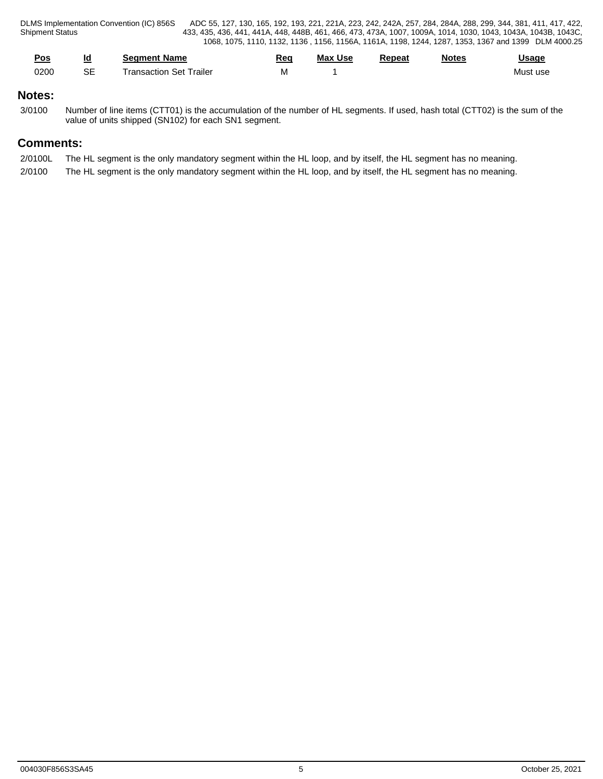| <u>Pos</u><br>the control of the control of the | Id<br>$\sim$ | <b>Seament Name</b>       | Reg<br>the contract of the contract of the contract of | <b>Max Use</b> | Repeat | Notes | Usaqe    |
|-------------------------------------------------|--------------|---------------------------|--------------------------------------------------------|----------------|--------|-------|----------|
| 0200                                            | $\sim$<br>⊃⊏ | ⊦Set Traile<br>ransaction | <b>IVI</b>                                             |                |        |       | Must use |

## **Notes:**

3/0100 Number of line items (CTT01) is the accumulation of the number of HL segments. If used, hash total (CTT02) is the sum of the value of units shipped (SN102) for each SN1 segment.

## **Comments:**

- 2/0100L The HL segment is the only mandatory segment within the HL loop, and by itself, the HL segment has no meaning.
- 2/0100 The HL segment is the only mandatory segment within the HL loop, and by itself, the HL segment has no meaning.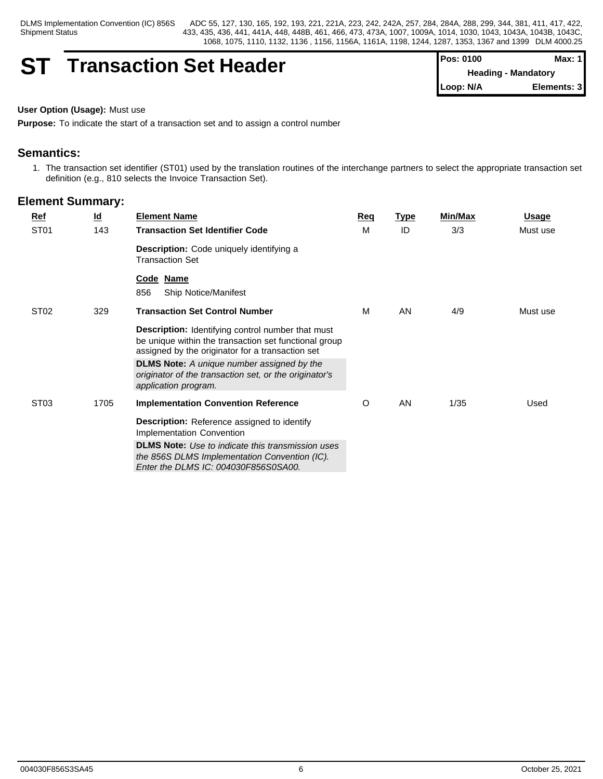Shipment Status

DLMS Implementation Convention (IC) 856S ADC 55, 127, 130, 165, 192, 193, 221, 221A, 223, 242, 242A, 257, 284, 284A, 288, 299, 344, 381, 411, 417, 422, 433, 435, 436, 441, 441A, 448, 448B, 461, 466, 473, 473A, 1007, 1009A, 1014, 1030, 1043, 1043A, 1043B, 1043C, 1068, 1075, 1110, 1132, 1136 , 1156, 1156A, 1161A, 1198, 1244, 1287, 1353, 1367 and 1399 DLM 4000.25

## **ST Transaction Set Header**

| <b>IPos: 0100</b> | Max: 1                     |
|-------------------|----------------------------|
|                   | <b>Heading - Mandatory</b> |
| Loop: N/A         | Elements: 3                |

## **User Option (Usage):** Must use

**Purpose:** To indicate the start of a transaction set and to assign a control number

## **Semantics:**

1. The transaction set identifier (ST01) used by the translation routines of the interchange partners to select the appropriate transaction set definition (e.g., 810 selects the Invoice Transaction Set).

|  | Ref              | <u>ld</u> | <b>Element Name</b>                                                                                                                                                   | Req | <u>Type</u> | Min/Max | Usage    |
|--|------------------|-----------|-----------------------------------------------------------------------------------------------------------------------------------------------------------------------|-----|-------------|---------|----------|
|  | ST <sub>01</sub> | 143       | <b>Transaction Set Identifier Code</b>                                                                                                                                | М   | ID          | 3/3     | Must use |
|  |                  |           | <b>Description:</b> Code uniquely identifying a<br><b>Transaction Set</b>                                                                                             |     |             |         |          |
|  |                  |           | Code Name<br>856<br><b>Ship Notice/Manifest</b>                                                                                                                       |     |             |         |          |
|  | ST <sub>02</sub> | 329       | <b>Transaction Set Control Number</b>                                                                                                                                 | м   | AN          | 4/9     | Must use |
|  |                  |           | <b>Description:</b> Identifying control number that must<br>be unique within the transaction set functional group<br>assigned by the originator for a transaction set |     |             |         |          |
|  |                  |           | <b>DLMS Note:</b> A unique number assigned by the<br>originator of the transaction set, or the originator's<br>application program.                                   |     |             |         |          |
|  | ST <sub>03</sub> | 1705      | <b>Implementation Convention Reference</b>                                                                                                                            | O   | AN          | 1/35    | Used     |
|  |                  |           | Description: Reference assigned to identify<br>Implementation Convention                                                                                              |     |             |         |          |
|  |                  |           | <b>DLMS Note:</b> Use to indicate this transmission uses<br>the 856S DLMS Implementation Convention (IC).<br>Enter the DLMS IC: 004030F856S0SA00.                     |     |             |         |          |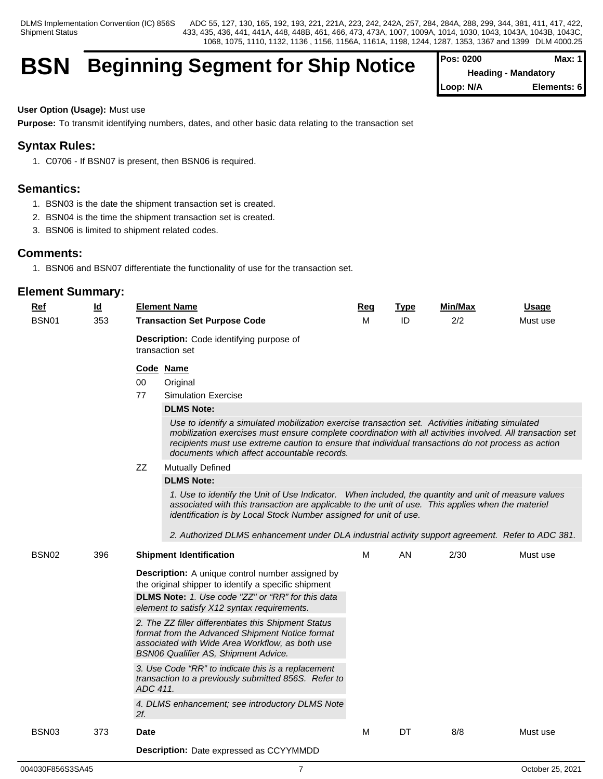## **BSN** Beginning Segment for Ship Notice

| l Pos: 0200                | Max: 1       |  |
|----------------------------|--------------|--|
| <b>Heading - Mandatory</b> |              |  |
| Loop: N/A                  | Elements: 61 |  |

**User Option (Usage):** Must use

**Purpose:** To transmit identifying numbers, dates, and other basic data relating to the transaction set

## **Syntax Rules:**

1. C0706 - If BSN07 is present, then BSN06 is required.

## **Semantics:**

- 1. BSN03 is the date the shipment transaction set is created.
- 2. BSN04 is the time the shipment transaction set is created.
- 3. BSN06 is limited to shipment related codes.

## **Comments:**

1. BSN06 and BSN07 differentiate the functionality of use for the transaction set.

| <b>Ref</b>        | $\underline{\mathsf{Id}}$ | <b>Element Name</b>                                                                                                                                                                                                                                                                                                                                                    | Req | <b>Type</b> | <b>Min/Max</b> | <b>Usage</b> |
|-------------------|---------------------------|------------------------------------------------------------------------------------------------------------------------------------------------------------------------------------------------------------------------------------------------------------------------------------------------------------------------------------------------------------------------|-----|-------------|----------------|--------------|
| BSN01             | 353                       | <b>Transaction Set Purpose Code</b>                                                                                                                                                                                                                                                                                                                                    |     | ID          | 2/2            | Must use     |
|                   |                           | Description: Code identifying purpose of<br>transaction set                                                                                                                                                                                                                                                                                                            |     |             |                |              |
|                   |                           | Code Name                                                                                                                                                                                                                                                                                                                                                              |     |             |                |              |
|                   |                           | $00\,$<br>Original                                                                                                                                                                                                                                                                                                                                                     |     |             |                |              |
|                   |                           | 77<br><b>Simulation Exercise</b>                                                                                                                                                                                                                                                                                                                                       |     |             |                |              |
|                   |                           | <b>DLMS Note:</b>                                                                                                                                                                                                                                                                                                                                                      |     |             |                |              |
|                   |                           | Use to identify a simulated mobilization exercise transaction set. Activities initiating simulated<br>mobilization exercises must ensure complete coordination with all activities involved. All transaction set<br>recipients must use extreme caution to ensure that individual transactions do not process as action<br>documents which affect accountable records. |     |             |                |              |
|                   |                           | ZZ<br>Mutually Defined                                                                                                                                                                                                                                                                                                                                                 |     |             |                |              |
|                   |                           | <b>DLMS Note:</b>                                                                                                                                                                                                                                                                                                                                                      |     |             |                |              |
|                   |                           | 1. Use to identify the Unit of Use Indicator. When included, the quantity and unit of measure values<br>associated with this transaction are applicable to the unit of use. This applies when the materiel<br>identification is by Local Stock Number assigned for unit of use.                                                                                        |     |             |                |              |
| BSN02             | 396                       | 2. Authorized DLMS enhancement under DLA industrial activity support agreement. Refer to ADC 381.<br><b>Shipment Identification</b>                                                                                                                                                                                                                                    | M   | AN          | 2/30           | Must use     |
|                   |                           |                                                                                                                                                                                                                                                                                                                                                                        |     |             |                |              |
|                   |                           | Description: A unique control number assigned by<br>the original shipper to identify a specific shipment                                                                                                                                                                                                                                                               |     |             |                |              |
|                   |                           | DLMS Note: 1. Use code "ZZ" or "RR" for this data                                                                                                                                                                                                                                                                                                                      |     |             |                |              |
|                   |                           | element to satisfy X12 syntax requirements.                                                                                                                                                                                                                                                                                                                            |     |             |                |              |
|                   |                           | 2. The ZZ filler differentiates this Shipment Status<br>format from the Advanced Shipment Notice format<br>associated with Wide Area Workflow, as both use<br><b>BSN06 Qualifier AS, Shipment Advice.</b>                                                                                                                                                              |     |             |                |              |
|                   |                           | 3. Use Code "RR" to indicate this is a replacement<br>transaction to a previously submitted 856S. Refer to<br>ADC 411.                                                                                                                                                                                                                                                 |     |             |                |              |
|                   |                           | 4. DLMS enhancement; see introductory DLMS Note<br>$2f$ .                                                                                                                                                                                                                                                                                                              |     |             |                |              |
| BSN <sub>03</sub> | 373                       | <b>Date</b>                                                                                                                                                                                                                                                                                                                                                            | M   | DT          | 8/8            | Must use     |
|                   |                           | <b>Description:</b> Date expressed as CCYYMMDD                                                                                                                                                                                                                                                                                                                         |     |             |                |              |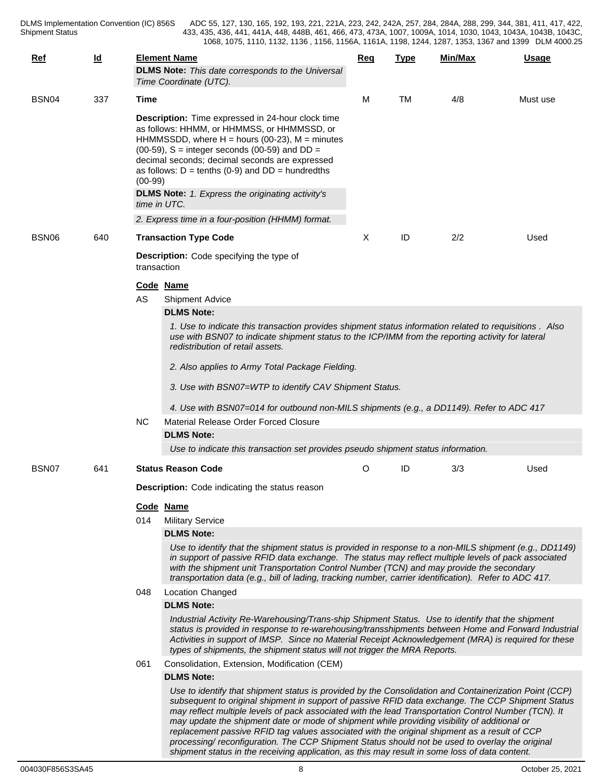DLMS Implementation Convention (IC) 856S<br>Shipment Status

DLMS Implementation Convention (IC) 856S ADC 55, 127, 130, 165, 192, 193, 221, 221A, 223, 242, 242A, 257, 284, 284A, 288, 299, 344, 381, 411, 417, 422, 433, 435, 436, 441, 441A, 448, 448B, 461, 466, 473, 473A, 1007, 1009A, 1014, 1030, 1043, 1043A, 1043B, 1043C, 1068, 1075, 1110, 1132, 1136 , 1156, 1156A, 1161A, 1198, 1244, 1287, 1353, 1367 and 1399 DLM 4000.25

| $Ref$ | $\underline{\mathsf{Id}}$ |             | <b>Element Name</b><br><b>DLMS Note:</b> This date corresponds to the Universal<br>Time Coordinate (UTC).                                                                                                                                                                                                                                                                                                                                                                                                                                                                                                              | Req | <b>Type</b> | Min/Max | <b>Usage</b> |  |  |  |
|-------|---------------------------|-------------|------------------------------------------------------------------------------------------------------------------------------------------------------------------------------------------------------------------------------------------------------------------------------------------------------------------------------------------------------------------------------------------------------------------------------------------------------------------------------------------------------------------------------------------------------------------------------------------------------------------------|-----|-------------|---------|--------------|--|--|--|
| BSN04 | 337                       | Time        |                                                                                                                                                                                                                                                                                                                                                                                                                                                                                                                                                                                                                        | М   | <b>TM</b>   | 4/8     | Must use     |  |  |  |
|       |                           | $(00-99)$   | Description: Time expressed in 24-hour clock time<br>as follows: HHMM, or HHMMSS, or HHMMSSD, or<br>HHMMSSDD, where $H =$ hours (00-23), $M =$ minutes<br>(00-59), $S =$ integer seconds (00-59) and $DD =$<br>decimal seconds; decimal seconds are expressed<br>as follows: $D = \text{tenths}$ (0-9) and $DD = \text{hundredths}$<br><b>DLMS Note:</b> 1. Express the originating activity's<br>time in UTC.<br>2. Express time in a four-position (HHMM) format.                                                                                                                                                    |     |             |         |              |  |  |  |
| BSN06 | 640                       |             | <b>Transaction Type Code</b>                                                                                                                                                                                                                                                                                                                                                                                                                                                                                                                                                                                           | Χ   | ID          | 2/2     | Used         |  |  |  |
|       |                           | transaction | <b>Description:</b> Code specifying the type of<br>Code Name                                                                                                                                                                                                                                                                                                                                                                                                                                                                                                                                                           |     |             |         |              |  |  |  |
|       |                           | AS          | <b>Shipment Advice</b>                                                                                                                                                                                                                                                                                                                                                                                                                                                                                                                                                                                                 |     |             |         |              |  |  |  |
|       |                           |             | <b>DLMS Note:</b>                                                                                                                                                                                                                                                                                                                                                                                                                                                                                                                                                                                                      |     |             |         |              |  |  |  |
|       |                           |             | 1. Use to indicate this transaction provides shipment status information related to requisitions . Also<br>use with BSN07 to indicate shipment status to the ICP/IMM from the reporting activity for lateral<br>redistribution of retail assets.<br>2. Also applies to Army Total Package Fielding.<br>3. Use with BSN07=WTP to identify CAV Shipment Status.<br>4. Use with BSN07=014 for outbound non-MILS shipments (e.g., a DD1149). Refer to ADC 417                                                                                                                                                              |     |             |         |              |  |  |  |
|       |                           | <b>NC</b>   | Material Release Order Forced Closure                                                                                                                                                                                                                                                                                                                                                                                                                                                                                                                                                                                  |     |             |         |              |  |  |  |
|       |                           |             | <b>DLMS Note:</b>                                                                                                                                                                                                                                                                                                                                                                                                                                                                                                                                                                                                      |     |             |         |              |  |  |  |
|       |                           |             | Use to indicate this transaction set provides pseudo shipment status information.                                                                                                                                                                                                                                                                                                                                                                                                                                                                                                                                      |     |             |         |              |  |  |  |
| BSN07 | 641                       |             | <b>Status Reason Code</b>                                                                                                                                                                                                                                                                                                                                                                                                                                                                                                                                                                                              | O   | ID          | 3/3     | Used         |  |  |  |
|       |                           |             | <b>Description:</b> Code indicating the status reason                                                                                                                                                                                                                                                                                                                                                                                                                                                                                                                                                                  |     |             |         |              |  |  |  |
|       |                           |             | Code Name                                                                                                                                                                                                                                                                                                                                                                                                                                                                                                                                                                                                              |     |             |         |              |  |  |  |
|       |                           | 014         | <b>Military Service</b>                                                                                                                                                                                                                                                                                                                                                                                                                                                                                                                                                                                                |     |             |         |              |  |  |  |
|       |                           |             | <b>DLMS Note:</b>                                                                                                                                                                                                                                                                                                                                                                                                                                                                                                                                                                                                      |     |             |         |              |  |  |  |
|       |                           |             | Use to identify that the shipment status is provided in response to a non-MILS shipment (e.g., DD1149)<br>in support of passive RFID data exchange. The status may reflect multiple levels of pack associated<br>with the shipment unit Transportation Control Number (TCN) and may provide the secondary<br>transportation data (e.g., bill of lading, tracking number, carrier identification). Refer to ADC 417.                                                                                                                                                                                                    |     |             |         |              |  |  |  |
|       |                           | 048         | <b>Location Changed</b>                                                                                                                                                                                                                                                                                                                                                                                                                                                                                                                                                                                                |     |             |         |              |  |  |  |
|       |                           |             | <b>DLMS Note:</b>                                                                                                                                                                                                                                                                                                                                                                                                                                                                                                                                                                                                      |     |             |         |              |  |  |  |
|       |                           |             | Industrial Activity Re-Warehousing/Trans-ship Shipment Status. Use to identify that the shipment<br>status is provided in response to re-warehousing/transshipments between Home and Forward Industrial<br>Activities in support of IMSP. Since no Material Receipt Acknowledgement (MRA) is required for these<br>types of shipments, the shipment status will not trigger the MRA Reports.                                                                                                                                                                                                                           |     |             |         |              |  |  |  |
|       |                           | 061         | Consolidation, Extension, Modification (CEM)                                                                                                                                                                                                                                                                                                                                                                                                                                                                                                                                                                           |     |             |         |              |  |  |  |
|       |                           |             | <b>DLMS Note:</b>                                                                                                                                                                                                                                                                                                                                                                                                                                                                                                                                                                                                      |     |             |         |              |  |  |  |
|       |                           |             | Use to identify that shipment status is provided by the Consolidation and Containerization Point (CCP)<br>subsequent to original shipment in support of passive RFID data exchange. The CCP Shipment Status<br>may reflect multiple levels of pack associated with the lead Transportation Control Number (TCN). It<br>may update the shipment date or mode of shipment while providing visibility of additional or<br>replacement passive RFID tag values associated with the original shipment as a result of CCP<br>processing/ reconfiguration. The CCP Shipment Status should not be used to overlay the original |     |             |         |              |  |  |  |

*shipment status in the receiving application, as this may result in some loss of data content.*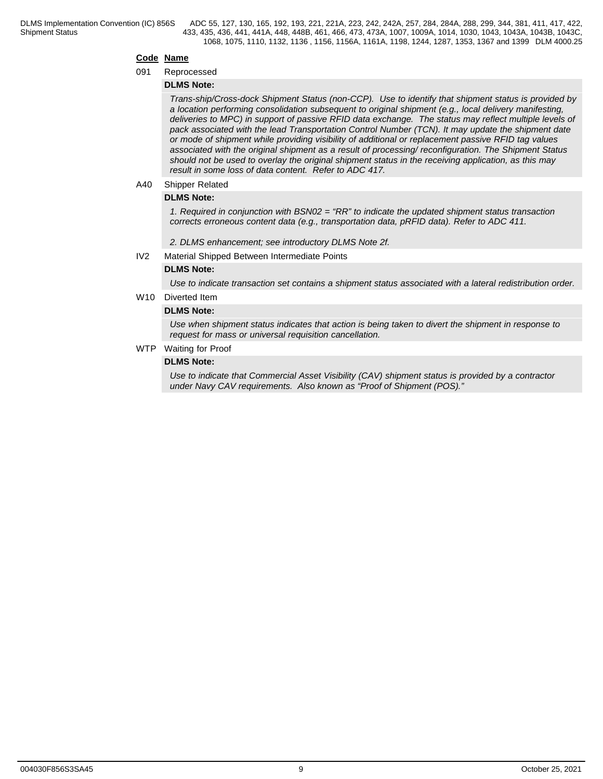## **Code Name**

#### 091 Reprocessed

## **DLMS Note:**

*Trans-ship/Cross-dock Shipment Status (non-CCP). Use to identify that shipment status is provided by a location performing consolidation subsequent to original shipment (e.g., local delivery manifesting, deliveries to MPC) in support of passive RFID data exchange. The status may reflect multiple levels of pack associated with the lead Transportation Control Number (TCN). It may update the shipment date or mode of shipment while providing visibility of additional or replacement passive RFID tag values associated with the original shipment as a result of processing/ reconfiguration. The Shipment Status should not be used to overlay the original shipment status in the receiving application, as this may result in some loss of data content. Refer to ADC 417.*

## A40 Shipper Related

## **DLMS Note:**

*1. Required in conjunction with BSN02 = "RR" to indicate the updated shipment status transaction corrects erroneous content data (e.g., transportation data, pRFID data). Refer to ADC 411.*

- *2. DLMS enhancement; see introductory DLMS Note 2f.*
- IV2 Material Shipped Between Intermediate Points

## **DLMS Note:**

*Use to indicate transaction set contains a shipment status associated with a lateral redistribution order.*

W<sub>10</sub> Diverted Item

## **DLMS Note:**

*Use when shipment status indicates that action is being taken to divert the shipment in response to request for mass or universal requisition cancellation.*

WTP Waiting for Proof

## **DLMS Note:**

*Use to indicate that Commercial Asset Visibility (CAV) shipment status is provided by a contractor under Navy CAV requirements. Also known as "Proof of Shipment (POS)."*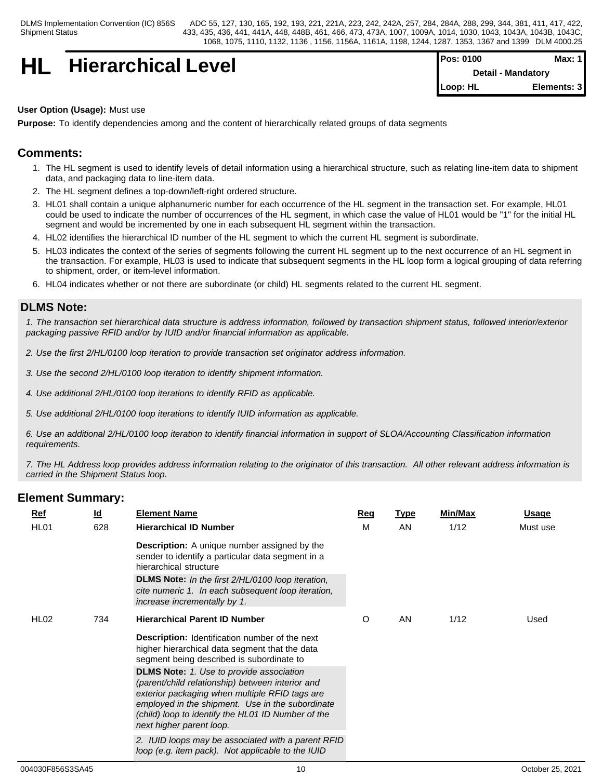## **HL Hierarchical Level Pos: 0100 Max: 1**

| <b>IPos: 0100</b>         | Max: 1 l    |  |
|---------------------------|-------------|--|
| <b>Detail - Mandatory</b> |             |  |
| ∥Loop: HL                 | Elements: 3 |  |

## **User Option (Usage):** Must use

**Purpose:** To identify dependencies among and the content of hierarchically related groups of data segments

## **Comments:**

- 1. The HL segment is used to identify levels of detail information using a hierarchical structure, such as relating line-item data to shipment data, and packaging data to line-item data.
- 2. The HL segment defines a top-down/left-right ordered structure.
- 3. HL01 shall contain a unique alphanumeric number for each occurrence of the HL segment in the transaction set. For example, HL01 could be used to indicate the number of occurrences of the HL segment, in which case the value of HL01 would be "1" for the initial HL segment and would be incremented by one in each subsequent HL segment within the transaction.
- 4. HL02 identifies the hierarchical ID number of the HL segment to which the current HL segment is subordinate.
- 5. HL03 indicates the context of the series of segments following the current HL segment up to the next occurrence of an HL segment in the transaction. For example, HL03 is used to indicate that subsequent segments in the HL loop form a logical grouping of data referring to shipment, order, or item-level information.
- 6. HL04 indicates whether or not there are subordinate (or child) HL segments related to the current HL segment.

## **DLMS Note:**

*1. The transaction set hierarchical data structure is address information, followed by transaction shipment status, followed interior/exterior packaging passive RFID and/or by IUID and/or financial information as applicable.* 

- *2. Use the first 2/HL/0100 loop iteration to provide transaction set originator address information.*
- *3. Use the second 2/HL/0100 loop iteration to identify shipment information.*
- *4. Use additional 2/HL/0100 loop iterations to identify RFID as applicable.*
- *5. Use additional 2/HL/0100 loop iterations to identify IUID information as applicable.*

*6. Use an additional 2/HL/0100 loop iteration to identify financial information in support of SLOA/Accounting Classification information requirements.*

*7. The HL Address loop provides address information relating to the originator of this transaction. All other relevant address information is carried in the Shipment Status loop.*

| <u>Ref</u><br>HL <sub>01</sub> | <u>ld</u><br>628 | <b>Element Name</b><br><b>Hierarchical ID Number</b>                                                                                                                                                                                                                                                          | <u>Req</u><br>M | <u>Type</u><br>AN. | Min/Max<br>1/12 | <u>Usage</u><br>Must use |
|--------------------------------|------------------|---------------------------------------------------------------------------------------------------------------------------------------------------------------------------------------------------------------------------------------------------------------------------------------------------------------|-----------------|--------------------|-----------------|--------------------------|
|                                |                  | <b>Description:</b> A unique number assigned by the<br>sender to identify a particular data segment in a<br>hierarchical structure                                                                                                                                                                            |                 |                    |                 |                          |
|                                |                  | <b>DLMS Note:</b> In the first 2/HL/0100 loop iteration,<br>cite numeric 1. In each subsequent loop iteration,<br>increase incrementally by 1.                                                                                                                                                                |                 |                    |                 |                          |
| HL <sub>02</sub>               | 734              | <b>Hierarchical Parent ID Number</b>                                                                                                                                                                                                                                                                          | O               | AN                 | 1/12            | Used                     |
|                                |                  | <b>Description:</b> Identification number of the next<br>higher hierarchical data segment that the data<br>segment being described is subordinate to<br><b>DLMS Note:</b> 1. Use to provide association<br>(parent/child relationship) between interior and<br>exterior packaging when multiple RFID tags are |                 |                    |                 |                          |
|                                |                  | employed in the shipment. Use in the subordinate<br>(child) loop to identify the HL01 ID Number of the<br>next higher parent loop.                                                                                                                                                                            |                 |                    |                 |                          |
|                                |                  | 2. IUID loops may be associated with a parent RFID<br>loop (e.g. item pack). Not applicable to the IUID                                                                                                                                                                                                       |                 |                    |                 |                          |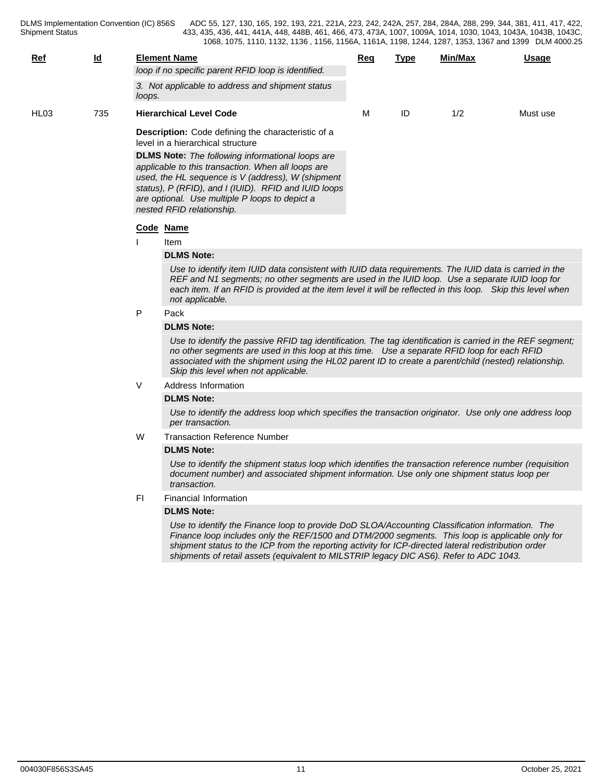Shipment Status

DLMS Implementation Convention (IC) 856S ADC 55, 127, 130, 165, 192, 193, 221, 221A, 223, 242, 242A, 257, 284, 284A, 288, 299, 344, 381, 411, 417, 422, 433, 435, 436, 441, 441A, 448, 448B, 461, 466, 473, 473A, 1007, 1009A, 1014, 1030, 1043, 1043A, 1043B, 1043C, 1068, 1075, 1110, 1132, 1136 , 1156, 1156A, 1161A, 1198, 1244, 1287, 1353, 1367 and 1399 DLM 4000.25

| loop if no specific parent RFID loop is identified.<br>3. Not applicable to address and shipment status<br>loops.<br>ID<br>735<br>1/2<br><b>Hierarchical Level Code</b><br>М<br>Must use<br><b>Description:</b> Code defining the characteristic of a<br>level in a hierarchical structure<br><b>DLMS Note:</b> The following informational loops are<br>applicable to this transaction. When all loops are<br>used, the HL sequence is V (address), W (shipment<br>status), P (RFID), and I (IUID). RFID and IUID loops<br>are optional. Use multiple P loops to depict a<br>nested RFID relationship. | <b>Ref</b>       | $\underline{\mathsf{Id}}$ | <b>Element Name</b> | Req | Type | Min/Max | Usage |
|---------------------------------------------------------------------------------------------------------------------------------------------------------------------------------------------------------------------------------------------------------------------------------------------------------------------------------------------------------------------------------------------------------------------------------------------------------------------------------------------------------------------------------------------------------------------------------------------------------|------------------|---------------------------|---------------------|-----|------|---------|-------|
|                                                                                                                                                                                                                                                                                                                                                                                                                                                                                                                                                                                                         |                  |                           |                     |     |      |         |       |
|                                                                                                                                                                                                                                                                                                                                                                                                                                                                                                                                                                                                         |                  |                           |                     |     |      |         |       |
|                                                                                                                                                                                                                                                                                                                                                                                                                                                                                                                                                                                                         | HL <sub>03</sub> |                           |                     |     |      |         |       |
|                                                                                                                                                                                                                                                                                                                                                                                                                                                                                                                                                                                                         |                  |                           |                     |     |      |         |       |
|                                                                                                                                                                                                                                                                                                                                                                                                                                                                                                                                                                                                         |                  |                           |                     |     |      |         |       |
|                                                                                                                                                                                                                                                                                                                                                                                                                                                                                                                                                                                                         |                  |                           |                     |     |      |         |       |

## **Code Name**

I item the state of the state of the state of the state of the state of the state of the state of the state of the state of the state of the state of the state of the state of the state of the state of the state of the sta

#### **DLMS Note:**

*Use to identify item IUID data consistent with IUID data requirements. The IUID data is carried in the REF and N1 segments; no other segments are used in the IUID loop. Use a separate IUID loop for each item. If an RFID is provided at the item level it will be reflected in this loop. Skip this level when not applicable.*

## P Pack and the Pack of the Pack of the Pack of the Pack of the Pack of the Pack of the Pack of the Pack of the Pack of the Pack of the Pack of the Pack of the Pack of the Pack of the Pack of the Pack of the Pack of the Pac

## **DLMS Note:**

*Use to identify the passive RFID tag identification. The tag identification is carried in the REF segment; no other segments are used in this loop at this time. Use a separate RFID loop for each RFID associated with the shipment using the HL02 parent ID to create a parent/child (nested) relationship. Skip this level when not applicable.*

V Address Information

## **DLMS Note:**

*Use to identify the address loop which specifies the transaction originator. Use only one address loop per transaction.*

W Transaction Reference Number

## **DLMS Note:**

*Use to identify the shipment status loop which identifies the transaction reference number (requisition document number) and associated shipment information. Use only one shipment status loop per transaction.*

FI Financial Information

## **DLMS Note:**

*Use to identify the Finance loop to provide DoD SLOA/Accounting Classification information. The Finance loop includes only the REF/1500 and DTM/2000 segments. This loop is applicable only for shipment status to the ICP from the reporting activity for ICP-directed lateral redistribution order shipments of retail assets (equivalent to MILSTRIP legacy DIC AS6). Refer to ADC 1043.*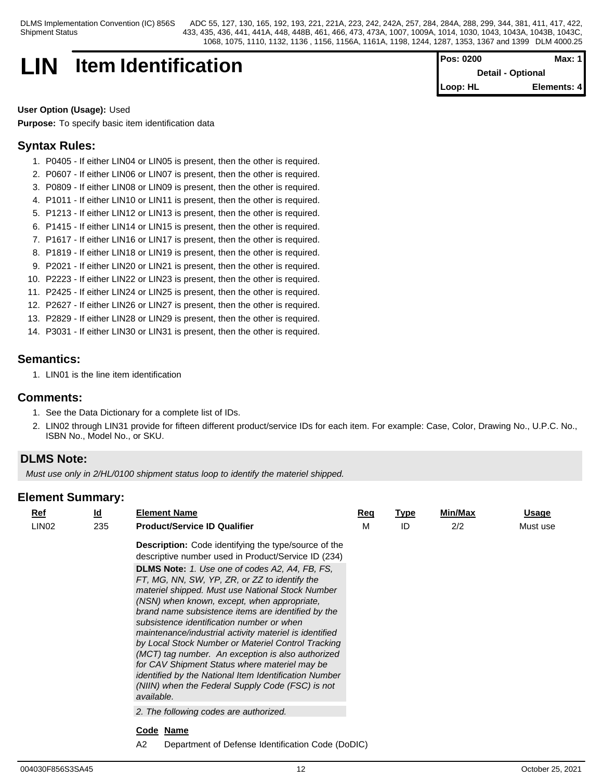> **Detail - Optional Loop: HL Elements: 4**

## **LIN Item Identification Pos: 0200 Max: 1**

**User Option (Usage):** Used

**Purpose:** To specify basic item identification data

## **Syntax Rules:**

- 1. P0405 If either LIN04 or LIN05 is present, then the other is required.
- 2. P0607 If either LIN06 or LIN07 is present, then the other is required.
- 3. P0809 If either LIN08 or LIN09 is present, then the other is required.
- 4. P1011 If either LIN10 or LIN11 is present, then the other is required.
- 5. P1213 If either LIN12 or LIN13 is present, then the other is required.
- 6. P1415 If either LIN14 or LIN15 is present, then the other is required.
- 7. P1617 If either LIN16 or LIN17 is present, then the other is required.
- 8. P1819 If either LIN18 or LIN19 is present, then the other is required.
- 9. P2021 If either LIN20 or LIN21 is present, then the other is required.
- 10. P2223 If either LIN22 or LIN23 is present, then the other is required.
- 11. P2425 If either LIN24 or LIN25 is present, then the other is required.
- 12. P2627 If either LIN26 or LIN27 is present, then the other is required.
- 13. P2829 If either LIN28 or LIN29 is present, then the other is required.
- 14. P3031 If either LIN30 or LIN31 is present, then the other is required.

## **Semantics:**

1. LIN01 is the line item identification

## **Comments:**

- 1. See the Data Dictionary for a complete list of IDs.
- 2. LIN02 through LIN31 provide for fifteen different product/service IDs for each item. For example: Case, Color, Drawing No., U.P.C. No., ISBN No., Model No., or SKU.

## **DLMS Note:**

*Must use only in 2/HL/0100 shipment status loop to identify the materiel shipped.*

| $Ref$             | <u>ld</u> | <b>Element Name</b>                                                                                                                                                                                                                                                                                                                                                                                                                                                                                                                                                                                                                                           | Req | <b>Type</b> | Min/Max | Usage    |  |
|-------------------|-----------|---------------------------------------------------------------------------------------------------------------------------------------------------------------------------------------------------------------------------------------------------------------------------------------------------------------------------------------------------------------------------------------------------------------------------------------------------------------------------------------------------------------------------------------------------------------------------------------------------------------------------------------------------------------|-----|-------------|---------|----------|--|
| LIN <sub>02</sub> | 235       | <b>Product/Service ID Qualifier</b>                                                                                                                                                                                                                                                                                                                                                                                                                                                                                                                                                                                                                           | M   | ID          | 2/2     | Must use |  |
|                   |           | <b>Description:</b> Code identifying the type/source of the<br>descriptive number used in Product/Service ID (234)                                                                                                                                                                                                                                                                                                                                                                                                                                                                                                                                            |     |             |         |          |  |
|                   |           | <b>DLMS Note:</b> 1. Use one of codes A2, A4, FB, FS,<br>FT, MG, NN, SW, YP, ZR, or ZZ to identify the<br>materiel shipped. Must use National Stock Number<br>(NSN) when known, except, when appropriate,<br>brand name subsistence items are identified by the<br>subsistence identification number or when<br>maintenance/industrial activity materiel is identified<br>by Local Stock Number or Materiel Control Tracking<br>(MCT) tag number. An exception is also authorized<br>for CAV Shipment Status where materiel may be<br>identified by the National Item Identification Number<br>(NIIN) when the Federal Supply Code (FSC) is not<br>available. |     |             |         |          |  |
|                   |           | 2. The following codes are authorized.                                                                                                                                                                                                                                                                                                                                                                                                                                                                                                                                                                                                                        |     |             |         |          |  |
|                   |           | Code Name                                                                                                                                                                                                                                                                                                                                                                                                                                                                                                                                                                                                                                                     |     |             |         |          |  |
|                   |           | A2<br>Department of Defense Identification Code (DoDIC)                                                                                                                                                                                                                                                                                                                                                                                                                                                                                                                                                                                                       |     |             |         |          |  |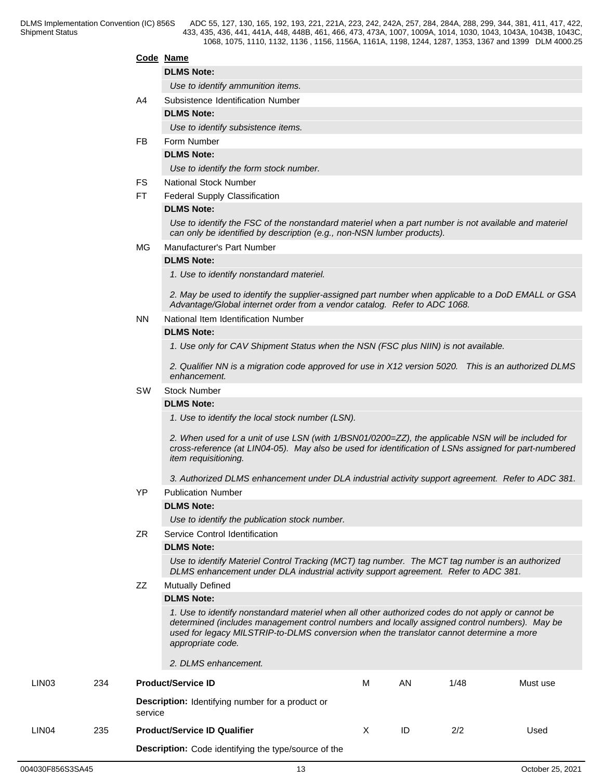## **Code Name**

## **DLMS Note:**

*Use to identify ammunition items.*

A4 Subsistence Identification Number

## **DLMS Note:**

*Use to identify subsistence items.*

FB Form Number

## **DLMS Note:**

*Use to identify the form stock number.*

- FS National Stock Number
- FT Federal Supply Classification

## **DLMS Note:**

*Use to identify the FSC of the nonstandard materiel when a part number is not available and materiel can only be identified by description (e.g., non-NSN lumber products).*

MG Manufacturer's Part Number

## **DLMS Note:**

*1. Use to identify nonstandard materiel.*

*2. May be used to identify the supplier-assigned part number when applicable to a DoD EMALL or GSA Advantage/Global internet order from a vendor catalog. Refer to ADC 1068.*

## NN National Item Identification Number

## **DLMS Note:**

*1. Use only for CAV Shipment Status when the NSN (FSC plus NIIN) is not available.* 

*2. Qualifier NN is a migration code approved for use in X12 version 5020. This is an authorized DLMS enhancement.*

## SW Stock Number

## **DLMS Note:**

*1. Use to identify the local stock number (LSN).* 

*2. When used for a unit of use LSN (with 1/BSN01/0200=ZZ), the applicable NSN will be included for cross-reference (at LIN04-05). May also be used for identification of LSNs assigned for part-numbered item requisitioning.*

*3. Authorized DLMS enhancement under DLA industrial activity support agreement. Refer to ADC 381.*

YP Publication Number

## **DLMS Note:**

*Use to identify the publication stock number.*

ZR Service Control Identification

## **DLMS Note:**

*Use to identify Materiel Control Tracking (MCT) tag number. The MCT tag number is an authorized DLMS enhancement under DLA industrial activity support agreement. Refer to ADC 381.*

ZZ Mutually Defined

## **DLMS Note:**

*1. Use to identify nonstandard materiel when all other authorized codes do not apply or cannot be determined (includes management control numbers and locally assigned control numbers). May be used for legacy MILSTRIP-to-DLMS conversion when the translator cannot determine a more appropriate code.* 

*2. DLMS enhancement.*

| LIN <sub>03</sub> | 234 | <b>Product/Service ID</b>                                          | М | AN | 1/48 | Must use |
|-------------------|-----|--------------------------------------------------------------------|---|----|------|----------|
|                   |     | <b>Description:</b> Identifying number for a product or<br>service |   |    |      |          |
| LIN <sub>04</sub> | 235 | <b>Product/Service ID Qualifier</b>                                | X | ID | 2/2  | Used     |
|                   |     | Description: Code identifying the type/source of the               |   |    |      |          |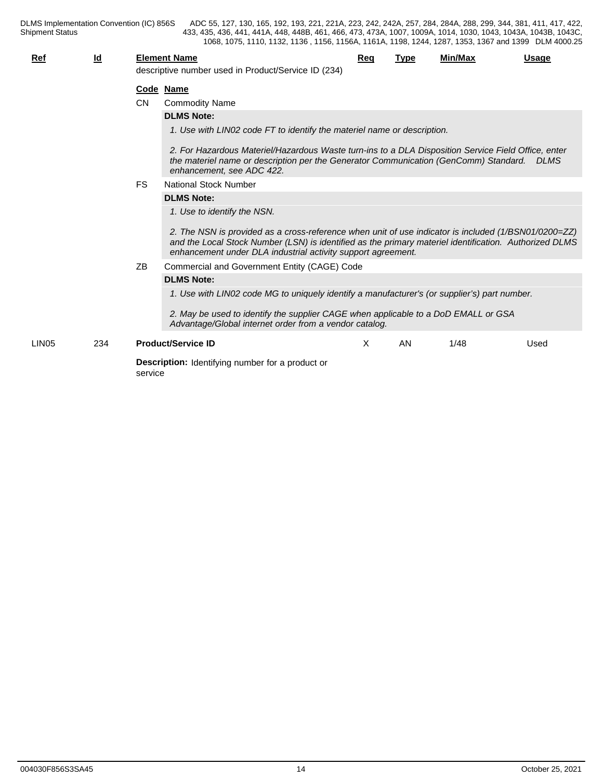DLMS Implementation Convention (IC) 856S<br>Shipment Status

DLMS Implementation Convention (IC) 856S ADC 55, 127, 130, 165, 192, 193, 221, 221A, 223, 242, 242A, 257, 284, 284A, 288, 299, 344, 381, 411, 417, 422, 433, 435, 436, 441, 441A, 448, 448B, 461, 466, 473, 473A, 1007, 1009A, 1014, 1030, 1043, 1043A, 1043B, 1043C, 1068, 1075, 1110, 1132, 1136 , 1156, 1156A, 1161A, 1198, 1244, 1287, 1353, 1367 and 1399 DLM 4000.25

| Ref               | $\underline{\mathsf{Id}}$                 |           | <b>Element Name</b><br>descriptive number used in Product/Service ID (234)                                                                                                                                                                                                                                    | Reg | <b>Type</b> | Min/Max | <b>Usage</b> |  |
|-------------------|-------------------------------------------|-----------|---------------------------------------------------------------------------------------------------------------------------------------------------------------------------------------------------------------------------------------------------------------------------------------------------------------|-----|-------------|---------|--------------|--|
|                   |                                           |           | Code Name                                                                                                                                                                                                                                                                                                     |     |             |         |              |  |
|                   |                                           | <b>CN</b> | <b>Commodity Name</b>                                                                                                                                                                                                                                                                                         |     |             |         |              |  |
|                   |                                           |           | <b>DLMS Note:</b>                                                                                                                                                                                                                                                                                             |     |             |         |              |  |
|                   |                                           |           | 1. Use with LIN02 code FT to identify the materiel name or description.                                                                                                                                                                                                                                       |     |             |         |              |  |
|                   |                                           |           | 2. For Hazardous Materiel/Hazardous Waste turn-ins to a DLA Disposition Service Field Office, enter<br>the materiel name or description per the Generator Communication (GenComm) Standard.<br>enhancement, see ADC 422.                                                                                      |     |             |         | <b>DLMS</b>  |  |
|                   | <b>FS</b><br><b>National Stock Number</b> |           |                                                                                                                                                                                                                                                                                                               |     |             |         |              |  |
|                   |                                           |           | <b>DLMS Note:</b>                                                                                                                                                                                                                                                                                             |     |             |         |              |  |
|                   |                                           |           | 1. Use to identify the NSN.<br>2. The NSN is provided as a cross-reference when unit of use indicator is included (1/BSN01/0200=ZZ)<br>and the Local Stock Number (LSN) is identified as the primary materiel identification. Authorized DLMS<br>enhancement under DLA industrial activity support agreement. |     |             |         |              |  |
|                   |                                           | ZB        | Commercial and Government Entity (CAGE) Code                                                                                                                                                                                                                                                                  |     |             |         |              |  |
|                   |                                           |           | <b>DLMS Note:</b>                                                                                                                                                                                                                                                                                             |     |             |         |              |  |
|                   |                                           |           | 1. Use with LIN02 code MG to uniquely identify a manufacturer's (or supplier's) part number.                                                                                                                                                                                                                  |     |             |         |              |  |
|                   |                                           |           | 2. May be used to identify the supplier CAGE when applicable to a DoD EMALL or GSA<br>Advantage/Global internet order from a vendor catalog.                                                                                                                                                                  |     |             |         |              |  |
| LIN <sub>05</sub> | 234                                       |           | <b>Product/Service ID</b>                                                                                                                                                                                                                                                                                     | X   | AN          | 1/48    | Used         |  |
|                   |                                           | service   | <b>Description:</b> Identifying number for a product or                                                                                                                                                                                                                                                       |     |             |         |              |  |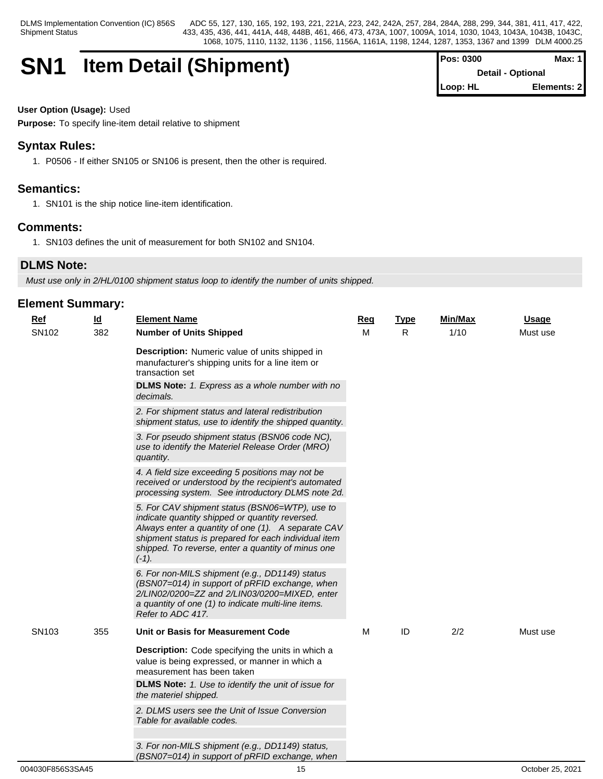# **SN1 Item Detail (Shipment)**

| <b>Pos: 0300</b> | Max: 1                   |
|------------------|--------------------------|
|                  | <b>Detail - Optional</b> |
| Loop: HL         | Elements: 2              |

## **User Option (Usage):** Used

**Purpose:** To specify line-item detail relative to shipment

## **Syntax Rules:**

1. P0506 - If either SN105 or SN106 is present, then the other is required.

## **Semantics:**

1. SN101 is the ship notice line-item identification.

## **Comments:**

1. SN103 defines the unit of measurement for both SN102 and SN104.

## **DLMS Note:**

*Must use only in 2/HL/0100 shipment status loop to identify the number of units shipped.*

| $\underline{\mathsf{Id}}$<br>$Ref$ |     | <b>Element Name</b>                                                                                                                                                                                                                                                               | <b>Req</b> | <b>Type</b> | Min/Max | <b>Usage</b> |
|------------------------------------|-----|-----------------------------------------------------------------------------------------------------------------------------------------------------------------------------------------------------------------------------------------------------------------------------------|------------|-------------|---------|--------------|
| SN102                              | 382 | <b>Number of Units Shipped</b>                                                                                                                                                                                                                                                    | м          | R.          | 1/10    | Must use     |
|                                    |     | <b>Description:</b> Numeric value of units shipped in<br>manufacturer's shipping units for a line item or<br>transaction set                                                                                                                                                      |            |             |         |              |
|                                    |     | <b>DLMS Note:</b> 1. Express as a whole number with no<br>decimals.                                                                                                                                                                                                               |            |             |         |              |
|                                    |     | 2. For shipment status and lateral redistribution<br>shipment status, use to identify the shipped quantity.                                                                                                                                                                       |            |             |         |              |
|                                    |     | 3. For pseudo shipment status (BSN06 code NC),<br>use to identify the Materiel Release Order (MRO)<br>quantity.                                                                                                                                                                   |            |             |         |              |
|                                    |     | 4. A field size exceeding 5 positions may not be<br>received or understood by the recipient's automated<br>processing system. See introductory DLMS note 2d.                                                                                                                      |            |             |         |              |
|                                    |     | 5. For CAV shipment status (BSN06=WTP), use to<br>indicate quantity shipped or quantity reversed.<br>Always enter a quantity of one (1). A separate CAV<br>shipment status is prepared for each individual item<br>shipped. To reverse, enter a quantity of minus one<br>$(-1)$ . |            |             |         |              |
|                                    |     | 6. For non-MILS shipment (e.g., DD1149) status<br>(BSN07=014) in support of pRFID exchange, when<br>2/LIN02/0200=ZZ and 2/LIN03/0200=MIXED, enter<br>a quantity of one (1) to indicate multi-line items.<br>Refer to ADC 417.                                                     |            |             |         |              |
| SN <sub>103</sub>                  | 355 | Unit or Basis for Measurement Code                                                                                                                                                                                                                                                | M          | ID          | 2/2     | Must use     |
|                                    |     | Description: Code specifying the units in which a<br>value is being expressed, or manner in which a<br>measurement has been taken                                                                                                                                                 |            |             |         |              |
|                                    |     | DLMS Note: 1. Use to identify the unit of issue for<br>the materiel shipped.                                                                                                                                                                                                      |            |             |         |              |
|                                    |     | 2. DLMS users see the Unit of Issue Conversion<br>Table for available codes.                                                                                                                                                                                                      |            |             |         |              |
|                                    |     | 3. For non-MILS shipment (e.g., DD1149) status,<br>(BSN07=014) in support of pRFID exchange, when                                                                                                                                                                                 |            |             |         |              |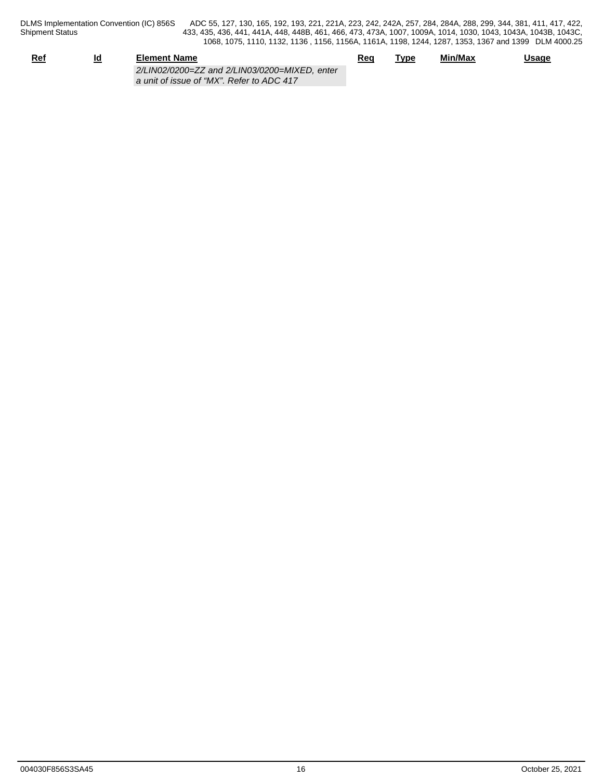DLMS Implementation Convention (IC) 856S<br>Shipment Status

DLMS Implementation Convention (IC) 856S ADC 55, 127, 130, 165, 192, 193, 221, 221A, 223, 242, 242A, 257, 284, 284A, 288, 299, 344, 381, 411, 417, 422, 433, 435, 436, 441, 441A, 448, 448B, 461, 466, 473, 473A, 1007, 1009A, 1014, 1030, 1043, 1043A, 1043B, 1043C, 1068, 1075, 1110, 1132, 1136 , 1156, 1156A, 1161A, 1198, 1244, 1287, 1353, 1367 and 1399 DLM 4000.25

| <u>Ref</u> | <u>ια</u> | <b>Element Name</b>                                                                        | Req | Tvpe | Min/Max | <b>Usage</b> |
|------------|-----------|--------------------------------------------------------------------------------------------|-----|------|---------|--------------|
|            |           | 2/LIN02/0200=ZZ and 2/LIN03/0200=MIXED, enter<br>a unit of issue of "MX". Refer to ADC 417 |     |      |         |              |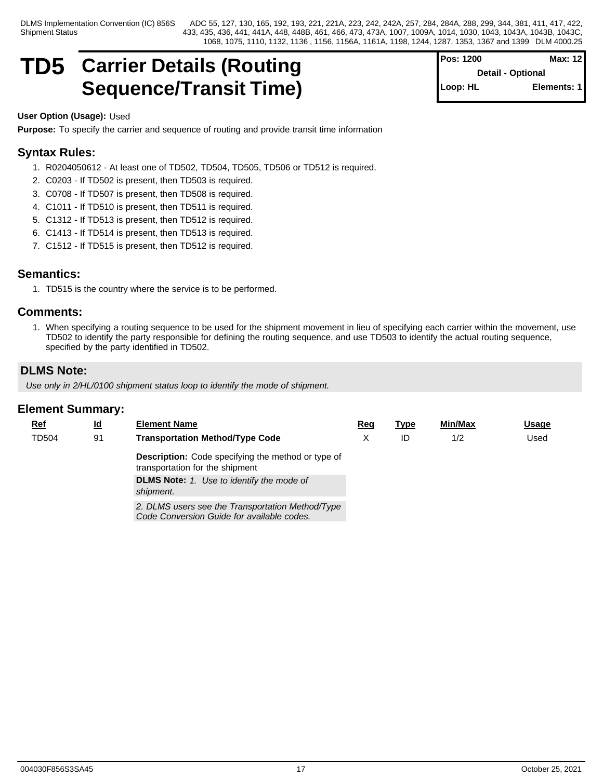## **TD5** Carrier Details (Routing For Setail optional Retail optional Max: 12 **Sequence/Transit Time)** Sequence/Transit Time

**Pos: 1200 Max: 12 Detail - Optional Elements: 1** 

## **User Option (Usage):** Used

**Purpose:** To specify the carrier and sequence of routing and provide transit time information

## **Syntax Rules:**

- 1. R0204050612 At least one of TD502, TD504, TD505, TD506 or TD512 is required.
- 2. C0203 If TD502 is present, then TD503 is required.
- 3. C0708 If TD507 is present, then TD508 is required.
- 4. C1011 If TD510 is present, then TD511 is required.
- 5. C1312 If TD513 is present, then TD512 is required.
- 6. C1413 If TD514 is present, then TD513 is required.
- 7. C1512 If TD515 is present, then TD512 is required.

## **Semantics:**

1. TD515 is the country where the service is to be performed.

## **Comments:**

1. When specifying a routing sequence to be used for the shipment movement in lieu of specifying each carrier within the movement, use TD502 to identify the party responsible for defining the routing sequence, and use TD503 to identify the actual routing sequence, specified by the party identified in TD502.

## **DLMS Note:**

*Use only in 2/HL/0100 shipment status loop to identify the mode of shipment.*

| $Ref$ | <u>ld</u> | <b>Element Name</b>                                                                            | Reg | <u>Type</u> | Min/Max | <b>Usage</b> |
|-------|-----------|------------------------------------------------------------------------------------------------|-----|-------------|---------|--------------|
| TD504 | 91        | <b>Transportation Method/Type Code</b>                                                         |     | ID          | 1/2     | Used         |
|       |           | <b>Description:</b> Code specifying the method or type of<br>transportation for the shipment   |     |             |         |              |
|       |           | <b>DLMS Note:</b> 1. Use to identify the mode of<br>shipment.                                  |     |             |         |              |
|       |           | 2. DLMS users see the Transportation Method/Type<br>Code Conversion Guide for available codes. |     |             |         |              |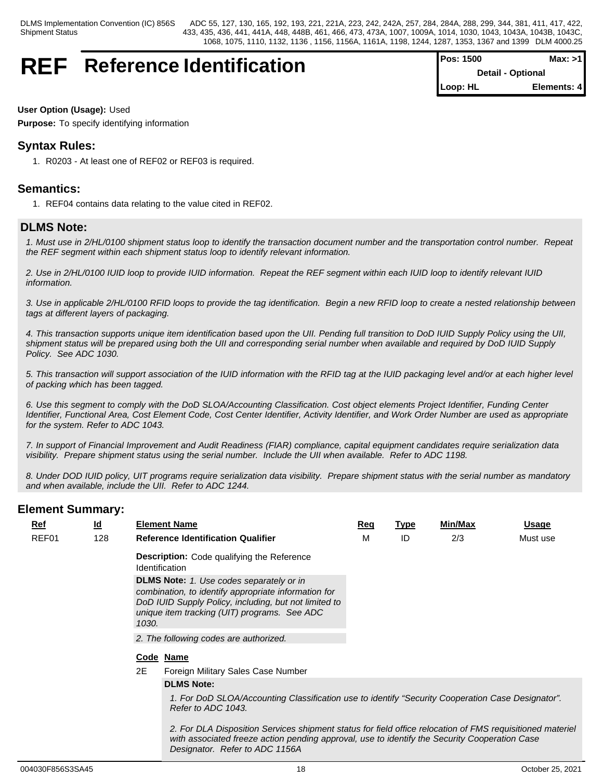## **REF** Reference Identification

| Pos: 1500 | Max: >1                  |
|-----------|--------------------------|
|           | <b>Detail - Optional</b> |
| Loop: HL  | Elements: 4              |

## **User Option (Usage):** Used

**Purpose:** To specify identifying information

## **Syntax Rules:**

1. R0203 - At least one of REF02 or REF03 is required.

## **Semantics:**

1. REF04 contains data relating to the value cited in REF02.

## **DLMS Note:**

*1. Must use in 2/HL/0100 shipment status loop to identify the transaction document number and the transportation control number. Repeat the REF segment within each shipment status loop to identify relevant information.*

*2. Use in 2/HL/0100 IUID loop to provide IUID information. Repeat the REF segment within each IUID loop to identify relevant IUID information.*

*3. Use in applicable 2/HL/0100 RFID loops to provide the tag identification. Begin a new RFID loop to create a nested relationship between tags at different layers of packaging.*

*4. This transaction supports unique item identification based upon the UII. Pending full transition to DoD IUID Supply Policy using the UII, shipment status will be prepared using both the UII and corresponding serial number when available and required by DoD IUID Supply Policy. See ADC 1030.*

*5. This transaction will support association of the IUID information with the RFID tag at the IUID packaging level and/or at each higher level of packing which has been tagged.*

*6. Use this segment to comply with the DoD SLOA/Accounting Classification. Cost object elements Project Identifier, Funding Center Identifier, Functional Area, Cost Element Code, Cost Center Identifier, Activity Identifier, and Work Order Number are used as appropriate for the system. Refer to ADC 1043.*

*7. In support of Financial Improvement and Audit Readiness (FIAR) compliance, capital equipment candidates require serialization data visibility. Prepare shipment status using the serial number. Include the UII when available. Refer to ADC 1198.*

*8. Under DOD IUID policy, UIT programs require serialization data visibility. Prepare shipment status with the serial number as mandatory and when available, include the UII. Refer to ADC 1244.*

## **Element Summary:**

| $Ref$ | <u>ld</u> |       | <b>Element Name</b>                                                                                                                                                                                              | Req | <u>Type</u> | Min/Max | Usage    |
|-------|-----------|-------|------------------------------------------------------------------------------------------------------------------------------------------------------------------------------------------------------------------|-----|-------------|---------|----------|
| REF01 | 128       |       | <b>Reference Identification Qualifier</b>                                                                                                                                                                        | M   | ID          | 2/3     | Must use |
|       |           |       | <b>Description:</b> Code qualifying the Reference<br><b>Identification</b>                                                                                                                                       |     |             |         |          |
|       |           | 1030. | <b>DLMS Note:</b> 1. Use codes separately or in<br>combination, to identify appropriate information for<br>DoD IUID Supply Policy, including, but not limited to<br>unique item tracking (UIT) programs. See ADC |     |             |         |          |
|       |           |       | 2. The following codes are authorized.                                                                                                                                                                           |     |             |         |          |
|       |           |       | Code Name                                                                                                                                                                                                        |     |             |         |          |
|       |           | 2E    | Foreign Military Sales Case Number                                                                                                                                                                               |     |             |         |          |
|       |           |       | <b>DLMS Note:</b>                                                                                                                                                                                                |     |             |         |          |
|       |           |       | 1. For DoD SLOA/Accounting Classification use to identify "Security Cooperation Case Designator".<br>Refer to ADC 1043.                                                                                          |     |             |         |          |
|       |           |       |                                                                                                                                                                                                                  |     |             |         |          |

*2. For DLA Disposition Services shipment status for field office relocation of FMS requisitioned materiel with associated freeze action pending approval, use to identify the Security Cooperation Case Designator. Refer to ADC 1156A*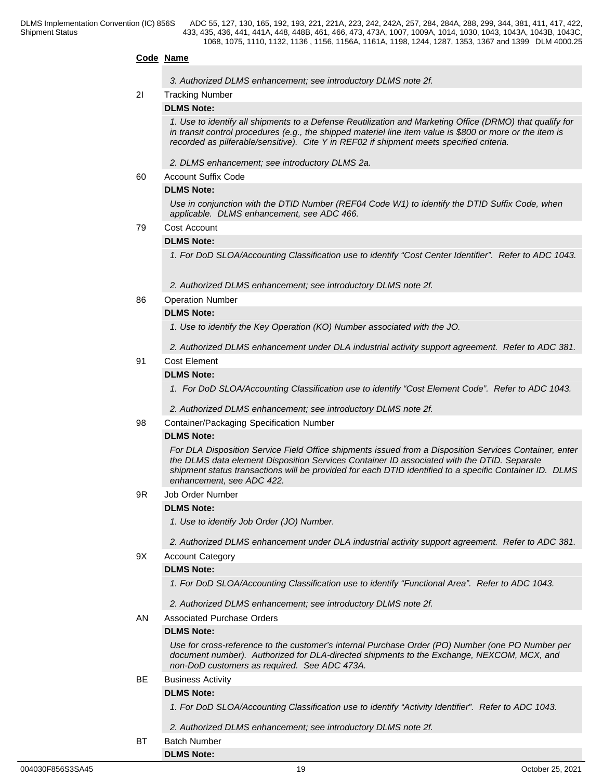## **Code Name**

*3. Authorized DLMS enhancement; see introductory DLMS note 2f.*

## 2I Tracking Number

## **DLMS Note:**

*1. Use to identify all shipments to a Defense Reutilization and Marketing Office (DRMO) that qualify for in transit control procedures (e.g., the shipped materiel line item value is \$800 or more or the item is recorded as pilferable/sensitive). Cite Y in REF02 if shipment meets specified criteria.*

*2. DLMS enhancement; see introductory DLMS 2a.*

60 Account Suffix Code

## **DLMS Note:**

*Use in conjunction with the DTID Number (REF04 Code W1) to identify the DTID Suffix Code, when applicable. DLMS enhancement, see ADC 466.*

## 79 Cost Account

## **DLMS Note:**

*1. For DoD SLOA/Accounting Classification use to identify "Cost Center Identifier". Refer to ADC 1043.* 

*2. Authorized DLMS enhancement; see introductory DLMS note 2f.*

86 Operation Number

## **DLMS Note:**

*1. Use to identify the Key Operation (KO) Number associated with the JO.* 

*2. Authorized DLMS enhancement under DLA industrial activity support agreement. Refer to ADC 381.*

## 91 Cost Element

## **DLMS Note:**

1. For DoD SLOA/Accounting Classification use to identify "Cost Element Code". Refer to ADC 1043.

*2. Authorized DLMS enhancement; see introductory DLMS note 2f.*

98 Container/Packaging Specification Number

## **DLMS Note:**

*For DLA Disposition Service Field Office shipments issued from a Disposition Services Container, enter the DLMS data element Disposition Services Container ID associated with the DTID. Separate shipment status transactions will be provided for each DTID identified to a specific Container ID. DLMS enhancement, see ADC 422.*

9R Job Order Number

## **DLMS Note:**

*1. Use to identify Job Order (JO) Number.* 

*2. Authorized DLMS enhancement under DLA industrial activity support agreement. Refer to ADC 381.*

9X Account Category

## **DLMS Note:**

*1. For DoD SLOA/Accounting Classification use to identify "Functional Area". Refer to ADC 1043.* 

*2. Authorized DLMS enhancement; see introductory DLMS note 2f.*

AN Associated Purchase Orders

#### **DLMS Note:**

*Use for cross-reference to the customer's internal Purchase Order (PO) Number (one PO Number per document number). Authorized for DLA-directed shipments to the Exchange, NEXCOM, MCX, and non-DoD customers as required. See ADC 473A.*

## BE Business Activity

## **DLMS Note:**

**DLMS Note:**

*1. For DoD SLOA/Accounting Classification use to identify "Activity Identifier". Refer to ADC 1043.* 

*2. Authorized DLMS enhancement; see introductory DLMS note 2f.*

BT Batch Number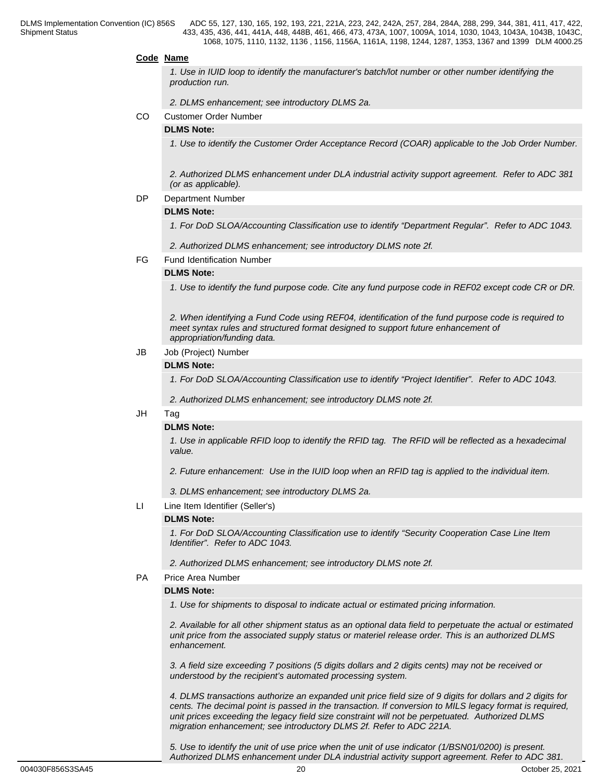### **Code Name**

*1. Use in IUID loop to identify the manufacturer's batch/lot number or other number identifying the production run.*

*2. DLMS enhancement; see introductory DLMS 2a.*

CO Customer Order Number

## **DLMS Note:**

*1. Use to identify the Customer Order Acceptance Record (COAR) applicable to the Job Order Number.*

*2. Authorized DLMS enhancement under DLA industrial activity support agreement. Refer to ADC 381 (or as applicable).*

#### DP Department Number

#### **DLMS Note:**

*1. For DoD SLOA/Accounting Classification use to identify "Department Regular". Refer to ADC 1043.*

*2. Authorized DLMS enhancement; see introductory DLMS note 2f.*

FG Fund Identification Number

#### **DLMS Note:**

*1. Use to identify the fund purpose code. Cite any fund purpose code in REF02 except code CR or DR.* 

*2. When identifying a Fund Code using REF04, identification of the fund purpose code is required to meet syntax rules and structured format designed to support future enhancement of appropriation/funding data.* 

## JB Job (Project) Number

#### **DLMS Note:**

*1. For DoD SLOA/Accounting Classification use to identify "Project Identifier". Refer to ADC 1043.*

*2. Authorized DLMS enhancement; see introductory DLMS note 2f.*

#### JH Tag

## **DLMS Note:**

*1. Use in applicable RFID loop to identify the RFID tag. The RFID will be reflected as a hexadecimal value.*

*2. Future enhancement: Use in the IUID loop when an RFID tag is applied to the individual item.* 

*3. DLMS enhancement; see introductory DLMS 2a.*

LI Line Item Identifier (Seller's)

#### **DLMS Note:**

*1. For DoD SLOA/Accounting Classification use to identify "Security Cooperation Case Line Item Identifier". Refer to ADC 1043.* 

*2. Authorized DLMS enhancement; see introductory DLMS note 2f.*

PA Price Area Number

## **DLMS Note:**

*1. Use for shipments to disposal to indicate actual or estimated pricing information.*

*2. Available for all other shipment status as an optional data field to perpetuate the actual or estimated unit price from the associated supply status or materiel release order. This is an authorized DLMS enhancement.*

*3. A field size exceeding 7 positions (5 digits dollars and 2 digits cents) may not be received or understood by the recipient's automated processing system.*

*4. DLMS transactions authorize an expanded unit price field size of 9 digits for dollars and 2 digits for cents. The decimal point is passed in the transaction. If conversion to MILS legacy format is required, unit prices exceeding the legacy field size constraint will not be perpetuated. Authorized DLMS migration enhancement; see introductory DLMS 2f. Refer to ADC 221A.*

*5. Use to identify the unit of use price when the unit of use indicator (1/BSN01/0200) is present. Authorized DLMS enhancement under DLA industrial activity support agreement. Refer to ADC 381.*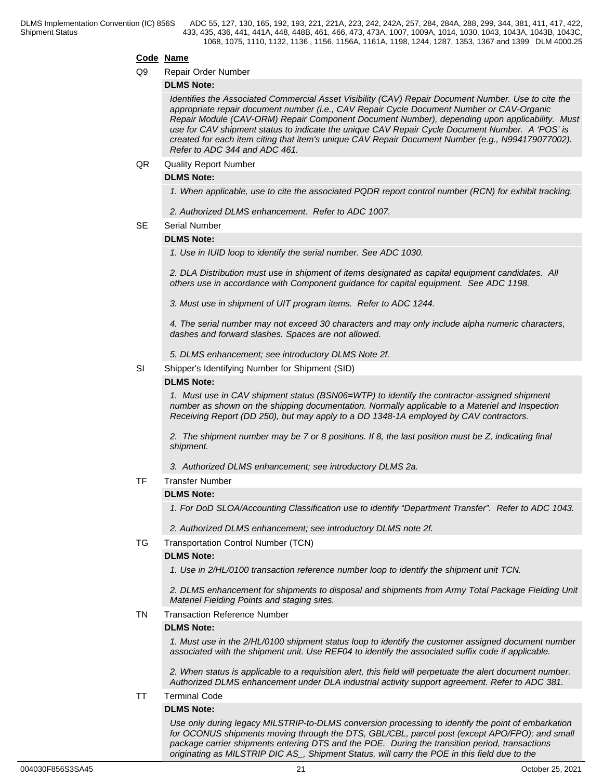## **Code Name**

#### Q9 Repair Order Number

## **DLMS Note:**

*Identifies the Associated Commercial Asset Visibility (CAV) Repair Document Number. Use to cite the appropriate repair document number (i.e., CAV Repair Cycle Document Number or CAV-Organic Repair Module (CAV-ORM) Repair Component Document Number), depending upon applicability. Must use for CAV shipment status to indicate the unique CAV Repair Cycle Document Number. A 'POS' is created for each item citing that item's unique CAV Repair Document Number (e.g., N994179077002). Refer to ADC 344 and ADC 461.*

### QR Quality Report Number

## **DLMS Note:**

*1. When applicable, use to cite the associated PQDR report control number (RCN) for exhibit tracking.*

*2. Authorized DLMS enhancement. Refer to ADC 1007.*

## SE Serial Number

## **DLMS Note:**

*1. Use in IUID loop to identify the serial number. See ADC 1030.*

*2. DLA Distribution must use in shipment of items designated as capital equipment candidates. All others use in accordance with Component guidance for capital equipment. See ADC 1198.*

*3. Must use in shipment of UIT program items. Refer to ADC 1244.*

*4. The serial number may not exceed 30 characters and may only include alpha numeric characters, dashes and forward slashes. Spaces are not allowed.* 

*5. DLMS enhancement; see introductory DLMS Note 2f.*

SI Shipper's Identifying Number for Shipment (SID)

## **DLMS Note:**

*1. Must use in CAV shipment status (BSN06=WTP) to identify the contractor-assigned shipment number as shown on the shipping documentation. Normally applicable to a Materiel and Inspection Receiving Report (DD 250), but may apply to a DD 1348-1A employed by CAV contractors.*

*2. The shipment number may be 7 or 8 positions. If 8, the last position must be Z, indicating final shipment.*

*3. Authorized DLMS enhancement; see introductory DLMS 2a.*

TF Transfer Number

## **DLMS Note:**

*1. For DoD SLOA/Accounting Classification use to identify "Department Transfer". Refer to ADC 1043.*

*2. Authorized DLMS enhancement; see introductory DLMS note 2f.*

## TG Transportation Control Number (TCN)

## **DLMS Note:**

*1. Use in 2/HL/0100 transaction reference number loop to identify the shipment unit TCN.*

*2. DLMS enhancement for shipments to disposal and shipments from Army Total Package Fielding Unit Materiel Fielding Points and staging sites.*

## TN Transaction Reference Number

## **DLMS Note:**

*1. Must use in the 2/HL/0100 shipment status loop to identify the customer assigned document number associated with the shipment unit. Use REF04 to identify the associated suffix code if applicable.*

*2. When status is applicable to a requisition alert, this field will perpetuate the alert document number. Authorized DLMS enhancement under DLA industrial activity support agreement. Refer to ADC 381.*

## TT Terminal Code

## **DLMS Note:**

*Use only during legacy MILSTRIP-to-DLMS conversion processing to identify the point of embarkation for OCONUS shipments moving through the DTS, GBL/CBL, parcel post (except APO/FPO); and small package carrier shipments entering DTS and the POE. During the transition period, transactions originating as MILSTRIP DIC AS\_, Shipment Status, will carry the POE in this field due to the*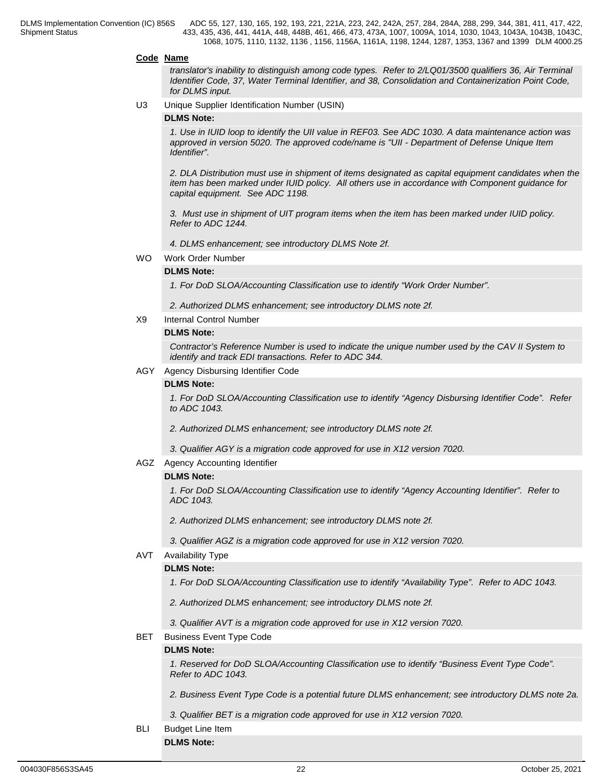## **Code Name**

*translator's inability to distinguish among code types. Refer to 2/LQ01/3500 qualifiers 36, Air Terminal Identifier Code, 37, Water Terminal Identifier, and 38, Consolidation and Containerization Point Code, for DLMS input.* 

U3 Unique Supplier Identification Number (USIN)

### **DLMS Note:**

*1. Use in IUID loop to identify the UII value in REF03. See ADC 1030. A data maintenance action was approved in version 5020. The approved code/name is "UII - Department of Defense Unique Item Identifier".*

*2. DLA Distribution must use in shipment of items designated as capital equipment candidates when the item has been marked under IUID policy. All others use in accordance with Component guidance for capital equipment. See ADC 1198.*

*3. Must use in shipment of UIT program items when the item has been marked under IUID policy. Refer to ADC 1244.*

*4. DLMS enhancement; see introductory DLMS Note 2f.*

WO Work Order Number

## **DLMS Note:**

*1. For DoD SLOA/Accounting Classification use to identify "Work Order Number".*

*2. Authorized DLMS enhancement; see introductory DLMS note 2f.*

X9 Internal Control Number

#### **DLMS Note:**

*Contractor's Reference Number is used to indicate the unique number used by the CAV II System to identify and track EDI transactions. Refer to ADC 344.* 

#### AGY Agency Disbursing Identifier Code

## **DLMS Note:**

*1. For DoD SLOA/Accounting Classification use to identify "Agency Disbursing Identifier Code". Refer to ADC 1043.*

*2. Authorized DLMS enhancement; see introductory DLMS note 2f.*

- *3. Qualifier AGY is a migration code approved for use in X12 version 7020.*
- AGZ Agency Accounting Identifier

#### **DLMS Note:**

*1. For DoD SLOA/Accounting Classification use to identify "Agency Accounting Identifier". Refer to ADC 1043.*

*2. Authorized DLMS enhancement; see introductory DLMS note 2f.*

*3. Qualifier AGZ is a migration code approved for use in X12 version 7020.*

#### AVT Availability Type

## **DLMS Note:**

*1. For DoD SLOA/Accounting Classification use to identify "Availability Type". Refer to ADC 1043.*

*2. Authorized DLMS enhancement; see introductory DLMS note 2f.*

*3. Qualifier AVT is a migration code approved for use in X12 version 7020.*

## BET Business Event Type Code

#### **DLMS Note:**

*1. Reserved for DoD SLOA/Accounting Classification use to identify "Business Event Type Code". Refer to ADC 1043.*

*2. Business Event Type Code is a potential future DLMS enhancement; see introductory DLMS note 2a.*

*3. Qualifier BET is a migration code approved for use in X12 version 7020.*

BLI Budget Line Item

## **DLMS Note:**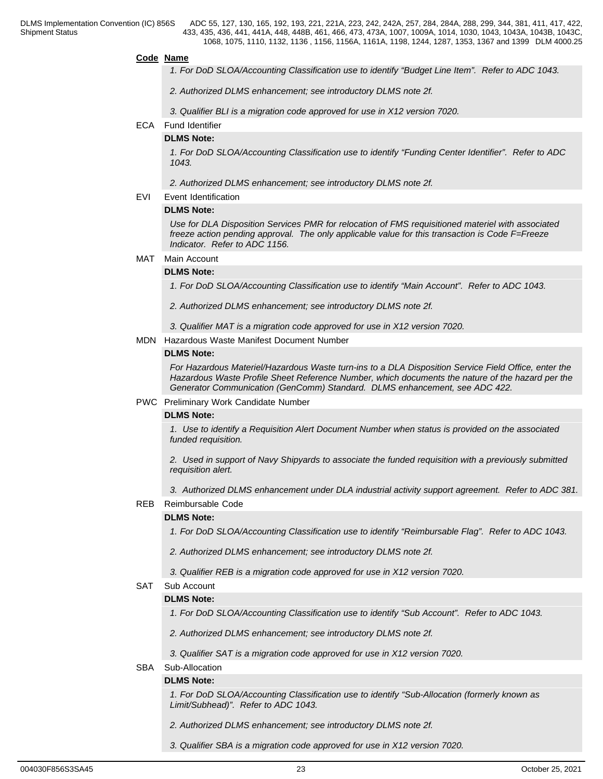#### **Code Name**

- *1. For DoD SLOA/Accounting Classification use to identify "Budget Line Item". Refer to ADC 1043.*
- *2. Authorized DLMS enhancement; see introductory DLMS note 2f.*
- *3. Qualifier BLI is a migration code approved for use in X12 version 7020.*

#### ECA Fund Identifier

#### **DLMS Note:**

*1. For DoD SLOA/Accounting Classification use to identify "Funding Center Identifier". Refer to ADC 1043.* 

*2. Authorized DLMS enhancement; see introductory DLMS note 2f.*

EVI Event Identification

#### **DLMS Note:**

*Use for DLA Disposition Services PMR for relocation of FMS requisitioned materiel with associated freeze action pending approval. The only applicable value for this transaction is Code F=Freeze Indicator. Refer to ADC 1156.*

#### MAT Main Account

#### **DLMS Note:**

*1. For DoD SLOA/Accounting Classification use to identify "Main Account". Refer to ADC 1043.*

*2. Authorized DLMS enhancement; see introductory DLMS note 2f.*

*3. Qualifier MAT is a migration code approved for use in X12 version 7020.*

MDN Hazardous Waste Manifest Document Number

## **DLMS Note:**

*For Hazardous Materiel/Hazardous Waste turn-ins to a DLA Disposition Service Field Office, enter the Hazardous Waste Profile Sheet Reference Number, which documents the nature of the hazard per the Generator Communication (GenComm) Standard. DLMS enhancement, see ADC 422.*

#### PWC Preliminary Work Candidate Number

#### **DLMS Note:**

*1. Use to identify a Requisition Alert Document Number when status is provided on the associated funded requisition.* 

*2. Used in support of Navy Shipyards to associate the funded requisition with a previously submitted requisition alert.* 

*3. Authorized DLMS enhancement under DLA industrial activity support agreement. Refer to ADC 381.*

## REB Reimbursable Code

## **DLMS Note:**

*1. For DoD SLOA/Accounting Classification use to identify "Reimbursable Flag". Refer to ADC 1043.*

*2. Authorized DLMS enhancement; see introductory DLMS note 2f.*

*3. Qualifier REB is a migration code approved for use in X12 version 7020.*

## SAT Sub Account

## **DLMS Note:**

*1. For DoD SLOA/Accounting Classification use to identify "Sub Account". Refer to ADC 1043.*

*2. Authorized DLMS enhancement; see introductory DLMS note 2f.*

*3. Qualifier SAT is a migration code approved for use in X12 version 7020.*

## SBA Sub-Allocation

#### **DLMS Note:**

*1. For DoD SLOA/Accounting Classification use to identify "Sub-Allocation (formerly known as Limit/Subhead)". Refer to ADC 1043.*

*2. Authorized DLMS enhancement; see introductory DLMS note 2f.*

*3. Qualifier SBA is a migration code approved for use in X12 version 7020.*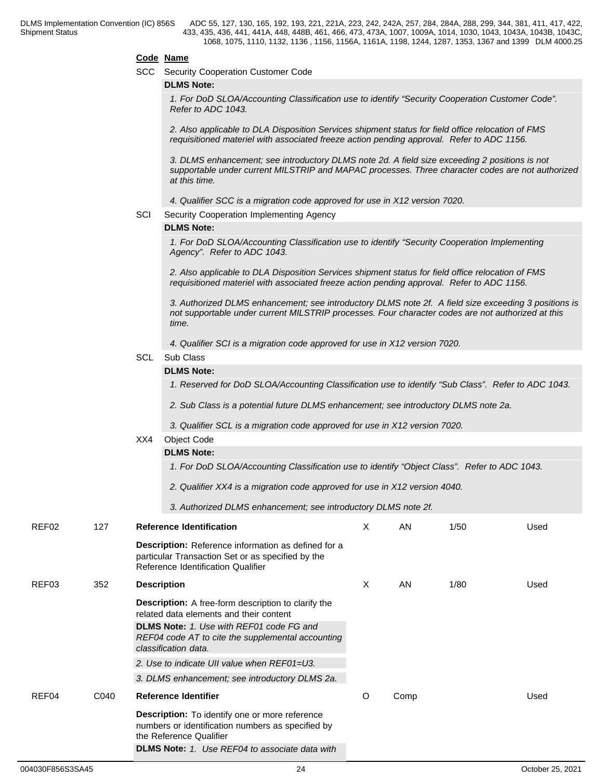## **Code Name**

SCC Security Cooperation Customer Code

## **DLMS Note:**

*1. For DoD SLOA/Accounting Classification use to identify "Security Cooperation Customer Code". Refer to ADC 1043.*

*2. Also applicable to DLA Disposition Services shipment status for field office relocation of FMS requisitioned materiel with associated freeze action pending approval. Refer to ADC 1156.*

*3. DLMS enhancement; see introductory DLMS note 2d. A field size exceeding 2 positions is not supportable under current MILSTRIP and MAPAC processes. Three character codes are not authorized at this time.*

*4. Qualifier SCC is a migration code approved for use in X12 version 7020.*

SCI Security Cooperation Implementing Agency

## **DLMS Note:**

*1. For DoD SLOA/Accounting Classification use to identify "Security Cooperation Implementing Agency". Refer to ADC 1043.*

*2. Also applicable to DLA Disposition Services shipment status for field office relocation of FMS requisitioned materiel with associated freeze action pending approval. Refer to ADC 1156.*

*3. Authorized DLMS enhancement; see introductory DLMS note 2f. A field size exceeding 3 positions is not supportable under current MILSTRIP processes. Four character codes are not authorized at this time.*

*4. Qualifier SCI is a migration code approved for use in X12 version 7020.*

## SCL Sub Class

## **DLMS Note:**

*1. Reserved for DoD SLOA/Accounting Classification use to identify "Sub Class". Refer to ADC 1043.*

*2. Sub Class is a potential future DLMS enhancement; see introductory DLMS note 2a.*

*3. Qualifier SCL is a migration code approved for use in X12 version 7020.*

#### XX4 Object Code

## **DLMS Note:**

*1. For DoD SLOA/Accounting Classification use to identify "Object Class". Refer to ADC 1043.*

*2. Qualifier XX4 is a migration code approved for use in X12 version 4040.*

*3. Authorized DLMS enhancement; see introductory DLMS note 2f.*

| REF02 | 127  | <b>Reference Identification</b>                                                                                                                       | X | AN   | 1/50 | Used |  |
|-------|------|-------------------------------------------------------------------------------------------------------------------------------------------------------|---|------|------|------|--|
|       |      | <b>Description:</b> Reference information as defined for a<br>particular Transaction Set or as specified by the<br>Reference Identification Qualifier |   |      |      |      |  |
| REF03 | 352  | <b>Description</b>                                                                                                                                    | X | AN   | 1/80 | Used |  |
|       |      | <b>Description:</b> A free-form description to clarify the<br>related data elements and their content                                                 |   |      |      |      |  |
|       |      | <b>DLMS Note:</b> 1. Use with REF01 code FG and<br>REF04 code AT to cite the supplemental accounting<br>classification data.                          |   |      |      |      |  |
|       |      | 2. Use to indicate UII value when REF01=U3.                                                                                                           |   |      |      |      |  |
|       |      | 3. DLMS enhancement; see introductory DLMS 2a.                                                                                                        |   |      |      |      |  |
| REF04 | C040 | <b>Reference Identifier</b>                                                                                                                           | O | Comp |      | Used |  |
|       |      | Description: To identify one or more reference<br>numbers or identification numbers as specified by<br>the Reference Qualifier                        |   |      |      |      |  |
|       |      | <b>DLMS Note:</b> 1. Use REF04 to associate data with                                                                                                 |   |      |      |      |  |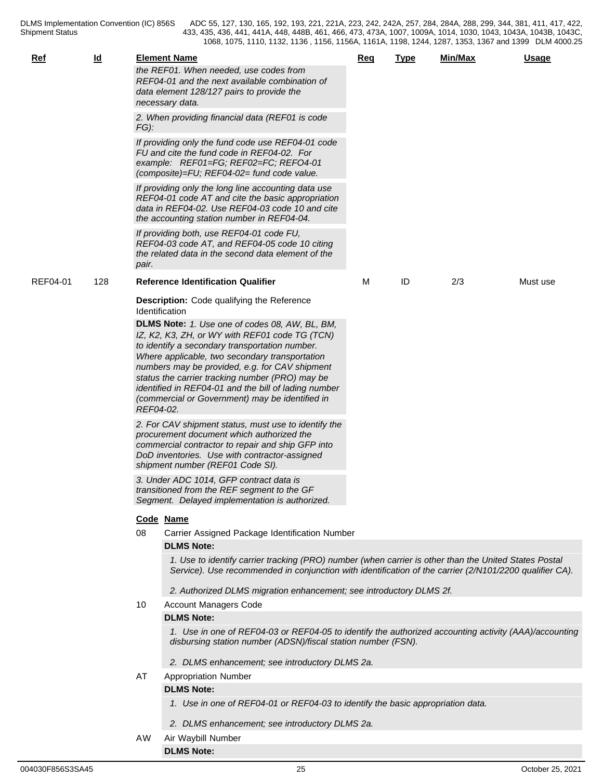| <u>Ref</u> | $\underline{\mathsf{Id}}$ |           | <b>Element Name</b><br>the REF01. When needed, use codes from<br>REF04-01 and the next available combination of<br>data element 128/127 pairs to provide the<br>necessary data.                                                                                                                                                                                                                                      | Req | <b>Type</b> | <u>Min/Max</u> | <b>Usage</b> |  |  |  |  |  |
|------------|---------------------------|-----------|----------------------------------------------------------------------------------------------------------------------------------------------------------------------------------------------------------------------------------------------------------------------------------------------------------------------------------------------------------------------------------------------------------------------|-----|-------------|----------------|--------------|--|--|--|--|--|
|            |                           | $FG$ ):   | 2. When providing financial data (REF01 is code                                                                                                                                                                                                                                                                                                                                                                      |     |             |                |              |  |  |  |  |  |
|            |                           |           | If providing only the fund code use REF04-01 code<br>FU and cite the fund code in REF04-02. For<br>example: REF01=FG; REF02=FC; REF04-01<br>(composite)=FU; REF04-02= fund code value.                                                                                                                                                                                                                               |     |             |                |              |  |  |  |  |  |
|            |                           |           | If providing only the long line accounting data use<br>REF04-01 code AT and cite the basic appropriation<br>data in REF04-02. Use REF04-03 code 10 and cite<br>the accounting station number in REF04-04.                                                                                                                                                                                                            |     |             |                |              |  |  |  |  |  |
|            |                           | pair.     | If providing both, use REF04-01 code FU,<br>REF04-03 code AT, and REF04-05 code 10 citing<br>the related data in the second data element of the                                                                                                                                                                                                                                                                      |     |             |                |              |  |  |  |  |  |
| REF04-01   | 128                       |           | <b>Reference Identification Qualifier</b>                                                                                                                                                                                                                                                                                                                                                                            | м   | ID          | 2/3            | Must use     |  |  |  |  |  |
|            |                           |           | <b>Description:</b> Code qualifying the Reference<br>Identification                                                                                                                                                                                                                                                                                                                                                  |     |             |                |              |  |  |  |  |  |
|            |                           | REF04-02. | DLMS Note: 1. Use one of codes 08, AW, BL, BM,<br>IZ, K2, K3, ZH, or WY with REF01 code TG (TCN)<br>to identify a secondary transportation number.<br>Where applicable, two secondary transportation<br>numbers may be provided, e.g. for CAV shipment<br>status the carrier tracking number (PRO) may be<br>identified in REF04-01 and the bill of lading number<br>(commercial or Government) may be identified in |     |             |                |              |  |  |  |  |  |
|            |                           |           | 2. For CAV shipment status, must use to identify the<br>procurement document which authorized the<br>commercial contractor to repair and ship GFP into<br>DoD inventories. Use with contractor-assigned<br>shipment number (REF01 Code SI).                                                                                                                                                                          |     |             |                |              |  |  |  |  |  |
|            |                           |           | 3. Under ADC 1014, GFP contract data is<br>transitioned from the REF segment to the GF<br>Segment. Delayed implementation is authorized.                                                                                                                                                                                                                                                                             |     |             |                |              |  |  |  |  |  |
|            |                           |           | Code Name                                                                                                                                                                                                                                                                                                                                                                                                            |     |             |                |              |  |  |  |  |  |
|            |                           | 08        | Carrier Assigned Package Identification Number                                                                                                                                                                                                                                                                                                                                                                       |     |             |                |              |  |  |  |  |  |
|            |                           |           | <b>DLMS Note:</b>                                                                                                                                                                                                                                                                                                                                                                                                    |     |             |                |              |  |  |  |  |  |
|            |                           |           | 1. Use to identify carrier tracking (PRO) number (when carrier is other than the United States Postal<br>Service). Use recommended in conjunction with identification of the carrier (2/N101/2200 qualifier CA).                                                                                                                                                                                                     |     |             |                |              |  |  |  |  |  |
|            |                           |           | 2. Authorized DLMS migration enhancement; see introductory DLMS 2f.                                                                                                                                                                                                                                                                                                                                                  |     |             |                |              |  |  |  |  |  |
|            |                           | 10        | <b>Account Managers Code</b>                                                                                                                                                                                                                                                                                                                                                                                         |     |             |                |              |  |  |  |  |  |
|            |                           |           | <b>DLMS Note:</b><br>1. Use in one of REF04-03 or REF04-05 to identify the authorized accounting activity (AAA)/accounting<br>disbursing station number (ADSN)/fiscal station number (FSN).                                                                                                                                                                                                                          |     |             |                |              |  |  |  |  |  |
|            |                           |           | 2. DLMS enhancement; see introductory DLMS 2a.                                                                                                                                                                                                                                                                                                                                                                       |     |             |                |              |  |  |  |  |  |
|            |                           | AT        | <b>Appropriation Number</b>                                                                                                                                                                                                                                                                                                                                                                                          |     |             |                |              |  |  |  |  |  |
|            |                           |           | <b>DLMS Note:</b><br>1. Use in one of REF04-01 or REF04-03 to identify the basic appropriation data.                                                                                                                                                                                                                                                                                                                 |     |             |                |              |  |  |  |  |  |
|            |                           |           | 2. DLMS enhancement; see introductory DLMS 2a.                                                                                                                                                                                                                                                                                                                                                                       |     |             |                |              |  |  |  |  |  |
|            |                           | AW.       | Air Waybill Number                                                                                                                                                                                                                                                                                                                                                                                                   |     |             |                |              |  |  |  |  |  |

**DLMS Note:**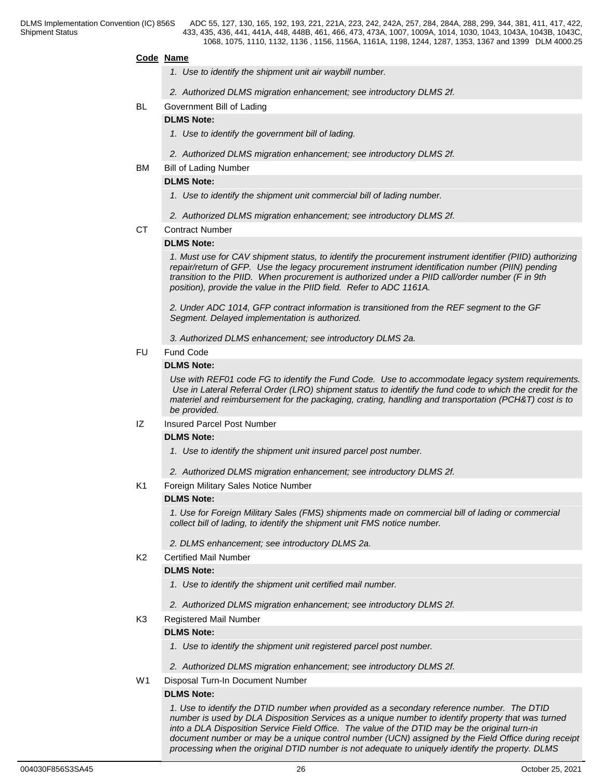## **Code Name**

- *1. Use to identify the shipment unit air waybill number.*
- *2. Authorized DLMS migration enhancement; see introductory DLMS 2f.*
- BL Government Bill of Lading

## **DLMS Note:**

- *1. Use to identify the government bill of lading.*
- *2. Authorized DLMS migration enhancement; see introductory DLMS 2f.*
- BM Bill of Lading Number

## **DLMS Note:**

- *1. Use to identify the shipment unit commercial bill of lading number.*
- *2. Authorized DLMS migration enhancement; see introductory DLMS 2f.*
- CT Contract Number

## **DLMS Note:**

*1. Must use for CAV shipment status, to identify the procurement instrument identifier (PIID) authorizing repair/return of GFP. Use the legacy procurement instrument identification number (PIIN) pending transition to the PIID. When procurement is authorized under a PIID call/order number (F in 9th position), provide the value in the PIID field. Refer to ADC 1161A.*

*2. Under ADC 1014, GFP contract information is transitioned from the REF segment to the GF Segment. Delayed implementation is authorized.* 

*3. Authorized DLMS enhancement; see introductory DLMS 2a.*

FU Fund Code

## **DLMS Note:**

*Use with REF01 code FG to identify the Fund Code. Use to accommodate legacy system requirements. Use in Lateral Referral Order (LRO) shipment status to identify the fund code to which the credit for the materiel and reimbursement for the packaging, crating, handling and transportation (PCH&T) cost is to be provided.*

IZ Insured Parcel Post Number

## **DLMS Note:**

- *1. Use to identify the shipment unit insured parcel post number.*
- *2. Authorized DLMS migration enhancement; see introductory DLMS 2f.*
- K1 Foreign Military Sales Notice Number

## **DLMS Note:**

*1. Use for Foreign Military Sales (FMS) shipments made on commercial bill of lading or commercial collect bill of lading, to identify the shipment unit FMS notice number.*

*2. DLMS enhancement; see introductory DLMS 2a.*

K2 Certified Mail Number

## **DLMS Note:**

- *1. Use to identify the shipment unit certified mail number.*
- *2. Authorized DLMS migration enhancement; see introductory DLMS 2f.*
- K3 Registered Mail Number

## **DLMS Note:**

- *1. Use to identify the shipment unit registered parcel post number.*
- *2. Authorized DLMS migration enhancement; see introductory DLMS 2f.*
- W1 Disposal Turn-In Document Number

## **DLMS Note:**

*1. Use to identify the DTID number when provided as a secondary reference number. The DTID number is used by DLA Disposition Services as a unique number to identify property that was turned into a DLA Disposition Service Field Office. The value of the DTID may be the original turn-in document number or may be a unique control number (UCN) assigned by the Field Office during receipt processing when the original DTID number is not adequate to uniquely identify the property. DLMS*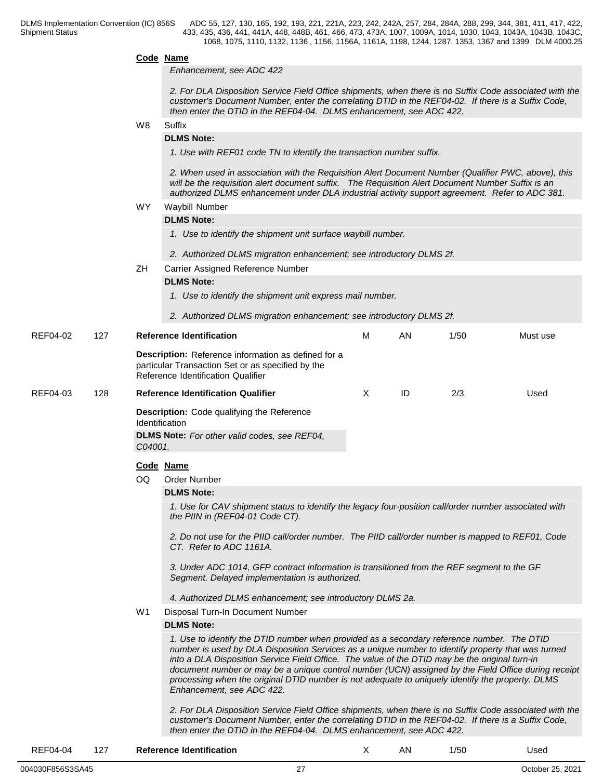## **Code Name** *Enhancement, see ADC 422 2. For DLA Disposition Service Field Office shipments, when there is no Suffix Code associated with the customer's Document Number, enter the correlating DTID in the REF04-02. If there is a Suffix Code, then enter the DTID in the REF04-04. DLMS enhancement, see ADC 422.* W8 Suffix **Suffix Suffix Suffix Suffix Suffix Suffix SUFFIX SUFFIX SUFFIX DLMS Note:** *1. Use with REF01 code TN to identify the transaction number suffix. 2. When used in association with the Requisition Alert Document Number (Qualifier PWC, above), this will be the requisition alert document suffix. The Requisition Alert Document Number Suffix is an authorized DLMS enhancement under DLA industrial activity support agreement. Refer to ADC 381.* WY Waybill Number **DLMS Note:** *1. Use to identify the shipment unit surface waybill number. 2. Authorized DLMS migration enhancement; see introductory DLMS 2f.* ZH Carrier Assigned Reference Number **DLMS Note:** *1. Use to identify the shipment unit express mail number. 2. Authorized DLMS migration enhancement; see introductory DLMS 2f.* REF04-02 127 **Reference Identification Description:** Reference information as defined for a particular Transaction Set or as specified by the Reference Identification Qualifier M AN 1/50 Must use REF04-03 128 **Reference Identification Qualifier Description:** Code qualifying the Reference Identification **DLMS Note:** *For other valid codes, see REF04, C04001.* X ID 2/3 Used **Code Name** OQ Order Number **DLMS Note:** *1. Use for CAV shipment status to identify the legacy four-position call/order number associated with the PIIN in (REF04-01 Code CT). 2. Do not use for the PIID call/order number. The PIID call/order number is mapped to REF01, Code CT. Refer to ADC 1161A. 3. Under ADC 1014, GFP contract information is transitioned from the REF segment to the GF Segment. Delayed implementation is authorized. 4. Authorized DLMS enhancement; see introductory DLMS 2a.* W1 Disposal Turn-In Document Number **DLMS Note:** *1. Use to identify the DTID number when provided as a secondary reference number. The DTID number is used by DLA Disposition Services as a unique number to identify property that was turned into a DLA Disposition Service Field Office. The value of the DTID may be the original turn-in document number or may be a unique control number (UCN) assigned by the Field Office during receipt processing when the original DTID number is not adequate to uniquely identify the property. DLMS Enhancement, see ADC 422. 2. For DLA Disposition Service Field Office shipments, when there is no Suffix Code associated with the customer's Document Number, enter the correlating DTID in the REF04-02. If there is a Suffix Code, then enter the DTID in the REF04-04. DLMS enhancement, see ADC 422.*

#### REF04-04 127 **Reference Identification** X AN 1/50 Used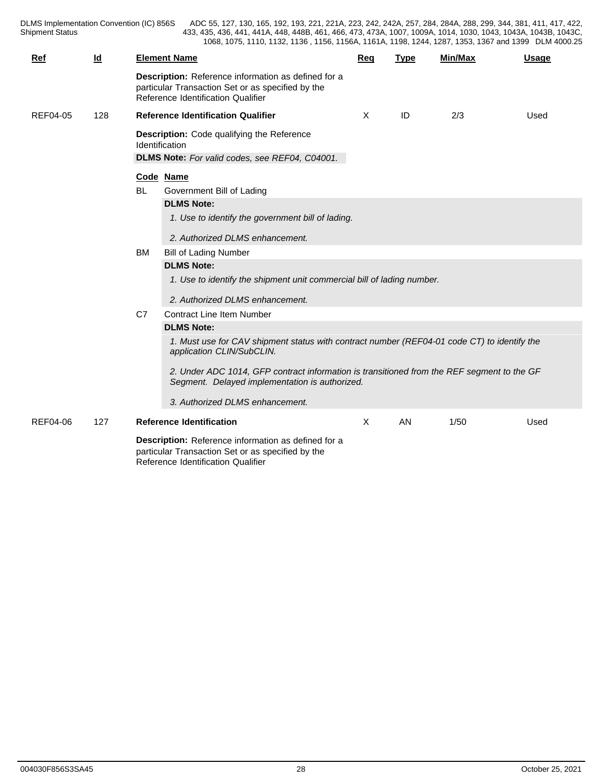DLMS Implementation Convention (IC) 856S<br>Shipment Status

DLMS Implementation Convention (IC) 856S ADC 55, 127, 130, 165, 192, 193, 221, 221A, 223, 242, 242A, 257, 284, 284A, 288, 299, 344, 381, 411, 417, 422, 433, 435, 436, 441, 441A, 448, 448B, 461, 466, 473, 473A, 1007, 1009A, 1014, 1030, 1043, 1043A, 1043B, 1043C, 1068, 1075, 1110, 1132, 1136 , 1156, 1156A, 1161A, 1198, 1244, 1287, 1353, 1367 and 1399 DLM 4000.25

| Ref             | $\underline{\mathsf{Id}}$ |                                           | <b>Element Name</b>                                                                                                                                                                                                                                                                                                                                                                                                                                                                                                                                                                                                                                                                           | Req | <b>Type</b> | <b>Min/Max</b> | <b>Usage</b> |
|-----------------|---------------------------|-------------------------------------------|-----------------------------------------------------------------------------------------------------------------------------------------------------------------------------------------------------------------------------------------------------------------------------------------------------------------------------------------------------------------------------------------------------------------------------------------------------------------------------------------------------------------------------------------------------------------------------------------------------------------------------------------------------------------------------------------------|-----|-------------|----------------|--------------|
|                 |                           |                                           | Description: Reference information as defined for a<br>particular Transaction Set or as specified by the<br>Reference Identification Qualifier                                                                                                                                                                                                                                                                                                                                                                                                                                                                                                                                                |     |             |                |              |
| <b>REF04-05</b> | 128                       | <b>Reference Identification Qualifier</b> |                                                                                                                                                                                                                                                                                                                                                                                                                                                                                                                                                                                                                                                                                               |     | ID          | 2/3            | Used         |
|                 |                           |                                           | <b>Description:</b> Code qualifying the Reference<br>Identification<br>DLMS Note: For valid codes, see REF04, C04001.                                                                                                                                                                                                                                                                                                                                                                                                                                                                                                                                                                         |     |             |                |              |
|                 |                           | BL<br><b>BM</b><br>C7                     | Code Name<br>Government Bill of Lading<br><b>DLMS Note:</b><br>1. Use to identify the government bill of lading.<br>2. Authorized DLMS enhancement.<br><b>Bill of Lading Number</b><br><b>DLMS Note:</b><br>1. Use to identify the shipment unit commercial bill of lading number.<br>2. Authorized DLMS enhancement.<br><b>Contract Line Item Number</b><br><b>DLMS Note:</b><br>1. Must use for CAV shipment status with contract number (REF04-01 code CT) to identify the<br>application CLIN/SubCLIN.<br>2. Under ADC 1014, GFP contract information is transitioned from the REF segment to the GF<br>Segment. Delayed implementation is authorized.<br>3. Authorized DLMS enhancement. |     |             |                |              |
|                 |                           |                                           |                                                                                                                                                                                                                                                                                                                                                                                                                                                                                                                                                                                                                                                                                               |     |             |                |              |
| REF04-06        | 127                       |                                           | <b>Reference Identification</b>                                                                                                                                                                                                                                                                                                                                                                                                                                                                                                                                                                                                                                                               | X   | AN          | 1/50           | Used         |
|                 |                           |                                           | Description: Reference information as defined for a<br>particular Transaction Set or as specified by the<br>Reference Identification Qualifier                                                                                                                                                                                                                                                                                                                                                                                                                                                                                                                                                |     |             |                |              |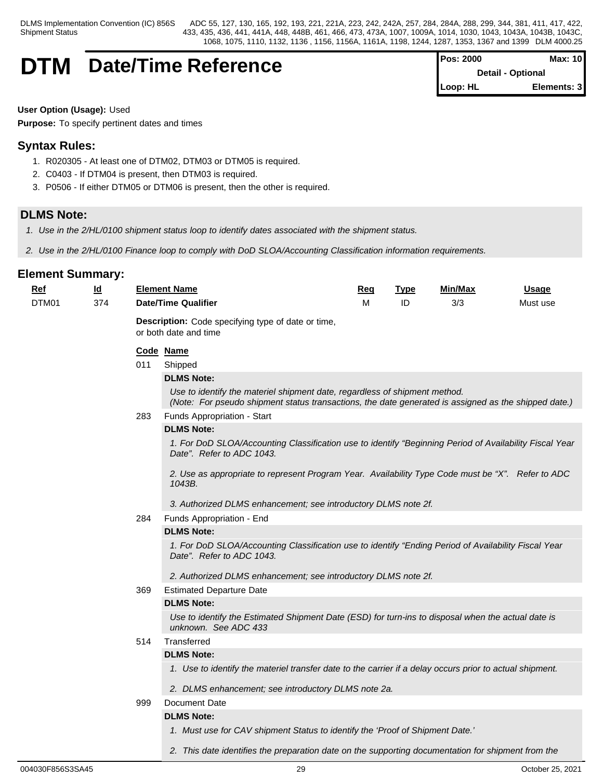## **DTM** Date/Time Reference

| <b>Pos: 2000</b> | Max: 10                  |
|------------------|--------------------------|
|                  | <b>Detail - Optional</b> |
| Loop: HL         | Elements: 3              |

**User Option (Usage):** Used

**Purpose:** To specify pertinent dates and times

## **Syntax Rules:**

- 1. R020305 At least one of DTM02, DTM03 or DTM05 is required.
- 2. C0403 If DTM04 is present, then DTM03 is required.
- 3. P0506 If either DTM05 or DTM06 is present, then the other is required.

## **DLMS Note:**

- *1. Use in the 2/HL/0100 shipment status loop to identify dates associated with the shipment status.*
- *2. Use in the 2/HL/0100 Finance loop to comply with DoD SLOA/Accounting Classification information requirements.*

## **Element Summary:**

| Ref   | <u>ld</u> |     | <b>Element Name</b>                                                                                                                                                                | Req | <b>Type</b> | Min/Max | <b>Usage</b> |
|-------|-----------|-----|------------------------------------------------------------------------------------------------------------------------------------------------------------------------------------|-----|-------------|---------|--------------|
| DTM01 | 374       |     | <b>Date/Time Qualifier</b>                                                                                                                                                         | М   | ID          | 3/3     | Must use     |
|       |           |     | Description: Code specifying type of date or time,<br>or both date and time                                                                                                        |     |             |         |              |
|       |           |     | Code Name                                                                                                                                                                          |     |             |         |              |
|       |           | 011 | Shipped                                                                                                                                                                            |     |             |         |              |
|       |           |     | <b>DLMS Note:</b>                                                                                                                                                                  |     |             |         |              |
|       |           |     | Use to identify the materiel shipment date, regardless of shipment method.<br>(Note: For pseudo shipment status transactions, the date generated is assigned as the shipped date.) |     |             |         |              |
|       |           | 283 | Funds Appropriation - Start                                                                                                                                                        |     |             |         |              |
|       |           |     | <b>DLMS Note:</b>                                                                                                                                                                  |     |             |         |              |
|       |           |     | 1. For DoD SLOA/Accounting Classification use to identify "Beginning Period of Availability Fiscal Year<br>Date". Refer to ADC 1043.                                               |     |             |         |              |
|       |           |     | 2. Use as appropriate to represent Program Year. Availability Type Code must be "X". Refer to ADC<br>1043B.                                                                        |     |             |         |              |
|       |           |     | 3. Authorized DLMS enhancement; see introductory DLMS note 2f.                                                                                                                     |     |             |         |              |
|       |           | 284 | Funds Appropriation - End                                                                                                                                                          |     |             |         |              |
|       |           |     | <b>DLMS Note:</b>                                                                                                                                                                  |     |             |         |              |
|       |           |     | 1. For DoD SLOA/Accounting Classification use to identify "Ending Period of Availability Fiscal Year<br>Date". Refer to ADC 1043.                                                  |     |             |         |              |
|       |           |     | 2. Authorized DLMS enhancement; see introductory DLMS note 2f.                                                                                                                     |     |             |         |              |
|       |           | 369 | <b>Estimated Departure Date</b>                                                                                                                                                    |     |             |         |              |
|       |           |     | <b>DLMS Note:</b>                                                                                                                                                                  |     |             |         |              |
|       |           |     | Use to identify the Estimated Shipment Date (ESD) for turn-ins to disposal when the actual date is<br>unknown. See ADC 433                                                         |     |             |         |              |
|       |           | 514 | Transferred                                                                                                                                                                        |     |             |         |              |
|       |           |     | <b>DLMS Note:</b>                                                                                                                                                                  |     |             |         |              |
|       |           |     | 1. Use to identify the materiel transfer date to the carrier if a delay occurs prior to actual shipment.                                                                           |     |             |         |              |
|       |           |     | 2. DLMS enhancement; see introductory DLMS note 2a.                                                                                                                                |     |             |         |              |
|       |           | 999 | Document Date                                                                                                                                                                      |     |             |         |              |
|       |           |     | <b>DLMS Note:</b>                                                                                                                                                                  |     |             |         |              |
|       |           |     | 1. Must use for CAV shipment Status to identify the 'Proof of Shipment Date.'                                                                                                      |     |             |         |              |

*1. Must use for CAV shipment Status to identify the 'Proof of Shipment Date.' 2. This date identifies the preparation date on the supporting documentation for shipment from the*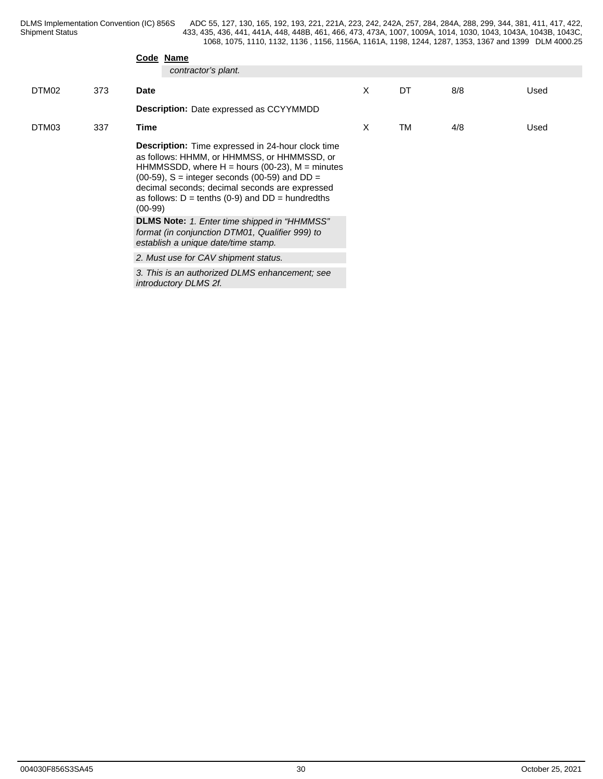|       |     |             | Code Name                                                                                                                                                                                                                                                                                                                                                                                                                                                                                                                     |   |    |     |      |  |  |
|-------|-----|-------------|-------------------------------------------------------------------------------------------------------------------------------------------------------------------------------------------------------------------------------------------------------------------------------------------------------------------------------------------------------------------------------------------------------------------------------------------------------------------------------------------------------------------------------|---|----|-----|------|--|--|
|       |     |             | contractor's plant.                                                                                                                                                                                                                                                                                                                                                                                                                                                                                                           |   |    |     |      |  |  |
| DTM02 | 373 | <b>Date</b> |                                                                                                                                                                                                                                                                                                                                                                                                                                                                                                                               | X | DT | 8/8 | Used |  |  |
|       |     |             | <b>Description:</b> Date expressed as CCYYMMDD                                                                                                                                                                                                                                                                                                                                                                                                                                                                                |   |    |     |      |  |  |
| DTM03 | 337 | Time        |                                                                                                                                                                                                                                                                                                                                                                                                                                                                                                                               | X | TM | 4/8 | Used |  |  |
|       |     | $(00-99)$   | <b>Description:</b> Time expressed in 24-hour clock time<br>as follows: HHMM, or HHMMSS, or HHMMSSD, or<br>HHMMSSDD, where $H =$ hours (00-23), $M =$ minutes<br>$(00-59)$ , S = integer seconds $(00-59)$ and DD =<br>decimal seconds; decimal seconds are expressed<br>as follows: $D = \text{tenths} (0-9)$ and $DD = \text{hundredths}$<br>DLMS Note: 1. Enter time shipped in "HHMMSS"<br>format (in conjunction DTM01, Qualifier 999) to<br>establish a unique date/time stamp.<br>2. Must use for CAV shipment status. |   |    |     |      |  |  |
|       |     |             | 3. This is an authorized DLMS enhancement; see<br>introductory DLMS 2f.                                                                                                                                                                                                                                                                                                                                                                                                                                                       |   |    |     |      |  |  |
|       |     |             |                                                                                                                                                                                                                                                                                                                                                                                                                                                                                                                               |   |    |     |      |  |  |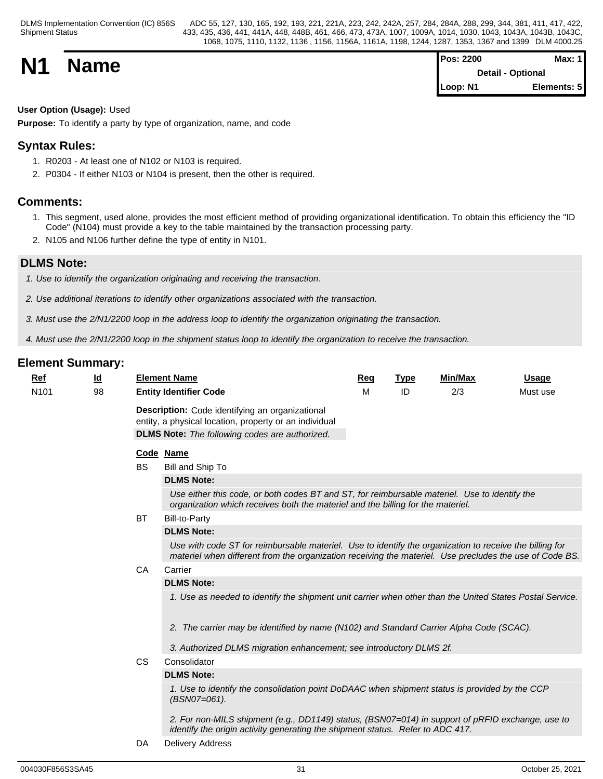| <b>N1</b> |             | <b>Pos: 2200</b>  | Max: $1$    |  |
|-----------|-------------|-------------------|-------------|--|
|           | <b>Name</b> | Detail - Optional |             |  |
|           |             | Loop: N1          | Elements: 5 |  |

## **User Option (Usage):** Used

**Purpose:** To identify a party by type of organization, name, and code

## **Syntax Rules:**

- 1. R0203 At least one of N102 or N103 is required.
- 2. P0304 If either N103 or N104 is present, then the other is required.

## **Comments:**

- 1. This segment, used alone, provides the most efficient method of providing organizational identification. To obtain this efficiency the "ID Code" (N104) must provide a key to the table maintained by the transaction processing party.
- 2. N105 and N106 further define the type of entity in N101.

## **DLMS Note:**

*1. Use to identify the organization originating and receiving the transaction.* 

- *2. Use additional iterations to identify other organizations associated with the transaction.*
- *3. Must use the 2/N1/2200 loop in the address loop to identify the organization originating the transaction.*

*4. Must use the 2/N1/2200 loop in the shipment status loop to identify the organization to receive the transaction.*

| Ref              | <u>ld</u> |           | <b>Element Name</b>                                                                                                                                                                                                | Req | <b>Type</b> | <b>Min/Max</b> | <b>Usage</b> |
|------------------|-----------|-----------|--------------------------------------------------------------------------------------------------------------------------------------------------------------------------------------------------------------------|-----|-------------|----------------|--------------|
| N <sub>101</sub> | 98        |           | <b>Entity Identifier Code</b>                                                                                                                                                                                      | M   | ID          | 2/3            | Must use     |
|                  |           |           | Description: Code identifying an organizational<br>entity, a physical location, property or an individual<br><b>DLMS Note:</b> The following codes are authorized.                                                 |     |             |                |              |
|                  |           |           | Code Name                                                                                                                                                                                                          |     |             |                |              |
|                  |           | <b>BS</b> | Bill and Ship To                                                                                                                                                                                                   |     |             |                |              |
|                  |           |           | <b>DLMS Note:</b>                                                                                                                                                                                                  |     |             |                |              |
|                  |           |           | Use either this code, or both codes BT and ST, for reimbursable materiel. Use to identify the<br>organization which receives both the materiel and the billing for the materiel.                                   |     |             |                |              |
|                  |           | <b>BT</b> | <b>Bill-to-Party</b>                                                                                                                                                                                               |     |             |                |              |
|                  |           |           | <b>DLMS Note:</b>                                                                                                                                                                                                  |     |             |                |              |
|                  |           |           | Use with code ST for reimbursable materiel. Use to identify the organization to receive the billing for<br>materiel when different from the organization receiving the materiel. Use precludes the use of Code BS. |     |             |                |              |
|                  |           | CA        | Carrier                                                                                                                                                                                                            |     |             |                |              |
|                  |           |           | <b>DLMS Note:</b>                                                                                                                                                                                                  |     |             |                |              |
|                  |           |           | 1. Use as needed to identify the shipment unit carrier when other than the United States Postal Service.                                                                                                           |     |             |                |              |
|                  |           |           | 2. The carrier may be identified by name (N102) and Standard Carrier Alpha Code (SCAC).                                                                                                                            |     |             |                |              |
|                  |           |           | 3. Authorized DLMS migration enhancement; see introductory DLMS 2f.                                                                                                                                                |     |             |                |              |
|                  |           | CS.       | Consolidator                                                                                                                                                                                                       |     |             |                |              |
|                  |           |           | <b>DLMS Note:</b>                                                                                                                                                                                                  |     |             |                |              |
|                  |           |           | 1. Use to identify the consolidation point DoDAAC when shipment status is provided by the CCP<br>(BSN07=061).                                                                                                      |     |             |                |              |
|                  |           |           | 2. For non-MILS shipment (e.g., DD1149) status, (BSN07=014) in support of pRFID exchange, use to<br>identify the origin activity generating the shipment status. Refer to ADC 417.                                 |     |             |                |              |
|                  |           | DA        | <b>Delivery Address</b>                                                                                                                                                                                            |     |             |                |              |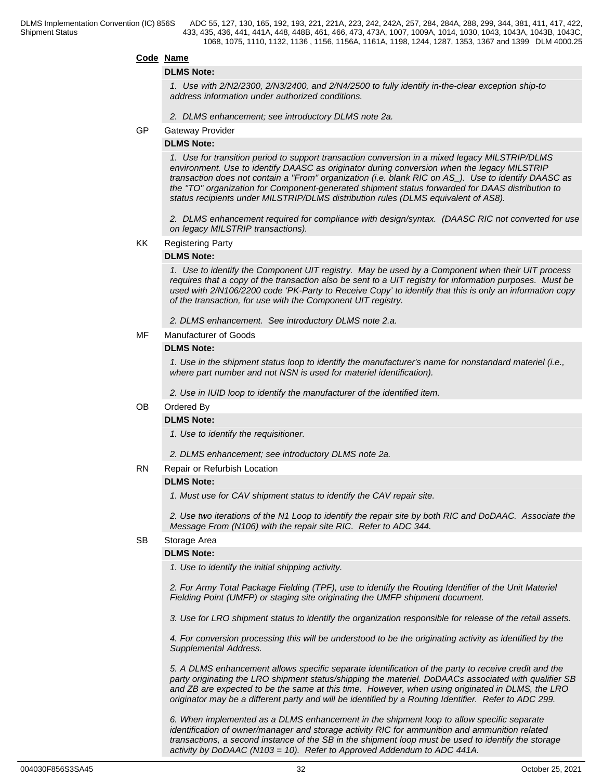## **Code Name**

### **DLMS Note:**

*1. Use with 2/N2/2300, 2/N3/2400, and 2/N4/2500 to fully identify in-the-clear exception ship-to address information under authorized conditions.*

- *2. DLMS enhancement; see introductory DLMS note 2a.*
- GP Gateway Provider

## **DLMS Note:**

*1. Use for transition period to support transaction conversion in a mixed legacy MILSTRIP/DLMS environment. Use to identify DAASC as originator during conversion when the legacy MILSTRIP transaction does not contain a "From" organization (i.e. blank RIC on AS\_). Use to identify DAASC as the "TO" organization for Component-generated shipment status forwarded for DAAS distribution to status recipients under MILSTRIP/DLMS distribution rules (DLMS equivalent of AS8).*

*2. DLMS enhancement required for compliance with design/syntax. (DAASC RIC not converted for use on legacy MILSTRIP transactions).* 

#### KK Registering Party

#### **DLMS Note:**

*1. Use to identify the Component UIT registry. May be used by a Component when their UIT process requires that a copy of the transaction also be sent to a UIT registry for information purposes. Must be used with 2/N106/2200 code 'PK-Party to Receive Copy' to identify that this is only an information copy of the transaction, for use with the Component UIT registry.* 

*2. DLMS enhancement. See introductory DLMS note 2.a.* 

MF Manufacturer of Goods

#### **DLMS Note:**

*1. Use in the shipment status loop to identify the manufacturer's name for nonstandard materiel (i.e., where part number and not NSN is used for materiel identification).*

*2. Use in IUID loop to identify the manufacturer of the identified item.*

#### OB Ordered By

## **DLMS Note:**

*1. Use to identify the requisitioner.*

*2. DLMS enhancement; see introductory DLMS note 2a.*

#### RN Repair or Refurbish Location

## **DLMS Note:**

*1. Must use for CAV shipment status to identify the CAV repair site.* 

*2. Use two iterations of the N1 Loop to identify the repair site by both RIC and DoDAAC. Associate the Message From (N106) with the repair site RIC. Refer to ADC 344.*

## SB Storage Area

#### **DLMS Note:**

*1. Use to identify the initial shipping activity.*

*2. For Army Total Package Fielding (TPF), use to identify the Routing Identifier of the Unit Materiel Fielding Point (UMFP) or staging site originating the UMFP shipment document.*

 *3. Use for LRO shipment status to identify the organization responsible for release of the retail assets.*

*4. For conversion processing this will be understood to be the originating activity as identified by the Supplemental Address.*

*5. A DLMS enhancement allows specific separate identification of the party to receive credit and the party originating the LRO shipment status/shipping the materiel. DoDAACs associated with qualifier SB and ZB are expected to be the same at this time. However, when using originated in DLMS, the LRO originator may be a different party and will be identified by a Routing Identifier. Refer to ADC 299.*

*6. When implemented as a DLMS enhancement in the shipment loop to allow specific separate identification of owner/manager and storage activity RIC for ammunition and ammunition related transactions, a second instance of the SB in the shipment loop must be used to identify the storage activity by DoDAAC (N103 = 10). Refer to Approved Addendum to ADC 441A.*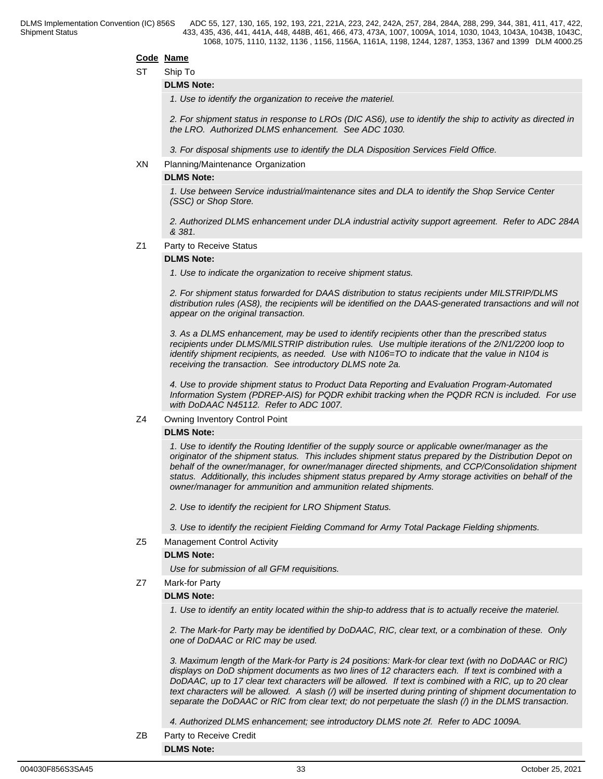### **Code Name**

ST Ship To

### **DLMS Note:**

*1. Use to identify the organization to receive the materiel.*

*2. For shipment status in response to LROs (DIC AS6), use to identify the ship to activity as directed in the LRO. Authorized DLMS enhancement. See ADC 1030.*

*3. For disposal shipments use to identify the DLA Disposition Services Field Office.*

## XN Planning/Maintenance Organization

#### **DLMS Note:**

*1. Use between Service industrial/maintenance sites and DLA to identify the Shop Service Center (SSC) or Shop Store.*

*2. Authorized DLMS enhancement under DLA industrial activity support agreement. Refer to ADC 284A & 381.*

#### Z1 Party to Receive Status

## **DLMS Note:**

*1. Use to indicate the organization to receive shipment status.*

*2. For shipment status forwarded for DAAS distribution to status recipients under MILSTRIP/DLMS distribution rules (AS8), the recipients will be identified on the DAAS-generated transactions and will not appear on the original transaction.*

*3. As a DLMS enhancement, may be used to identify recipients other than the prescribed status recipients under DLMS/MILSTRIP distribution rules. Use multiple iterations of the 2/N1/2200 loop to identify shipment recipients, as needed. Use with N106=TO to indicate that the value in N104 is receiving the transaction. See introductory DLMS note 2a.*

*4. Use to provide shipment status to Product Data Reporting and Evaluation Program-Automated Information System (PDREP-AIS) for PQDR exhibit tracking when the PQDR RCN is included. For use with DoDAAC N45112. Refer to ADC 1007.*

#### Z4 Owning Inventory Control Point

## **DLMS Note:**

*1. Use to identify the Routing Identifier of the supply source or applicable owner/manager as the originator of the shipment status. This includes shipment status prepared by the Distribution Depot on behalf of the owner/manager, for owner/manager directed shipments, and CCP/Consolidation shipment status. Additionally, this includes shipment status prepared by Army storage activities on behalf of the owner/manager for ammunition and ammunition related shipments.*

*2. Use to identify the recipient for LRO Shipment Status.*

*3. Use to identify the recipient Fielding Command for Army Total Package Fielding shipments.*

Z5 Management Control Activity

#### **DLMS Note:**

*Use for submission of all GFM requisitions.*

## Z7 Mark-for Party

#### **DLMS Note:**

*1. Use to identify an entity located within the ship-to address that is to actually receive the materiel.*

*2. The Mark-for Party may be identified by DoDAAC, RIC, clear text, or a combination of these. Only one of DoDAAC or RIC may be used.*

*3. Maximum length of the Mark-for Party is 24 positions: Mark-for clear text (with no DoDAAC or RIC) displays on DoD shipment documents as two lines of 12 characters each. If text is combined with a DoDAAC, up to 17 clear text characters will be allowed. If text is combined with a RIC, up to 20 clear text characters will be allowed. A slash (/) will be inserted during printing of shipment documentation to separate the DoDAAC or RIC from clear text; do not perpetuate the slash (/) in the DLMS transaction.*

*4. Authorized DLMS enhancement; see introductory DLMS note 2f. Refer to ADC 1009A.*

ZB Party to Receive Credit **DLMS Note:**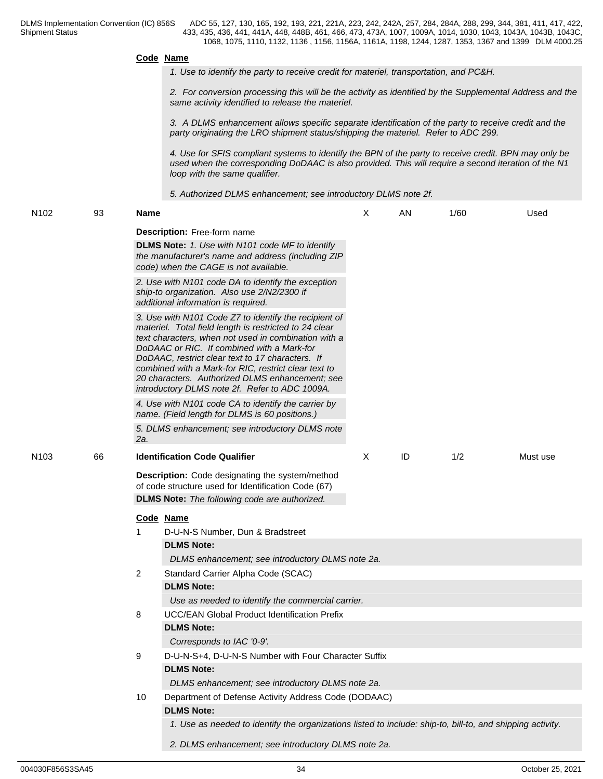## **Code Name** *1. Use to identify the party to receive credit for materiel, transportation, and PC&H. 2. For conversion processing this will be the activity as identified by the Supplemental Address and the same activity identified to release the materiel. 3. A DLMS enhancement allows specific separate identification of the party to receive credit and the party originating the LRO shipment status/shipping the materiel. Refer to ADC 299. 4. Use for SFIS compliant systems to identify the BPN of the party to receive credit. BPN may only be used when the corresponding DoDAAC is also provided. This will require a second iteration of the N1 loop with the same qualifier. 5. Authorized DLMS enhancement; see introductory DLMS note 2f.* N102 93 **Name Description:** Free-form name **DLMS Note:** *1. Use with N101 code MF to identify the manufacturer's name and address (including ZIP code) when the CAGE is not available. 2. Use with N101 code DA to identify the exception ship-to organization. Also use 2/N2/2300 if additional information is required. 3. Use with N101 Code Z7 to identify the recipient of materiel. Total field length is restricted to 24 clear text characters, when not used in combination with a DoDAAC or RIC. If combined with a Mark-for DoDAAC, restrict clear text to 17 characters. If combined with a Mark-for RIC, restrict clear text to 20 characters. Authorized DLMS enhancement; see introductory DLMS note 2f. Refer to ADC 1009A. 4. Use with N101 code CA to identify the carrier by name. (Field length for DLMS is 60 positions.) 5. DLMS enhancement; see introductory DLMS note 2a.* X AN 1/60 Used N103 66 **Identification Code Qualifier Description:** Code designating the system/method of code structure used for Identification Code (67) **DLMS Note:** *The following code are authorized.* X ID 1/2 Must use **Code Name** 1 D-U-N-S Number, Dun & Bradstreet **DLMS Note:** *DLMS enhancement; see introductory DLMS note 2a.* 2 Standard Carrier Alpha Code (SCAC) **DLMS Note:** *Use as needed to identify the commercial carrier.* 8 UCC/EAN Global Product Identification Prefix **DLMS Note:**

*Corresponds to IAC '0-9'.* 9 D-U-N-S+4, D-U-N-S Number with Four Character Suffix **DLMS Note:** *DLMS enhancement; see introductory DLMS note 2a.* 10 Department of Defense Activity Address Code (DODAAC) **DLMS Note:**

*1. Use as needed to identify the organizations listed to include: ship-to, bill-to, and shipping activity.*

*2. DLMS enhancement; see introductory DLMS note 2a.*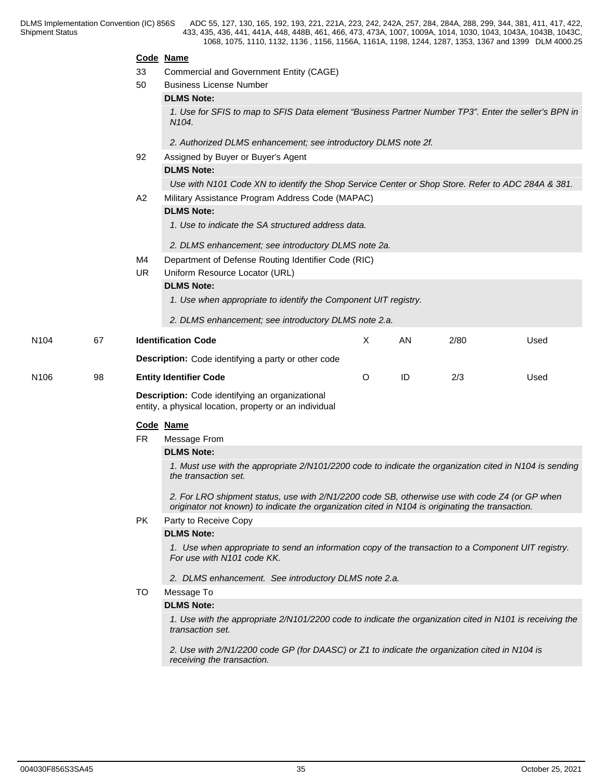|      |    |     | Code Name                                                                                                                                                                                          |   |    |      |      |  |  |  |
|------|----|-----|----------------------------------------------------------------------------------------------------------------------------------------------------------------------------------------------------|---|----|------|------|--|--|--|
|      |    | 33  | <b>Commercial and Government Entity (CAGE)</b>                                                                                                                                                     |   |    |      |      |  |  |  |
|      |    | 50  | <b>Business License Number</b>                                                                                                                                                                     |   |    |      |      |  |  |  |
|      |    |     | <b>DLMS Note:</b>                                                                                                                                                                                  |   |    |      |      |  |  |  |
|      |    |     | 1. Use for SFIS to map to SFIS Data element "Business Partner Number TP3". Enter the seller's BPN in<br>N <sub>104</sub> .                                                                         |   |    |      |      |  |  |  |
|      |    |     | 2. Authorized DLMS enhancement; see introductory DLMS note 2f.                                                                                                                                     |   |    |      |      |  |  |  |
|      |    | 92  | Assigned by Buyer or Buyer's Agent                                                                                                                                                                 |   |    |      |      |  |  |  |
|      |    |     | <b>DLMS Note:</b>                                                                                                                                                                                  |   |    |      |      |  |  |  |
|      |    |     | Use with N101 Code XN to identify the Shop Service Center or Shop Store. Refer to ADC 284A & 381.                                                                                                  |   |    |      |      |  |  |  |
|      |    | A2  | Military Assistance Program Address Code (MAPAC)                                                                                                                                                   |   |    |      |      |  |  |  |
|      |    |     | <b>DLMS Note:</b>                                                                                                                                                                                  |   |    |      |      |  |  |  |
|      |    |     | 1. Use to indicate the SA structured address data.                                                                                                                                                 |   |    |      |      |  |  |  |
|      |    |     | 2. DLMS enhancement; see introductory DLMS note 2a.                                                                                                                                                |   |    |      |      |  |  |  |
|      |    | M4  | Department of Defense Routing Identifier Code (RIC)                                                                                                                                                |   |    |      |      |  |  |  |
|      |    | UR. | Uniform Resource Locator (URL)                                                                                                                                                                     |   |    |      |      |  |  |  |
|      |    |     | <b>DLMS Note:</b>                                                                                                                                                                                  |   |    |      |      |  |  |  |
|      |    |     | 1. Use when appropriate to identify the Component UIT registry.                                                                                                                                    |   |    |      |      |  |  |  |
|      |    |     | 2. DLMS enhancement; see introductory DLMS note 2.a.                                                                                                                                               |   |    |      |      |  |  |  |
| N104 | 67 |     | <b>Identification Code</b>                                                                                                                                                                         | X | AN | 2/80 | Used |  |  |  |
|      |    |     | <b>Description:</b> Code identifying a party or other code                                                                                                                                         |   |    |      |      |  |  |  |
| N106 | 98 |     | <b>Entity Identifier Code</b>                                                                                                                                                                      | O | ID | 2/3  | Used |  |  |  |
|      |    |     | Description: Code identifying an organizational<br>entity, a physical location, property or an individual                                                                                          |   |    |      |      |  |  |  |
|      |    |     | Code Name                                                                                                                                                                                          |   |    |      |      |  |  |  |
|      |    | FR. | Message From                                                                                                                                                                                       |   |    |      |      |  |  |  |
|      |    |     | <b>DLMS Note:</b>                                                                                                                                                                                  |   |    |      |      |  |  |  |
|      |    |     | 1. Must use with the appropriate 2/N101/2200 code to indicate the organization cited in N104 is sending<br>the transaction set.                                                                    |   |    |      |      |  |  |  |
|      |    |     | 2. For LRO shipment status, use with 2/N1/2200 code SB, otherwise use with code Z4 (or GP when<br>originator not known) to indicate the organization cited in N104 is originating the transaction. |   |    |      |      |  |  |  |
|      |    | PK. | Party to Receive Copy                                                                                                                                                                              |   |    |      |      |  |  |  |
|      |    |     | <b>DLMS Note:</b>                                                                                                                                                                                  |   |    |      |      |  |  |  |
|      |    |     | 1. Use when appropriate to send an information copy of the transaction to a Component UIT registry.<br>For use with N101 code KK.                                                                  |   |    |      |      |  |  |  |
|      |    |     | 2. DLMS enhancement. See introductory DLMS note 2.a.                                                                                                                                               |   |    |      |      |  |  |  |
|      |    | TO  | Message To                                                                                                                                                                                         |   |    |      |      |  |  |  |
|      |    |     | <b>DLMS Note:</b>                                                                                                                                                                                  |   |    |      |      |  |  |  |
|      |    |     | 1. Use with the appropriate 2/N101/2200 code to indicate the organization cited in N101 is receiving the<br>transaction set.                                                                       |   |    |      |      |  |  |  |
|      |    |     | 2. Use with 2/N1/2200 code GP (for DAASC) or Z1 to indicate the organization cited in N104 is<br>receiving the transaction.                                                                        |   |    |      |      |  |  |  |
|      |    |     |                                                                                                                                                                                                    |   |    |      |      |  |  |  |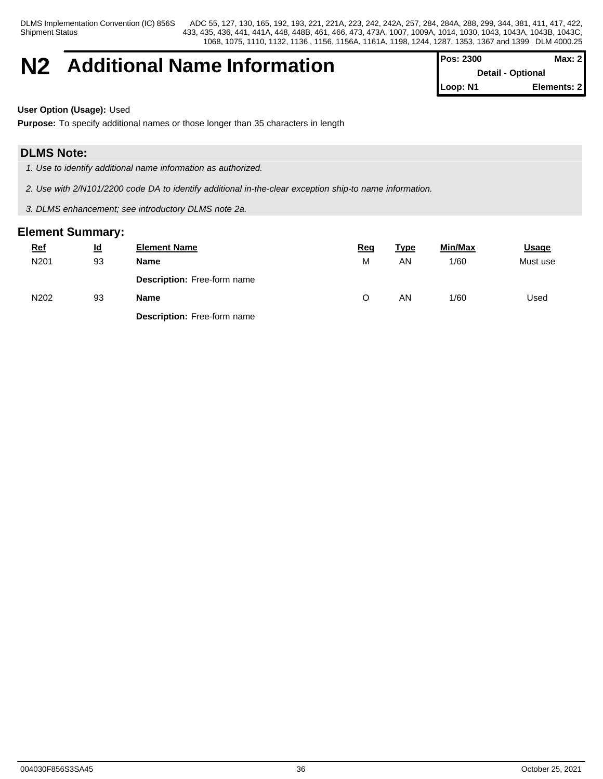Shipment Status

DLMS Implementation Convention (IC) 856S ADC 55, 127, 130, 165, 192, 193, 221, 221A, 223, 242, 242A, 257, 284, 284A, 288, 299, 344, 381, 411, 417, 422, 433, 435, 436, 441, 441A, 448, 448B, 461, 466, 473, 473A, 1007, 1009A, 1014, 1030, 1043, 1043A, 1043B, 1043C, 1068, 1075, 1110, 1132, 1136 , 1156, 1156A, 1161A, 1198, 1244, 1287, 1353, 1367 and 1399 DLM 4000.25

## **N2 Additional Name Information Pos: 2300 Max: 2 Max: 2**

**Detail - Optional Loop: N1 Elements: 2**

**User Option (Usage):** Used

**Purpose:** To specify additional names or those longer than 35 characters in length

## **DLMS Note:**

- *1. Use to identify additional name information as authorized.*
- *2. Use with 2/N101/2200 code DA to identify additional in-the-clear exception ship-to name information.*
- *3. DLMS enhancement; see introductory DLMS note 2a.*

| $Ref$ | $\underline{\mathsf{Id}}$ | <b>Element Name</b>                | <u>Rec</u> | <b>Type</b> | <b>Min/Max</b> | <b>Usage</b> |
|-------|---------------------------|------------------------------------|------------|-------------|----------------|--------------|
| N201  | 93                        | Name                               | M          | AN          | 1/60           | Must use     |
|       |                           | <b>Description:</b> Free-form name |            |             |                |              |
| N202  | 93                        | Name                               |            | AN          | 1/60           | Used         |
|       |                           | <b>Description: Free-form name</b> |            |             |                |              |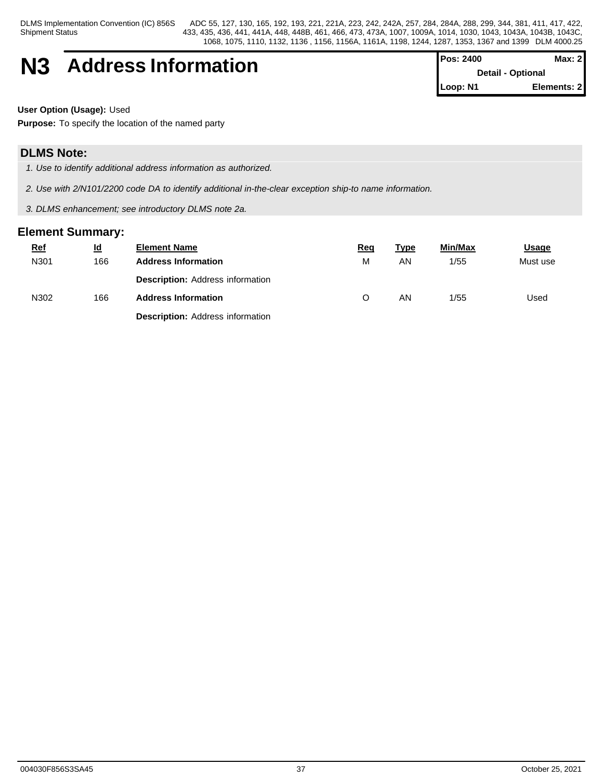Shipment Status

DLMS Implementation Convention (IC) 856S ADC 55, 127, 130, 165, 192, 193, 221, 221A, 223, 242, 242A, 257, 284, 284A, 288, 299, 344, 381, 411, 417, 422, 433, 435, 436, 441, 441A, 448, 448B, 461, 466, 473, 473A, 1007, 1009A, 1014, 1030, 1043, 1043A, 1043B, 1043C, 1068, 1075, 1110, 1132, 1136 , 1156, 1156A, 1161A, 1198, 1244, 1287, 1353, 1367 and 1399 DLM 4000.25

| <b>N3</b> | <b>Address Information</b> | <b>Pos: 2400</b>         | Max: 2I |  |
|-----------|----------------------------|--------------------------|---------|--|
|           |                            | <b>Detail - Optional</b> |         |  |

| <b>IPos: 2400</b>        | Max: 21     |
|--------------------------|-------------|
| <b>Detail - Optional</b> |             |
| Loop: N1                 | Elements: 2 |

**User Option (Usage):** Used

**Purpose:** To specify the location of the named party

## **DLMS Note:**

- *1. Use to identify additional address information as authorized.*
- *2. Use with 2/N101/2200 code DA to identify additional in-the-clear exception ship-to name information.*
- *3. DLMS enhancement; see introductory DLMS note 2a.*

| $Ref$ | $\underline{\mathsf{Id}}$ | <b>Element Name</b>                     | <u>Req</u> | <u>Type</u> | Min/Max | <b>Usage</b> |
|-------|---------------------------|-----------------------------------------|------------|-------------|---------|--------------|
| N301  | 166                       | <b>Address Information</b>              | М          | AN.         | 1/55    | Must use     |
|       |                           | <b>Description: Address information</b> |            |             |         |              |
| N302  | 166                       | <b>Address Information</b>              |            | AN.         | 1/55    | Used         |
|       |                           | <b>Description: Address information</b> |            |             |         |              |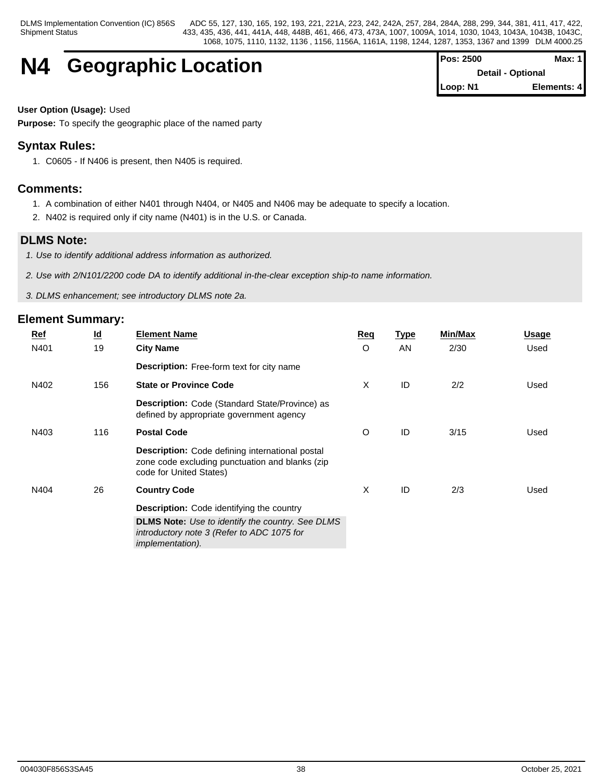## **N4 Geographic Location**

| <b>Pos: 2500</b>         | Max: 1      |
|--------------------------|-------------|
| <b>Detail - Optional</b> |             |
| Loop: N1                 | Elements: 4 |

## **User Option (Usage):** Used

**Purpose:** To specify the geographic place of the named party

## **Syntax Rules:**

1. C0605 - If N406 is present, then N405 is required.

## **Comments:**

- 1. A combination of either N401 through N404, or N405 and N406 may be adequate to specify a location.
- 2. N402 is required only if city name (N401) is in the U.S. or Canada.

## **DLMS Note:**

*1. Use to identify additional address information as authorized.*

*2. Use with 2/N101/2200 code DA to identify additional in-the-clear exception ship-to name information.*

*3. DLMS enhancement; see introductory DLMS note 2a.*

| <b>Ref</b> | $\underline{\mathsf{Id}}$ | <b>Element Name</b>                                                                                                                  | Req | <b>Type</b> | <b>Min/Max</b> | Usage |
|------------|---------------------------|--------------------------------------------------------------------------------------------------------------------------------------|-----|-------------|----------------|-------|
| N401       | 19                        | <b>City Name</b>                                                                                                                     | O   | AN          | 2/30           | Used  |
|            |                           | <b>Description:</b> Free-form text for city name                                                                                     |     |             |                |       |
| N402       | 156                       | <b>State or Province Code</b>                                                                                                        | X   | ID          | 2/2            | Used  |
|            |                           | <b>Description:</b> Code (Standard State/Province) as<br>defined by appropriate government agency                                    |     |             |                |       |
| N403       | 116                       | <b>Postal Code</b>                                                                                                                   | O   | ID          | 3/15           | Used  |
|            |                           | <b>Description:</b> Code defining international postal<br>zone code excluding punctuation and blanks (zip<br>code for United States) |     |             |                |       |
| N404       | 26                        | <b>Country Code</b>                                                                                                                  | X   | ID          | 2/3            | Used  |
|            |                           | Description: Code identifying the country                                                                                            |     |             |                |       |
|            |                           | <b>DLMS Note:</b> Use to identify the country. See DLMS<br>introductory note 3 (Refer to ADC 1075 for<br><i>implementation).</i>     |     |             |                |       |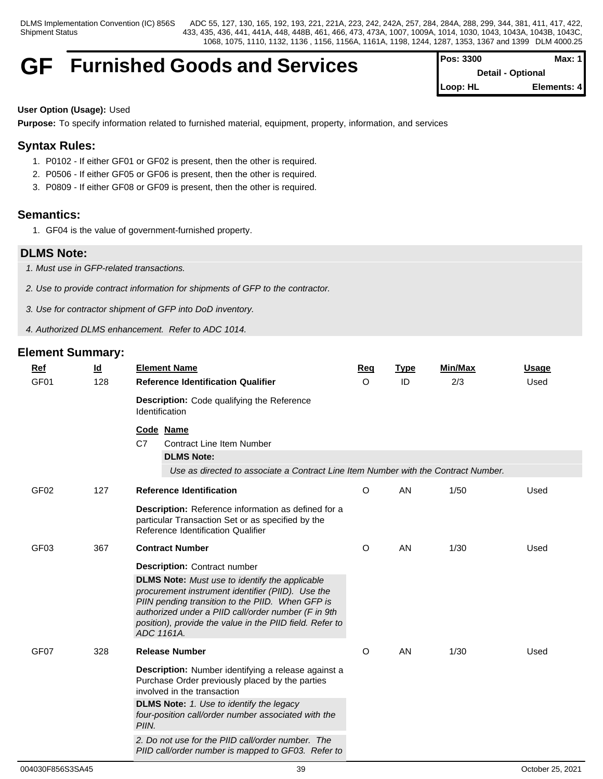## GF Furnished Goods and Services **Pos:** 3300 **Max:** 1

**Detail - Optional Loop: HL Elements: 4**

## **User Option (Usage):** Used

**Purpose:** To specify information related to furnished material, equipment, property, information, and services

## **Syntax Rules:**

- 1. P0102 If either GF01 or GF02 is present, then the other is required.
- 2. P0506 If either GF05 or GF06 is present, then the other is required.
- 3. P0809 If either GF08 or GF09 is present, then the other is required.

## **Semantics:**

1. GF04 is the value of government-furnished property.

## **DLMS Note:**

- *1. Must use in GFP-related transactions.*
- *2. Use to provide contract information for shipments of GFP to the contractor.*
- *3. Use for contractor shipment of GFP into DoD inventory.*
- *4. Authorized DLMS enhancement. Refer to ADC 1014.*

| Ref<br>GF <sub>01</sub> | <u>ld</u><br>128 | <b>Element Name</b><br><b>Reference Identification Qualifier</b>                                                                                                                                                                                                                                                                                                    | Req<br>$\circ$ | <b>Type</b><br>ID | <b>Min/Max</b><br>2/3 | <b>Usage</b><br>Used |
|-------------------------|------------------|---------------------------------------------------------------------------------------------------------------------------------------------------------------------------------------------------------------------------------------------------------------------------------------------------------------------------------------------------------------------|----------------|-------------------|-----------------------|----------------------|
|                         |                  | <b>Description:</b> Code qualifying the Reference<br>Identification                                                                                                                                                                                                                                                                                                 |                |                   |                       |                      |
|                         |                  | Code Name<br>C7<br><b>Contract Line Item Number</b><br><b>DLMS Note:</b><br>Use as directed to associate a Contract Line Item Number with the Contract Number.                                                                                                                                                                                                      |                |                   |                       |                      |
| GF <sub>02</sub>        | 127              | <b>Reference Identification</b>                                                                                                                                                                                                                                                                                                                                     | O              | <b>AN</b>         | 1/50                  | Used                 |
|                         |                  | Description: Reference information as defined for a<br>particular Transaction Set or as specified by the<br>Reference Identification Qualifier                                                                                                                                                                                                                      |                |                   |                       |                      |
| GF03                    | 367              | <b>Contract Number</b>                                                                                                                                                                                                                                                                                                                                              | O              | AN                | 1/30                  | Used                 |
|                         |                  | <b>Description: Contract number</b><br><b>DLMS Note:</b> Must use to identify the applicable<br>procurement instrument identifier (PIID). Use the<br>PIIN pending transition to the PIID. When GFP is<br>authorized under a PIID call/order number (F in 9th<br>position), provide the value in the PIID field. Refer to<br>ADC 1161A.                              |                |                   |                       |                      |
| GF07                    | 328              | <b>Release Number</b>                                                                                                                                                                                                                                                                                                                                               | O              | AN                | 1/30                  | Used                 |
|                         |                  | Description: Number identifying a release against a<br>Purchase Order previously placed by the parties<br>involved in the transaction<br><b>DLMS Note:</b> 1. Use to identify the legacy<br>four-position call/order number associated with the<br>PIIN.<br>2. Do not use for the PIID call/order number. The<br>PIID call/order number is mapped to GF03. Refer to |                |                   |                       |                      |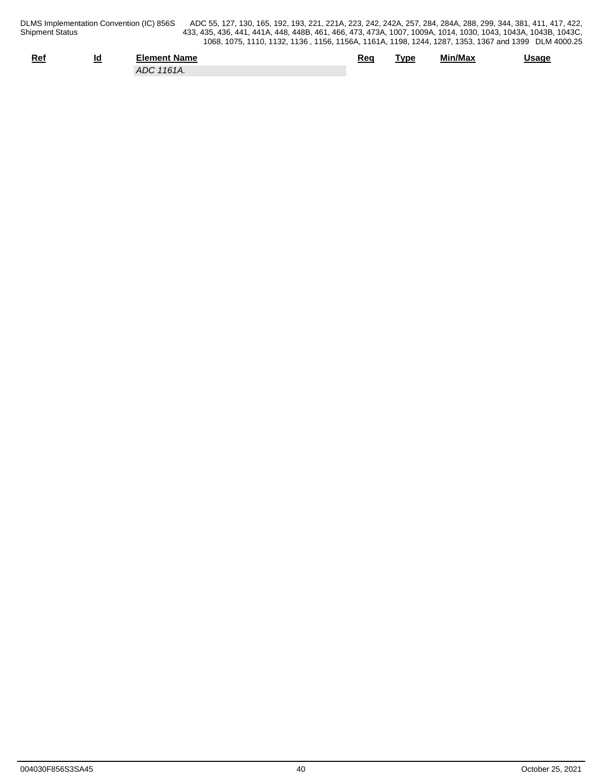| Ref | ıd | Element Name                        | Rec | Tvpe | Min/Max | Usage |
|-----|----|-------------------------------------|-----|------|---------|-------|
|     |    | $\sqrt{2}$<br><b>ADC</b><br>' 161A. |     |      |         |       |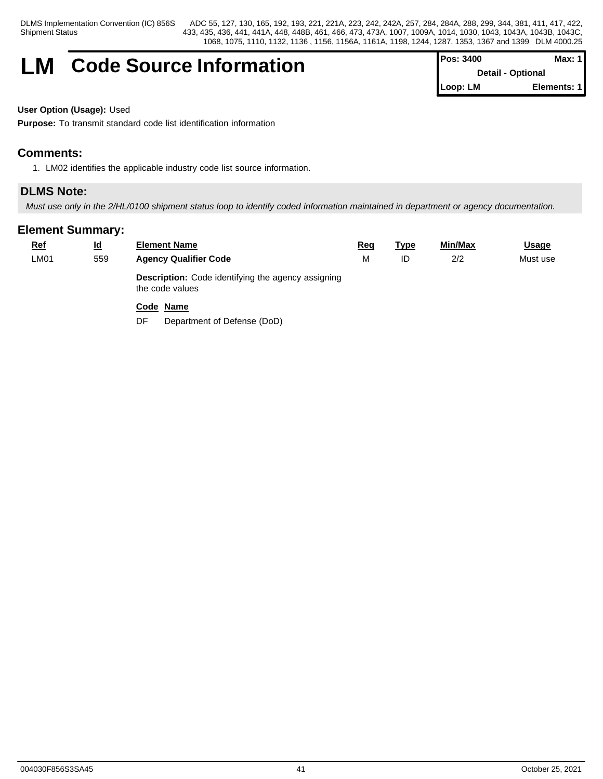## **LM** Code Source Information

| <b>IPos: 3400</b>        | Max: $1$    |  |
|--------------------------|-------------|--|
| <b>Detail - Optional</b> |             |  |
| Loop: LM                 | Elements: 1 |  |

**User Option (Usage):** Used

**Purpose:** To transmit standard code list identification information

## **Comments:**

1. LM02 identifies the applicable industry code list source information.

## **DLMS Note:**

*Must use only in the 2/HL/0100 shipment status loop to identify coded information maintained in department or agency documentation.*

| <u>Ref</u>  | $\underline{\mathsf{Id}}$ | <b>Element Name</b>                                                          | Req | <b>Type</b> | <b>Min/Max</b> | <b>Usage</b> |  |
|-------------|---------------------------|------------------------------------------------------------------------------|-----|-------------|----------------|--------------|--|
| <b>LM01</b> | 559                       | <b>Agency Qualifier Code</b>                                                 | М   | ID          | 2/2            | Must use     |  |
|             |                           | <b>Description:</b> Code identifying the agency assigning<br>the code values |     |             |                |              |  |
|             |                           | Code Name                                                                    |     |             |                |              |  |
|             |                           | Department of Defense (DoD)<br>DF                                            |     |             |                |              |  |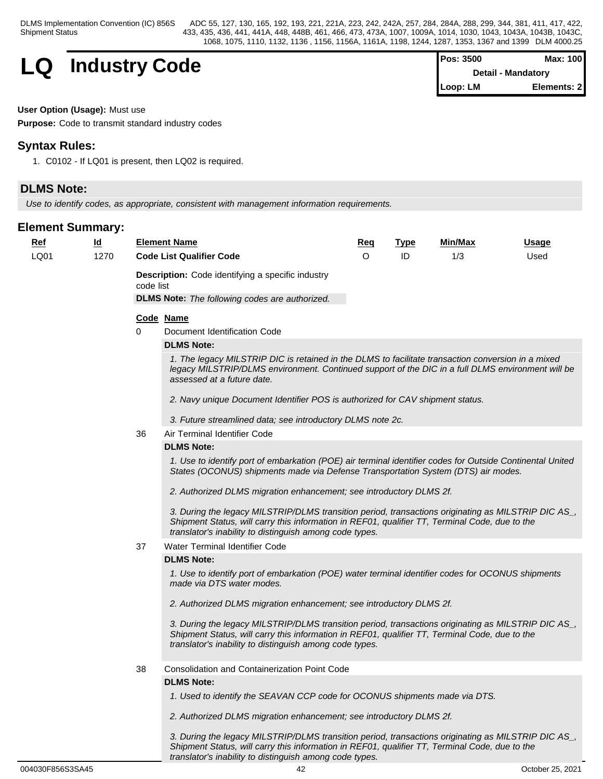Shipment Status

DLMS Implementation Convention (IC) 856S ADC 55, 127, 130, 165, 192, 193, 221, 221A, 223, 242, 242A, 257, 284, 284A, 288, 299, 344, 381, 411, 417, 422, 433, 435, 436, 441, 441A, 448, 448B, 461, 466, 473, 473A, 1007, 1009A, 1014, 1030, 1043, 1043A, 1043B, 1043C, 1068, 1075, 1110, 1132, 1136 , 1156, 1156A, 1161A, 1198, 1244, 1287, 1353, 1367 and 1399 DLM 4000.25



| <b>IPos: 3500</b> | Max: 100                  |
|-------------------|---------------------------|
|                   | <b>Detail - Mandatory</b> |
| <b>I</b> Loop: LM | Elements: 21              |

**User Option (Usage):** Must use

**Purpose:** Code to transmit standard industry codes

## **Syntax Rules:**

1. C0102 - If LQ01 is present, then LQ02 is required.

## **DLMS Note:**

*Use to identify codes, as appropriate, consistent with management information requirements.*

## **Element Summary:**

|  | <b>Ref</b> | $\underline{\mathsf{Id}}$ | <b>Element Name</b>                                                   | <u>Req</u> | <u>Type</u> | <b>Min/Max</b> | <b>Usage</b> |
|--|------------|---------------------------|-----------------------------------------------------------------------|------------|-------------|----------------|--------------|
|  | LQ01       | 1270                      | <b>Code List Qualifier Code</b>                                       | O          | ID          | 1/3            | Used         |
|  |            |                           | <b>Description:</b> Code identifying a specific industry<br>code list |            |             |                |              |
|  |            |                           | <b>DLMS Note:</b> The following codes are authorized.<br>Code Name    |            |             |                |              |
|  |            |                           | Document Identification Code<br>0                                     |            |             |                |              |
|  |            |                           |                                                                       |            |             |                |              |

## **DLMS Note:**

*1. The legacy MILSTRIP DIC is retained in the DLMS to facilitate transaction conversion in a mixed legacy MILSTRIP/DLMS environment. Continued support of the DIC in a full DLMS environment will be assessed at a future date.*

*2. Navy unique Document Identifier POS is authorized for CAV shipment status.*

- *3. Future streamlined data; see introductory DLMS note 2c.*
- 36 Air Terminal Identifier Code

#### **DLMS Note:**

*1. Use to identify port of embarkation (POE) air terminal identifier codes for Outside Continental United States (OCONUS) shipments made via Defense Transportation System (DTS) air modes.*

*2. Authorized DLMS migration enhancement; see introductory DLMS 2f.*

*3. During the legacy MILSTRIP/DLMS transition period, transactions originating as MILSTRIP DIC AS\_, Shipment Status, will carry this information in REF01, qualifier TT, Terminal Code, due to the translator's inability to distinguish among code types.*

#### 37 Water Terminal Identifier Code

#### **DLMS Note:**

*1. Use to identify port of embarkation (POE) water terminal identifier codes for OCONUS shipments made via DTS water modes.*

*2. Authorized DLMS migration enhancement; see introductory DLMS 2f.*

*3. During the legacy MILSTRIP/DLMS transition period, transactions originating as MILSTRIP DIC AS\_, Shipment Status, will carry this information in REF01, qualifier TT, Terminal Code, due to the translator's inability to distinguish among code types.*

38 Consolidation and Containerization Point Code

#### **DLMS Note:**

- *1. Used to identify the SEAVAN CCP code for OCONUS shipments made via DTS.*
- *2. Authorized DLMS migration enhancement; see introductory DLMS 2f.*

*3. During the legacy MILSTRIP/DLMS transition period, transactions originating as MILSTRIP DIC AS\_, Shipment Status, will carry this information in REF01, qualifier TT, Terminal Code, due to the translator's inability to distinguish among code types.*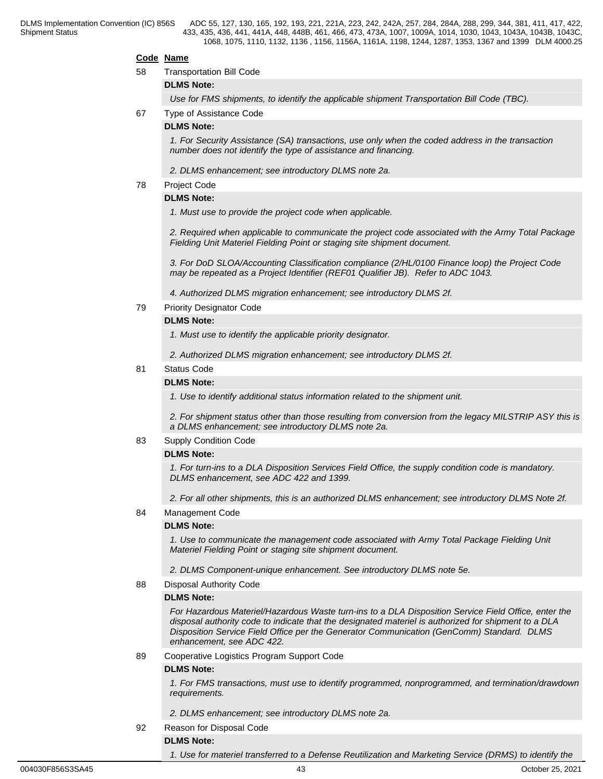#### **Code Name**

58 Transportation Bill Code

## **DLMS Note:**

*Use for FMS shipments, to identify the applicable shipment Transportation Bill Code (TBC).*

67 Type of Assistance Code

#### **DLMS Note:**

*1. For Security Assistance (SA) transactions, use only when the coded address in the transaction number does not identify the type of assistance and financing.*

*2. DLMS enhancement; see introductory DLMS note 2a.* 

## 78 Project Code

## **DLMS Note:**

*1. Must use to provide the project code when applicable.*

*2. Required when applicable to communicate the project code associated with the Army Total Package Fielding Unit Materiel Fielding Point or staging site shipment document.*

*3. For DoD SLOA/Accounting Classification compliance (2/HL/0100 Finance loop) the Project Code may be repeated as a Project Identifier (REF01 Qualifier JB). Refer to ADC 1043.*

*4. Authorized DLMS migration enhancement; see introductory DLMS 2f.*

79 Priority Designator Code

#### **DLMS Note:**

*1. Must use to identify the applicable priority designator.*

*2. Authorized DLMS migration enhancement; see introductory DLMS 2f.*

#### 81 Status Code

#### **DLMS Note:**

*1. Use to identify additional status information related to the shipment unit.*

*2. For shipment status other than those resulting from conversion from the legacy MILSTRIP ASY this is a DLMS enhancement; see introductory DLMS note 2a.*

83 Supply Condition Code

#### **DLMS Note:**

*1. For turn-ins to a DLA Disposition Services Field Office, the supply condition code is mandatory. DLMS enhancement, see ADC 422 and 1399.*

*2. For all other shipments, this is an authorized DLMS enhancement; see introductory DLMS Note 2f.*

## 84 Management Code

#### **DLMS Note:**

*1. Use to communicate the management code associated with Army Total Package Fielding Unit Materiel Fielding Point or staging site shipment document.* 

*2. DLMS Component-unique enhancement. See introductory DLMS note 5e.*

88 Disposal Authority Code

#### **DLMS Note:**

*For Hazardous Materiel/Hazardous Waste turn-ins to a DLA Disposition Service Field Office, enter the disposal authority code to indicate that the designated materiel is authorized for shipment to a DLA Disposition Service Field Office per the Generator Communication (GenComm) Standard. DLMS enhancement, see ADC 422.*

#### 89 Cooperative Logistics Program Support Code

#### **DLMS Note:**

*1. For FMS transactions, must use to identify programmed, nonprogrammed, and termination/drawdown requirements.*

*2. DLMS enhancement; see introductory DLMS note 2a.* 

## 92 Reason for Disposal Code

## **DLMS Note:**

*1. Use for materiel transferred to a Defense Reutilization and Marketing Service (DRMS) to identify the*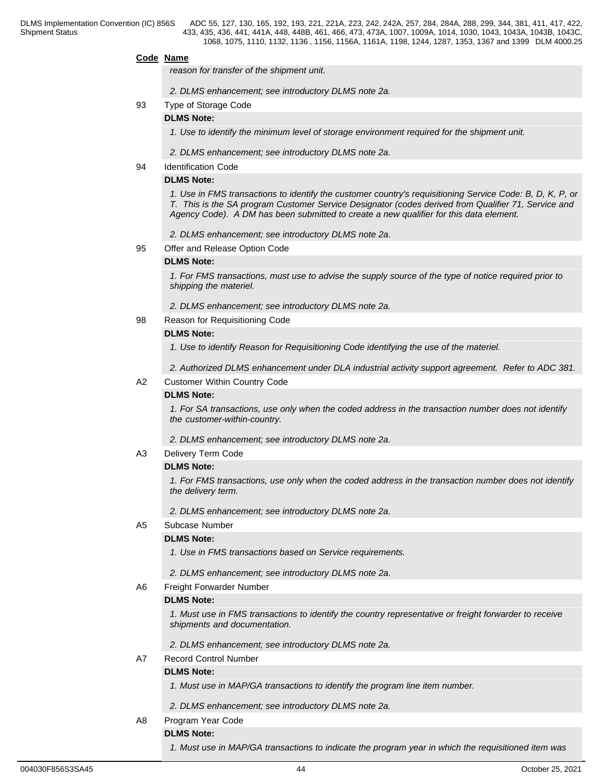#### **Code Name**

*reason for transfer of the shipment unit.*

- *2. DLMS enhancement; see introductory DLMS note 2a.*
- 93 Type of Storage Code

## **DLMS Note:**

*1. Use to identify the minimum level of storage environment required for the shipment unit.*

- *2. DLMS enhancement; see introductory DLMS note 2a.*
- 94 Identification Code

## **DLMS Note:**

*1. Use in FMS transactions to identify the customer country's requisitioning Service Code: B, D, K, P, or T. This is the SA program Customer Service Designator (codes derived from Qualifier 71, Service and Agency Code). A DM has been submitted to create a new qualifier for this data element.*

*2. DLMS enhancement; see introductory DLMS note 2a.*

95 Offer and Release Option Code

#### **DLMS Note:**

*1. For FMS transactions, must use to advise the supply source of the type of notice required prior to shipping the materiel.*

*2. DLMS enhancement; see introductory DLMS note 2a.* 

## 98 Reason for Requisitioning Code

## **DLMS Note:**

*1. Use to identify Reason for Requisitioning Code identifying the use of the materiel.* 

*2. Authorized DLMS enhancement under DLA industrial activity support agreement. Refer to ADC 381.*

## A2 Customer Within Country Code

## **DLMS Note:**

*1. For SA transactions, use only when the coded address in the transaction number does not identify the customer-within-country.*

*2. DLMS enhancement; see introductory DLMS note 2a.* 

A3 Delivery Term Code

## **DLMS Note:**

*1. For FMS transactions, use only when the coded address in the transaction number does not identify the delivery term.*

*2. DLMS enhancement; see introductory DLMS note 2a.* 

A5 Subcase Number

### **DLMS Note:**

*1. Use in FMS transactions based on Service requirements.*

*2. DLMS enhancement; see introductory DLMS note 2a.*

A6 Freight Forwarder Number

#### **DLMS Note:**

*1. Must use in FMS transactions to identify the country representative or freight forwarder to receive shipments and documentation.*

*2. DLMS enhancement; see introductory DLMS note 2a.* 

A7 Record Control Number

## **DLMS Note:**

*1. Must use in MAP/GA transactions to identify the program line item number.*

- *2. DLMS enhancement; see introductory DLMS note 2a.*
- A8 Program Year Code

## **DLMS Note:**

*1. Must use in MAP/GA transactions to indicate the program year in which the requisitioned item was*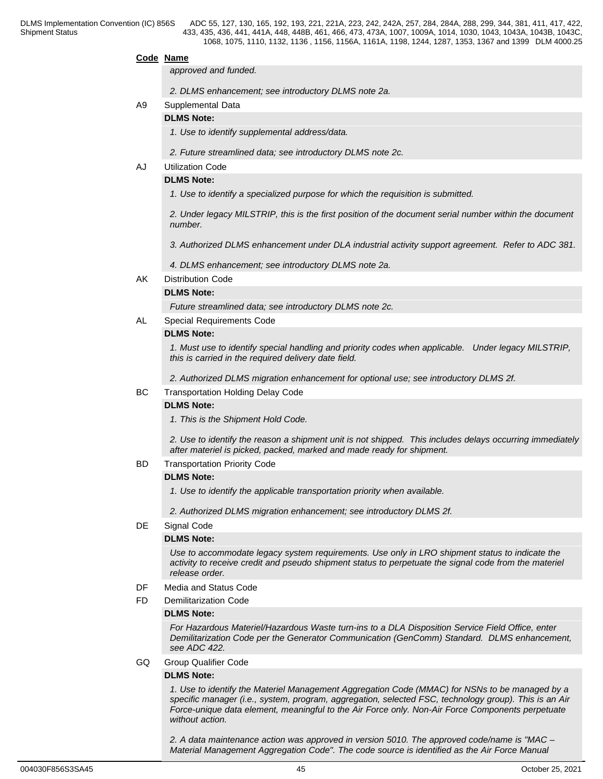#### **Code Name**

*approved and funded.*

- *2. DLMS enhancement; see introductory DLMS note 2a.*
- A9 Supplemental Data

## **DLMS Note:**

- *1. Use to identify supplemental address/data.*
- *2. Future streamlined data; see introductory DLMS note 2c.*

## AJ Utilization Code

## **DLMS Note:**

*1. Use to identify a specialized purpose for which the requisition is submitted.*

*2. Under legacy MILSTRIP, this is the first position of the document serial number within the document number.*

- *3. Authorized DLMS enhancement under DLA industrial activity support agreement. Refer to ADC 381.*
- *4. DLMS enhancement; see introductory DLMS note 2a.*
- AK Distribution Code

#### **DLMS Note:**

*Future streamlined data; see introductory DLMS note 2c.*

AL Special Requirements Code

## **DLMS Note:**

*1. Must use to identify special handling and priority codes when applicable. Under legacy MILSTRIP, this is carried in the required delivery date field.*

*2. Authorized DLMS migration enhancement for optional use; see introductory DLMS 2f.*

### BC Transportation Holding Delay Code

#### **DLMS Note:**

*1. This is the Shipment Hold Code.*

*2. Use to identify the reason a shipment unit is not shipped. This includes delays occurring immediately after materiel is picked, packed, marked and made ready for shipment.* 

BD Transportation Priority Code

#### **DLMS Note:**

*1. Use to identify the applicable transportation priority when available.*

*2. Authorized DLMS migration enhancement; see introductory DLMS 2f.*

## DE Signal Code

## **DLMS Note:**

*Use to accommodate legacy system requirements. Use only in LRO shipment status to indicate the activity to receive credit and pseudo shipment status to perpetuate the signal code from the materiel release order.*

- DF Media and Status Code
- FD Demilitarization Code

#### **DLMS Note:**

*For Hazardous Materiel/Hazardous Waste turn-ins to a DLA Disposition Service Field Office, enter Demilitarization Code per the Generator Communication (GenComm) Standard. DLMS enhancement, see ADC 422.*

GQ Group Qualifier Code

#### **DLMS Note:**

*1. Use to identify the Materiel Management Aggregation Code (MMAC) for NSNs to be managed by a specific manager (i.e., system, program, aggregation, selected FSC, technology group). This is an Air Force-unique data element, meaningful to the Air Force only. Non-Air Force Components perpetuate without action.*

*2. A data maintenance action was approved in version 5010. The approved code/name is "MAC – Material Management Aggregation Code". The code source is identified as the Air Force Manual*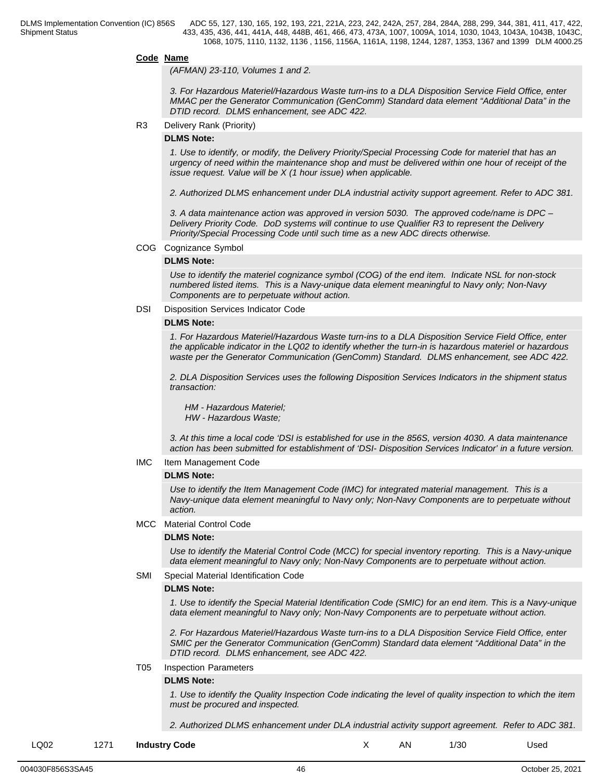#### **Code Name**

*(AFMAN) 23-110, Volumes 1 and 2.*

*3. For Hazardous Materiel/Hazardous Waste turn-ins to a DLA Disposition Service Field Office, enter MMAC per the Generator Communication (GenComm) Standard data element "Additional Data" in the DTID record. DLMS enhancement, see ADC 422.*

R3 Delivery Rank (Priority)

#### **DLMS Note:**

*1. Use to identify, or modify, the Delivery Priority/Special Processing Code for materiel that has an urgency of need within the maintenance shop and must be delivered within one hour of receipt of the issue request. Value will be X (1 hour issue) when applicable.*

*2. Authorized DLMS enhancement under DLA industrial activity support agreement. Refer to ADC 381.*

*3. A data maintenance action was approved in version 5030. The approved code/name is DPC – Delivery Priority Code. DoD systems will continue to use Qualifier R3 to represent the Delivery Priority/Special Processing Code until such time as a new ADC directs otherwise.*

#### COG Cognizance Symbol

#### **DLMS Note:**

*Use to identify the materiel cognizance symbol (COG) of the end item. Indicate NSL for non-stock numbered listed items. This is a Navy-unique data element meaningful to Navy only; Non-Navy Components are to perpetuate without action.*

#### DSI Disposition Services Indicator Code

#### **DLMS Note:**

*1. For Hazardous Materiel/Hazardous Waste turn-ins to a DLA Disposition Service Field Office, enter the applicable indicator in the LQ02 to identify whether the turn-in is hazardous materiel or hazardous waste per the Generator Communication (GenComm) Standard. DLMS enhancement, see ADC 422.*

*2. DLA Disposition Services uses the following Disposition Services Indicators in the shipment status transaction:*

 *HM - Hazardous Materiel; HW - Hazardous Waste;*

*3. At this time a local code 'DSI is established for use in the 856S, version 4030. A data maintenance action has been submitted for establishment of 'DSI- Disposition Services Indicator' in a future version.*

#### IMC Item Management Code

#### **DLMS Note:**

*Use to identify the Item Management Code (IMC) for integrated material management. This is a Navy-unique data element meaningful to Navy only; Non-Navy Components are to perpetuate without action.*

#### MCC Material Control Code

#### **DLMS Note:**

*Use to identify the Material Control Code (MCC) for special inventory reporting. This is a Navy-unique data element meaningful to Navy only; Non-Navy Components are to perpetuate without action.*

### SMI Special Material Identification Code

#### **DLMS Note:**

*1. Use to identify the Special Material Identification Code (SMIC) for an end item. This is a Navy-unique data element meaningful to Navy only; Non-Navy Components are to perpetuate without action.*

*2. For Hazardous Materiel/Hazardous Waste turn-ins to a DLA Disposition Service Field Office, enter SMIC per the Generator Communication (GenComm) Standard data element "Additional Data" in the DTID record. DLMS enhancement, see ADC 422.*

T05 Inspection Parameters

#### **DLMS Note:**

*1. Use to identify the Quality Inspection Code indicating the level of quality inspection to which the item must be procured and inspected.* 

*2. Authorized DLMS enhancement under DLA industrial activity support agreement. Refer to ADC 381.*

LQ02 1271 **Industry Code** X AN 1/30 Used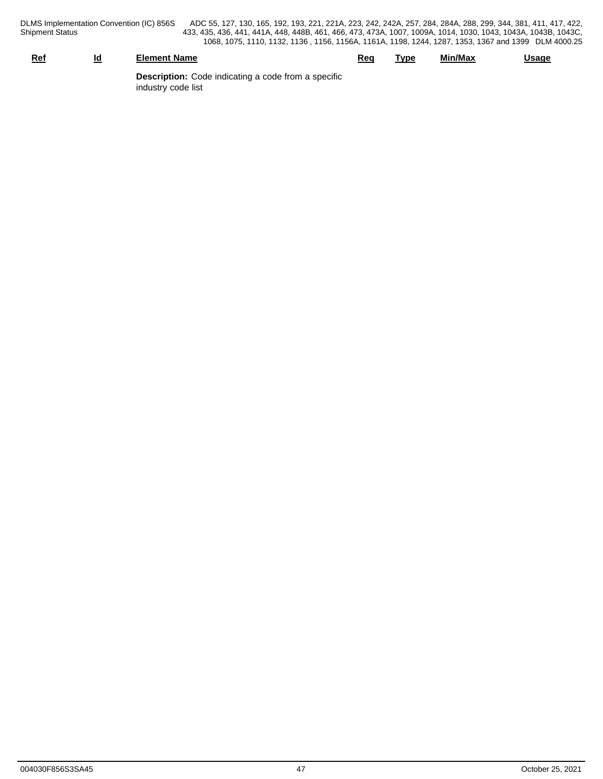DLMS Implementation Convention (IC) 856S<br>Shipment Status

DLMS Implementation Convention (IC) 856S ADC 55, 127, 130, 165, 192, 193, 221, 221A, 223, 242, 242A, 257, 284, 284A, 288, 299, 344, 381, 411, 417, 422, 433, 435, 436, 441, 441A, 448, 448B, 461, 466, 473, 473A, 1007, 1009A, 1014, 1030, 1043, 1043A, 1043B, 1043C, 1068, 1075, 1110, 1132, 1136 , 1156, 1156A, 1161A, 1198, 1244, 1287, 1353, 1367 and 1399 DLM 4000.25

| Ref                                                        | <u>ia</u> | <b>Element Name</b> | <u>Rec</u> | Tvpe | Min/Max | Usaqe |
|------------------------------------------------------------|-----------|---------------------|------------|------|---------|-------|
| <b>Description:</b> Code indicating a code from a specific |           |                     |            |      |         |       |

industry code list